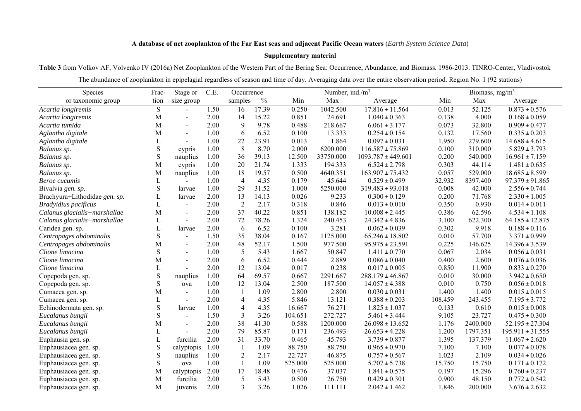## **A database of net zooplankton of the Far East seas and adjacent Pacific Ocean waters** (*Earth System Science Data*)

## **Supplementary material**

**Table 3** from Volkov AF, Volvenko IV (2016a) Net Zooplankton of the Western Part of the Bering Sea: Occurrence, Abundance, and Biomass. 1986-2013. TINRO-Center, Vladivostok The abundance of zooplankton in epipelagial regardless of season and time of day. Averaging data over the entire observation period. Region No. 1 (92 stations)

| Species                       | Frac-       | Stage or       | C.E. | Occurrence     |               |         | Number, ind./m <sup>3</sup> |                        |         | Biomass, $mg/m3$ |                      |
|-------------------------------|-------------|----------------|------|----------------|---------------|---------|-----------------------------|------------------------|---------|------------------|----------------------|
| or taxonomic group            | tion        | size group     |      | samples        | $\frac{0}{0}$ | Min     | Max                         | Average                | Min     | Max              | Average              |
| Acartia longiremis            | $\mathbf S$ | $\blacksquare$ | 1.50 | 16             | 17.39         | 0.250   | 1042.500                    | $17.816 \pm 11.564$    | 0.013   | 52.125           | $0.873 \pm 0.576$    |
| Acartia longiremis            | M           | $\sim$         | 2.00 | 14             | 15.22         | 0.851   | 24.691                      | $1.040 \pm 0.363$      | 0.138   | 4.000            | $0.168 \pm 0.059$    |
| Acartia tumida                | M           | $\sim$         | 2.00 | 9              | 9.78          | 0.488   | 218.667                     | $6.061 \pm 3.177$      | 0.073   | 32.800           | $0.909 \pm 0.477$    |
| Aglantha digitale             | M           | $\overline{a}$ | 1.00 | 6              | 6.52          | 0.100   | 13.333                      | $0.254 \pm 0.154$      | 0.132   | 17.560           | $0.335 \pm 0.203$    |
| Aglantha digitale             | L           | $\overline{a}$ | 1.00 | 22             | 23.91         | 0.013   | 1.864                       | $0.097 \pm 0.031$      | 1.950   | 279.600          | $14.688 \pm 4.615$   |
| Balanus sp.                   | ${\bf S}$   | cypris         | 1.00 | 8              | 8.70          | 2.000   | 6200.000                    | $116.587 \pm 75.869$   | 0.100   | 310.000          | $5.829 \pm 3.793$    |
| Balanus sp.                   | ${\bf S}$   | nauplius       | 1.00 | 36             | 39.13         | 12.500  | 33750.000                   | $1093.787 \pm 449.601$ | 0.200   | 540.000          | $16.961 \pm 7.159$   |
| Balanus sp.                   | М           | cypris         | 1.00 | 20             | 21.74         | 1.333   | 194.333                     | $6.524 \pm 2.798$      | 0.303   | 44.114           | $1.481 \pm 0.635$    |
| Balanus sp.                   | M           | nauplius       | 1.00 | 18             | 19.57         | 0.500   | 4640.351                    | $163.907 \pm 75.432$   | 0.057   | 529.000          | $18.685 \pm 8.599$   |
| Beroe cucumis                 | L           |                | 1.00 | $\overline{4}$ | 4.35          | 0.179   | 45.644                      | $0.529 \pm 0.499$      | 32.932  | 8397.400         | $97.379 \pm 91.865$  |
| Bivalvia gen. sp.             | S           | larvae         | 1.00 | 29             | 31.52         | 1.000   | 5250.000                    | $319.483 \pm 93.018$   | 0.008   | 42.000           | $2.556 \pm 0.744$    |
| Brachyura+Lithodidae gen. sp. |             | larvae         | 2.00 | 13             | 14.13         | 0.026   | 9.233                       | $0.300 \pm 0.129$      | 0.200   | 71.768           | $2.330 \pm 1.005$    |
| Bradyidius pacificus          | L           |                | 2.00 | $\overline{2}$ | 2.17          | 0.318   | 0.846                       | $0.013 \pm 0.010$      | 0.350   | 0.930            | $0.014 \pm 0.011$    |
| Calanus glacialis+marshallae  | M           | $\overline{a}$ | 2.00 | 37             | 40.22         | 0.851   | 138.182                     | $10.008 \pm 2.445$     | 0.386   | 62.596           | $4.534 \pm 1.108$    |
| Calanus glacialis+marshallae  | L           |                | 2.00 | 72             | 78.26         | 1.324   | 240.453                     | $24.342 \pm 4.836$     | 3.100   | 622.300          | $64.185 \pm 12.875$  |
| Caridea gen. sp.              |             | larvae         | 2.00 | 6              | 6.52          | 0.100   | 3.281                       | $0.062 \pm 0.039$      | 0.302   | 9.918            | $0.188 \pm 0.116$    |
| Centropages abdominalis       | ${\bf S}$   | $\sim$         | 1.50 | 35             | 38.04         | 0.167   | 1125.000                    | $65.246 \pm 18.802$    | 0.010   | 57.700           | $3.371 \pm 0.999$    |
| Centropages abdominalis       | M           | $\blacksquare$ | 2.00 | 48             | 52.17         | 1.500   | 977.500                     | $95.975 \pm 23.591$    | 0.225   | 146.625          | $14.396 \pm 3.539$   |
| Clione limacina               | S           | $\blacksquare$ | 1.00 | 5              | 5.43          | 1.667   | 50.847                      | $1.411 \pm 0.770$      | 0.067   | 2.034            | $0.056 \pm 0.031$    |
| Clione limacina               | M           |                | 2.00 | 6              | 6.52          | 0.444   | 2.889                       | $0.086 \pm 0.040$      | 0.400   | 2.600            | $0.076 \pm 0.036$    |
| Clione limacina               |             |                | 2.00 | 12             | 13.04         | 0.017   | 0.238                       | $0.017 \pm 0.005$      | 0.850   | 11.900           | $0.833 \pm 0.270$    |
| Copepoda gen. sp.             | ${\bf S}$   | nauplius       | 1.00 | 64             | 69.57         | 0.667   | 2291.667                    | $288.179 \pm 46.867$   | 0.010   | 30.000           | $3.942 \pm 0.650$    |
| Copepoda gen. sp.             | S           | ova            | 1.00 | 12             | 13.04         | 2.500   | 187.500                     | $14.057 \pm 4.388$     | 0.010   | 0.750            | $0.056 \pm 0.018$    |
| Cumacea gen. sp.              | M           | $\blacksquare$ | 1.00 | $\overline{1}$ | 1.09          | 2.800   | 2.800                       | $0.030 \pm 0.031$      | 1.400   | 1.400            | $0.015 \pm 0.015$    |
| Cumacea gen. sp.              | L           | $\overline{a}$ | 2.00 | $\overline{4}$ | 4.35          | 5.846   | 13.121                      | $0.388 \pm 0.203$      | 108.459 | 243.455          | $7.195 \pm 3.772$    |
| Echinodermata gen. sp.        | S           | larvae         | 1.00 | $\overline{4}$ | 4.35          | 16.667  | 76.271                      | $1.825 \pm 1.037$      | 0.133   | 0.610            | $0.015 \pm 0.008$    |
| Eucalanus bungii              | $\mathbf S$ | $\overline{a}$ | 1.50 | $\overline{3}$ | 3.26          | 104.651 | 272.727                     | $5.461 \pm 3.444$      | 9.105   | 23.727           | $0.475 \pm 0.300$    |
| Eucalanus bungii              | M           |                | 2.00 | 38             | 41.30         | 0.588   | 1200.000                    | $26.098 \pm 13.652$    | 1.176   | 2400.000         | $52.195 \pm 27.304$  |
| Eucalanus bungii              | L           |                | 2.00 | 79             | 85.87         | 0.171   | 236.493                     | $26.653 \pm 4.228$     | 1.200   | 1797.351         | $195.911 \pm 31.555$ |
| Euphausia gen. sp.            | $\mathbf L$ | furcilia       | 2.00 | 31             | 33.70         | 0.465   | 45.793                      | $3.739 \pm 0.877$      | 1.395   | 137.379          | $11.067 \pm 2.620$   |
| Euphausiacea gen. sp.         | $\mathbf S$ | calyptopis     | 1.00 | $\mathbf{1}$   | 1.09          | 88.750  | 88.750                      | $0.965 \pm 0.970$      | 7.100   | 7.100            | $0.077 \pm 0.078$    |
| Euphausiacea gen. sp.         | ${\bf S}$   | nauplius       | 1.00 | $\sqrt{2}$     | 2.17          | 22.727  | 46.875                      | $0.757 \pm 0.567$      | 1.023   | 2.109            | $0.034 \pm 0.026$    |
| Euphausiacea gen. sp.         | S           | ova            | 1.00 | $\mathbf{1}$   | 1.09          | 525.000 | 525.000                     | $5.707 \pm 5.738$      | 15.750  | 15.750           | $0.171 \pm 0.172$    |
| Euphausiacea gen. sp.         | M           | calyptopis     | 2.00 | 17             | 18.48         | 0.476   | 37.037                      | $1.841 \pm 0.575$      | 0.197   | 15.296           | $0.760 \pm 0.237$    |
| Euphausiacea gen. sp.         | M           | furcilia       | 2.00 | 5              | 5.43          | 0.500   | 26.750                      | $0.429 \pm 0.301$      | 0.900   | 48.150           | $0.772 \pm 0.542$    |
| Euphausiacea gen. sp.         | M           | juvenis        | 2.00 | 3              | 3.26          | 1.026   | 111.111                     | $2.042 \pm 1.462$      | 1.846   | 200.000          | $3.676 \pm 2.632$    |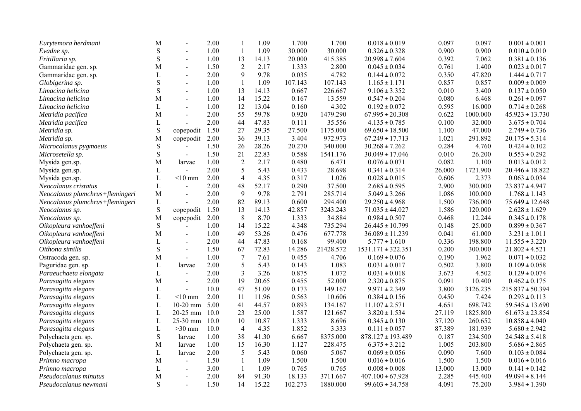| Eurytemora herdmani             | M            |                | 2.00 | $\mathbf{1}$            | 1.09  | 1.700   | 1.700     | $0.018 \pm 0.019$      | 0.097  | 0.097    | $0.001 \pm 0.001$    |
|---------------------------------|--------------|----------------|------|-------------------------|-------|---------|-----------|------------------------|--------|----------|----------------------|
| Evadne sp.                      | ${\bf S}$    | $\sim$         | 1.00 | $\mathbf{1}$            | 1.09  | 30.000  | 30.000    | $0.326 \pm 0.328$      | 0.900  | 0.900    | $0.010 \pm 0.010$    |
| Fritillaria sp.                 | $\mathbf S$  | $\sim$         | 1.00 | 13                      | 14.13 | 20.000  | 415.385   | $20.998 \pm 7.604$     | 0.392  | 7.062    | $0.381 \pm 0.136$    |
| Gammaridae gen. sp.             | M            | $\blacksquare$ | 1.50 | $\sqrt{2}$              | 2.17  | 1.333   | 2.800     | $0.045 \pm 0.034$      | 0.761  | 1.400    | $0.023 \pm 0.017$    |
| Gammaridae gen. sp.             | L            | $\blacksquare$ | 2.00 | 9                       | 9.78  | 0.035   | 4.782     | $0.144 \pm 0.072$      | 0.350  | 47.820   | $1.444 \pm 0.717$    |
| Globigerina sp.                 | $\mathbf S$  | $\blacksquare$ | 1.00 | $\mathbf{1}$            | 1.09  | 107.143 | 107.143   | $1.165 \pm 1.171$      | 0.857  | 0.857    | $0.009 \pm 0.009$    |
| Limacina helicina               | $\mathbf S$  | $\overline{a}$ | 1.00 | 13                      | 14.13 | 0.667   | 226.667   | $9.106 \pm 3.352$      | 0.010  | 3.400    | $0.137 \pm 0.050$    |
| Limacina helicina               | M            | $\sim$         | 1.00 | 14                      | 15.22 | 0.167   | 13.559    | $0.547 \pm 0.204$      | 0.080  | 6.468    | $0.261 \pm 0.097$    |
| Limacina helicina               | L            | $\overline{a}$ | 1.00 | 12                      | 13.04 | 0.160   | 4.302     | $0.192 \pm 0.072$      | 0.595  | 16.000   | $0.714 \pm 0.268$    |
| Metridia pacifica               | M            | $\blacksquare$ | 2.00 | 55                      | 59.78 | 0.920   | 1479.290  | $67.995 \pm 20.308$    | 0.622  | 1000.000 | $45.923 \pm 13.730$  |
| Metridia pacifica               | $\mathbf L$  |                | 2.00 | 44                      | 47.83 | 0.111   | 35.556    | $4.135 \pm 0.785$      | 0.100  | 32.000   | $3.675 \pm 0.704$    |
| Metridia sp.                    | ${\bf S}$    | copepodit      | 1.50 | 27                      | 29.35 | 27.500  | 1175.000  | $69.650 \pm 18.500$    | 1.100  | 47.000   | $2.749 \pm 0.736$    |
| Metridia sp.                    | M            | copepodit      | 2.00 | 36                      | 39.13 | 3.404   | 972.973   | $67.249 \pm 17.713$    | 1.021  | 291.892  | $20.175 \pm 5.314$   |
| Microcalanus pygmaeus           | ${\bf S}$    |                | 1.50 | 26                      | 28.26 | 20.270  | 340.000   | $30.268 \pm 7.262$     | 0.284  | 4.760    | $0.424 \pm 0.102$    |
| Microsetella sp.                | ${\bf S}$    | $\mathbf{r}$   | 1.50 | 21                      | 22.83 | 0.588   | 1541.176  | $30.049 \pm 17.046$    | 0.010  | 26.200   | $0.553 \pm 0.292$    |
| Mysida gen.sp.                  | M            | larvae         | 1.00 | $\sqrt{2}$              | 2.17  | 0.480   | 6.471     | $0.076 \pm 0.071$      | 0.082  | 1.100    | $0.013 \pm 0.012$    |
| Mysida gen.sp.                  | L            |                | 2.00 | 5                       | 5.43  | 0.433   | 28.698    | $0.341 \pm 0.314$      | 26.000 | 1721.900 | $20.446 \pm 18.822$  |
| Mysida gen.sp.                  | $\mathbf L$  | $<$ 10 mm      | 2.00 | $\overline{\mathbf{4}}$ | 4.35  | 0.317   | 1.026     | $0.028 \pm 0.015$      | 0.606  | 2.373    | $0.063 \pm 0.034$    |
| Neocalanus cristatus            | $\mathbf L$  | $\overline{a}$ | 2.00 | 48                      | 52.17 | 0.290   | 37.500    | $2.685 \pm 0.595$      | 2.900  | 300.000  | $23.837 \pm 4.947$   |
| Neocalanus plumchrus+flemingeri | M            | $\overline{a}$ | 2.00 | 9                       | 9.78  | 2.791   | 285.714   | $5.049 \pm 3.266$      | 1.086  | 100.000  | $1.768 \pm 1.143$    |
| Neocalanus plumchrus+flemingeri | $\mathbf L$  | $\overline{a}$ | 2.00 | 82                      | 89.13 | 0.600   | 294.400   | $29.250 \pm 4.968$     | 1.500  | 736.000  | $75.649 \pm 12.648$  |
| Neocalanus sp.                  | ${\bf S}$    | copepodit      | 1.50 | 13                      | 14.13 | 42.857  | 3243.243  | $71.035 \pm 44.027$    | 1.586  | 120.000  | $2.628 \pm 1.629$    |
| Neocalanus sp.                  | M            | copepodit      | 2.00 | 8                       | 8.70  | 1.333   | 34.884    | $0.984 \pm 0.507$      | 0.468  | 12.244   | $0.345 \pm 0.178$    |
| Oikopleura vanhoeffeni          | ${\bf S}$    |                | 1.00 | 14                      | 15.22 | 4.348   | 735.294   | $26.445 \pm 10.799$    | 0.148  | 25.000   | $0.899 \pm 0.367$    |
| Oikopleura vanhoeffeni          | M            | $\blacksquare$ | 1.00 | 49                      | 53.26 | 0.476   | 677.778   | $36.089 \pm 11.239$    | 0.041  | 61.000   | $3.231 \pm 1.011$    |
| Oikopleura vanhoeffeni          | L            | $\blacksquare$ | 2.00 | 44                      | 47.83 | 0.168   | 99.400    | $5.777 \pm 1.610$      | 0.336  | 198.800  | $11.555 \pm 3.220$   |
| Oithona similis                 | ${\bf S}$    | $\sim$         | 1.50 | 67                      | 72.83 | 14.286  | 21428.572 | $1531.171 \pm 322.351$ | 0.200  | 300.000  | $21.802 \pm 4.521$   |
| Ostracoda gen. sp.              | M            | $\mathbb{L}$   | 1.00 | $\overline{7}$          | 7.61  | 0.455   | 4.706     | $0.169 \pm 0.076$      | 0.190  | 1.962    | $0.071 \pm 0.032$    |
| Paguridae gen. sp.              | $\mathbf L$  | larvae         | 2.00 | 5                       | 5.43  | 0.143   | 1.083     | $0.031 \pm 0.017$      | 0.502  | 3.800    | $0.109 \pm 0.058$    |
| Paraeuchaeta elongata           | L            | $\sim$         | 2.00 | 3                       | 3.26  | 0.875   | 1.072     | $0.031 \pm 0.018$      | 3.673  | 4.502    | $0.129 \pm 0.074$    |
| Parasagitta elegans             | M            | $\blacksquare$ | 2.00 | 19                      | 20.65 | 0.455   | 52.000    | $2.320 \pm 0.875$      | 0.091  | 10.400   | $0.462 \pm 0.175$    |
| Parasagitta elegans             | $\mathbf L$  | $\blacksquare$ | 10.0 | 47                      | 51.09 | 0.173   | 149.167   | $9.971 \pm 2.349$      | 3.800  | 3126.235 | $215.837 \pm 50.394$ |
| Parasagitta elegans             | $\mathbf{L}$ | $< 10$ mm      | 2.00 | 11                      | 11.96 | 0.563   | 10.606    | $0.384 \pm 0.156$      | 0.450  | 7.424    | $0.293 \pm 0.113$    |
| Parasagitta elegans             | $\mathbf{L}$ | $10-20$ mm     | 5.00 | 41                      | 44.57 | 0.893   | 134.167   | $11.107 \pm 2.571$     | 4.651  | 698.742  | $59.545 \pm 13.690$  |
| Parasagitta elegans             | L            | 20-25 mm       | 10.0 | 23                      | 25.00 | 1.587   | 121.667   | $3.820 \pm 1.534$      | 27.119 | 1825.800 | $61.673 \pm 23.854$  |
| Parasagitta elegans             | $\mathbf L$  | 25-30 mm       | 10.0 | 10                      | 10.87 | 1.333   | 8.696     | $0.345 \pm 0.130$      | 37.120 | 260.652  | $10.858 \pm 4.040$   |
| Parasagitta elegans             | $\mathbf L$  | $>30$ mm       | 10.0 | $\overline{4}$          | 4.35  | 1.852   | 3.333     | $0.111 \pm 0.057$      | 87.389 | 181.939  | $5.680 \pm 2.942$    |
| Polychaeta gen. sp.             | ${\bf S}$    | larvae         | 1.00 | 38                      | 41.30 | 6.667   | 8375.000  | $878.127 \pm 193.489$  | 0.187  | 234.500  | $24.548 \pm 5.418$   |
| Polychaeta gen. sp.             | M            | larvae         | 1.00 | 15                      | 16.30 | 1.127   | 228.475   | $6.375 \pm 3.212$      | 1.005  | 203.800  | $5.686 \pm 2.865$    |
| Polychaeta gen. sp.             | L            | larvae         | 2.00 | 5                       | 5.43  | 0.060   | 5.067     | $0.069 \pm 0.056$      | 0.090  | 7.600    | $0.103 \pm 0.084$    |
| Primno macropa                  | $\mathbf{M}$ | $\blacksquare$ | 1.50 | $\mathbf{1}$            | 1.09  | 1.500   | 1.500     | $0.016 \pm 0.016$      | 1.500  | 1.500    | $0.016 \pm 0.016$    |
| Primno macropa                  | $\mathbf L$  | $\blacksquare$ | 3.00 | $\mathbf{1}$            | 1.09  | 0.765   | 0.765     | $0.008 \pm 0.008$      | 13.000 | 13.000   | $0.141 \pm 0.142$    |
| Pseudocalanus minutus           | M            | $\blacksquare$ | 2.00 | 84                      | 91.30 | 18.133  | 3711.667  | $407.100 \pm 67.928$   | 2.285  | 445.400  | $49.094 \pm 8.144$   |
| Pseudocalanus newmani           | S            |                | 1.50 | 14                      | 15.22 | 102.273 | 1880.000  | $99.603 \pm 34.758$    | 4.091  | 75.200   | $3.984 \pm 1.390$    |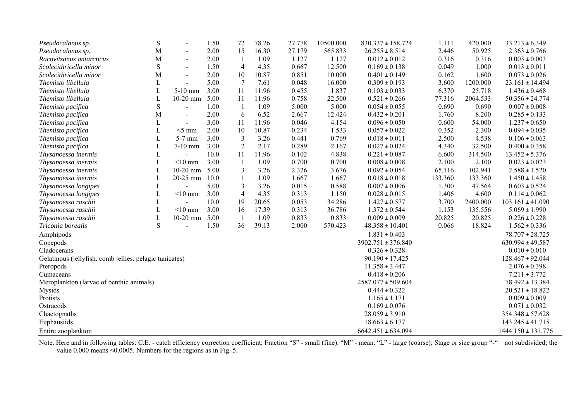| Pseudocalanus sp.                                       | S | $\overline{a}$           | 1.50 | 72                       | 78.26 | 27.778 | 10500.000 | $830.337 \pm 158.724$  | 1.111   | 420.000  | $33.213 \pm 6.349$     |
|---------------------------------------------------------|---|--------------------------|------|--------------------------|-------|--------|-----------|------------------------|---------|----------|------------------------|
| Pseudocalanus sp.                                       | M | $\overline{\phantom{0}}$ | 2.00 | 15                       | 16.30 | 27.179 | 565.833   | $26.255 \pm 8.514$     | 2.446   | 50.925   | $2.363 \pm 0.766$      |
| Racovitzanus antarcticus                                | M | $\overline{a}$           | 2.00 | -1                       | 1.09  | 1.127  | 1.127     | $0.012 \pm 0.012$      | 0.316   | 0.316    | $0.003 \pm 0.003$      |
| Scolecithricella minor                                  | S |                          | 1.50 | $\overline{4}$           | 4.35  | 0.667  | 12.500    | $0.169 \pm 0.138$      | 0.049   | 1.000    | $0.013 \pm 0.011$      |
| Scolecithricella minor                                  | M | $\overline{a}$           | 2.00 | 10                       | 10.87 | 0.851  | 10.000    | $0.401 \pm 0.149$      | 0.162   | 1.600    | $0.073 \pm 0.026$      |
| Themisto libellula                                      | L |                          | 5.00 | 7                        | 7.61  | 0.048  | 16.000    | $0.309 \pm 0.193$      | 3.600   | 1200.000 | $23.161 \pm 14.494$    |
| Themisto libellula                                      | L | $5-10$ mm                | 3.00 | 11                       | 11.96 | 0.455  | 1.837     | $0.103 \pm 0.033$      | 6.370   | 25.718   | $1.436 \pm 0.468$      |
| Themisto libellula                                      | L | 10-20 mm                 | 5.00 | 11                       | 11.96 | 0.758  | 22.500    | $0.521 \pm 0.266$      | 77.316  | 2064.533 | $50.356 \pm 24.774$    |
| Themisto pacifica                                       | S |                          | 1.00 | $\mathbf{1}$             | 1.09  | 5.000  | 5.000     | $0.054 \pm 0.055$      | 0.690   | 0.690    | $0.007 \pm 0.008$      |
| Themisto pacifica                                       | M | $\blacksquare$           | 2.00 | 6                        | 6.52  | 2.667  | 12.424    | $0.432 \pm 0.201$      | 1.760   | 8.200    | $0.285 \pm 0.133$      |
| Themisto pacifica                                       | L |                          | 3.00 | 11                       | 11.96 | 0.046  | 4.154     | $0.096 \pm 0.050$      | 0.600   | 54.000   | $1.237 \pm 0.650$      |
| Themisto pacifica                                       | L | $<$ 5 mm                 | 2.00 | 10                       | 10.87 | 0.234  | 1.533     | $0.057 \pm 0.022$      | 0.352   | 2.300    | $0.094 \pm 0.035$      |
| Themisto pacifica                                       | L | $5-7$ mm                 | 3.00 | 3                        | 3.26  | 0.441  | 0.769     | $0.018 \pm 0.011$      | 2.500   | 4.538    | $0.106 \pm 0.063$      |
| Themisto pacifica                                       | L | 7-10 mm                  | 3.00 | $\overline{2}$           | 2.17  | 0.289  | 2.167     | $0.027 \pm 0.024$      | 4.340   | 32.500   | $0.400 \pm 0.358$      |
| Thysanoessa inermis                                     | L |                          | 10.0 | 11                       | 11.96 | 0.102  | 4.838     | $0.221 \pm 0.087$      | 6.600   | 314.500  | $13.452 \pm 5.376$     |
| Thysanoessa inermis                                     | L | $<$ 10 mm                | 3.00 | $\overline{1}$           | 1.09  | 0.700  | 0.700     | $0.008 \pm 0.008$      | 2.100   | 2.100    | $0.023 \pm 0.023$      |
| Thysanoessa inermis                                     |   | $10-20$ mm               | 5.00 | 3                        | 3.26  | 2.326  | 3.676     | $0.092 \pm 0.054$      | 65.116  | 102.941  | $2.588 \pm 1.520$      |
| Thysanoessa inermis                                     | L | $20-25$ mm               | 10.0 |                          | 1.09  | 1.667  | 1.667     | $0.018 \pm 0.018$      | 133.360 | 133.360  | $1.450 \pm 1.458$      |
| Thysanoessa longipes                                    | L |                          | 5.00 | 3                        | 3.26  | 0.015  | 0.588     | $0.007 \pm 0.006$      | 1.300   | 47.564   | $0.603 \pm 0.524$      |
| Thysanoessa longipes                                    |   | $<$ 10 mm                | 3.00 | $\overline{\mathcal{A}}$ | 4.35  | 0.313  | 1.150     | $0.028 \pm 0.015$      | 1.406   | 4.600    | $0.114 \pm 0.062$      |
| Thysanoessa raschii                                     |   |                          | 10.0 | 19                       | 20.65 | 0.053  | 34.286    | $1.427 \pm 0.577$      | 3.700   | 2400.000 | $103.161 \pm 41.090$   |
| Thysanoessa raschii                                     | L | $<$ 10 mm                | 3.00 | 16                       | 17.39 | 0.313  | 36.786    | $1.372 \pm 0.544$      | 1.153   | 135.556  | $5.069 \pm 1.990$      |
| Thysanoessa raschii                                     | L | $10-20$ mm               | 5.00 | $\overline{\mathbf{1}}$  | 1.09  | 0.833  | 0.833     | $0.009 \pm 0.009$      | 20.825  | 20.825   | $0.226 \pm 0.228$      |
| Triconia borealis                                       | S | $\blacksquare$           | 1.50 | 36                       | 39.13 | 2.000  | 570.423   | $48.358 \pm 10.401$    | 0.066   | 18.824   | $1.562 \pm 0.336$      |
| Amphipods                                               |   |                          |      |                          |       |        |           | $1.831 \pm 0.403$      |         |          | $78.707 \pm 28.725$    |
| Copepods                                                |   |                          |      |                          |       |        |           | $3902.751 \pm 376.840$ |         |          | $630.994 \pm 49.587$   |
| Cladocerans                                             |   |                          |      |                          |       |        |           | $0.326 \pm 0.328$      |         |          | $0.010 \pm 0.010$      |
| Gelatinous (jellyfish. comb jellies. pelagic tunicates) |   |                          |      |                          |       |        |           | $90.190 \pm 17.425$    |         |          | $128.467 \pm 92.044$   |
| Pteropods                                               |   |                          |      |                          |       |        |           | $11.358 \pm 3.447$     |         |          | $2.076 \pm 0.398$      |
| Cumaceans                                               |   |                          |      |                          |       |        |           | $0.418 \pm 0.206$      |         |          | $7.211 \pm 3.772$      |
| Meroplankton (larvae of benthic animals)                |   |                          |      |                          |       |        |           | $2587.077 \pm 509.604$ |         |          | $78.492 \pm 13.384$    |
| Mysids                                                  |   |                          |      |                          |       |        |           | $0.444 \pm 0.322$      |         |          | $20.521 \pm 18.822$    |
| Protists                                                |   |                          |      |                          |       |        |           | $1.165 \pm 1.171$      |         |          | $0.009 \pm 0.009$      |
| Ostracods                                               |   |                          |      |                          |       |        |           | $0.169 \pm 0.076$      |         |          | $0.071 \pm 0.032$      |
| Chaetognaths                                            |   |                          |      |                          |       |        |           | $28.059 \pm 3.910$     |         |          | $354.348 \pm 57.628$   |
| Euphausiids                                             |   |                          |      |                          |       |        |           | $18.663 \pm 6.177$     |         |          | $143.245 \pm 41.715$   |
| Entire zooplankton                                      |   |                          |      |                          |       |        |           | $6642.451 \pm 634.094$ |         |          | $1444.150 \pm 131.776$ |

Note. Here and in following tables: C.E. - catch efficiency correction coefficient; Fraction "S" - small (fine). "M" - mean. "L" - large (coarse); Stage or size group "-" – not subdivided; the value 0.000 means <0.0005. Numbers for the regions as in Fig. 5.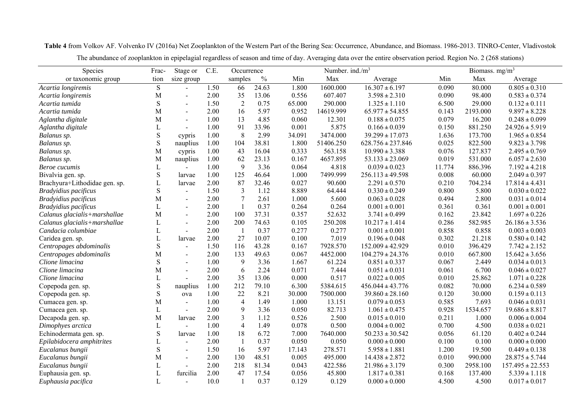| Species                       | Frac-       | Stage or       | C.E. | Occurrence     |               |        | Number. ind./ $m3$ |                       | Biomass. mg/m <sup>3</sup> |          |                      |
|-------------------------------|-------------|----------------|------|----------------|---------------|--------|--------------------|-----------------------|----------------------------|----------|----------------------|
| or taxonomic group            | tion        | size group     |      | samples        | $\frac{0}{0}$ | Min    | Max                | Average               | Min                        | Max      | Average              |
| Acartia longiremis            | $\mathbf S$ |                | 1.50 | 66             | 24.63         | 1.800  | 1600.000           | $16.307 \pm 6.197$    | 0.090                      | 80.000   | $0.805 \pm 0.310$    |
| Acartia longiremis            | M           | $\overline{a}$ | 2.00 | 35             | 13.06         | 0.556  | 607.407            | $3.598 \pm 2.310$     | 0.090                      | 98.400   | $0.583 \pm 0.374$    |
| Acartia tumida                | $\mathbf S$ |                | 1.50 | $\sqrt{2}$     | 0.75          | 65.000 | 290.000            | $1.325 \pm 1.110$     | 6.500                      | 29.000   | $0.132 \pm 0.111$    |
| Acartia tumida                | M           | $\sim$         | 2.00 | 16             | 5.97          | 0.952  | 14619.999          | $65.977 \pm 54.855$   | 0.143                      | 2193.000 | $9.897 \pm 8.228$    |
| Aglantha digitale             | M           | $\blacksquare$ | 1.00 | 13             | 4.85          | 0.060  | 12.301             | $0.188 \pm 0.075$     | 0.079                      | 16.200   | $0.248 \pm 0.099$    |
| Aglantha digitale             | L           | $\sim$         | 1.00 | 91             | 33.96         | 0.001  | 5.875              | $0.166 \pm 0.039$     | 0.150                      | 881.250  | $24.926 \pm 5.919$   |
| Balanus sp.                   | $\mathbf S$ | cypris         | 1.00 | 8              | 2.99          | 34.091 | 3474.000           | $39.299 \pm 17.073$   | 1.636                      | 173.700  | $1.965 \pm 0.854$    |
| Balanus sp.                   | $\mathbf S$ | nauplius       | 1.00 | 104            | 38.81         | 1.800  | 51406.250          | $628.756 \pm 237.846$ | 0.025                      | 822.500  | $9.823 \pm 3.798$    |
| Balanus sp.                   | M           | cypris         | 1.00 | 43             | 16.04         | 0.333  | 563.158            | $10.990 \pm 3.388$    | 0.076                      | 127.837  | $2.495 \pm 0.769$    |
| Balanus sp.                   | M           | nauplius       | 1.00 | 62             | 23.13         | 0.167  | 4657.895           | $53.133 \pm 23.069$   | 0.019                      | 531.000  | $6.057 \pm 2.630$    |
| Beroe cucumis                 | L           |                | 1.00 | 9              | 3.36          | 0.064  | 4.818              | $0.039 \pm 0.023$     | 11.774                     | 886.396  | $7.192 \pm 4.218$    |
| Bivalvia gen. sp.             | $\mathbf S$ | larvae         | 1.00 | 125            | 46.64         | 1.000  | 7499.999           | $256.113 \pm 49.598$  | 0.008                      | 60.000   | $2.049 \pm 0.397$    |
| Brachyura+Lithodidae gen. sp. | L           | larvae         | 2.00 | 87             | 32.46         | 0.027  | 90.600             | $2.291 \pm 0.570$     | 0.210                      | 704.234  | $17.814 \pm 4.431$   |
| Bradyidius pacificus          | $\mathbf S$ | $\blacksquare$ | 1.50 | 3              | 1.12          | 8.889  | 64.444             | $0.330 \pm 0.249$     | 0.800                      | 5.800    | $0.030 \pm 0.022$    |
| Bradyidius pacificus          | M           | $\sim$         | 2.00 | $\overline{7}$ | 2.61          | 1.000  | 5.600              | $0.063 \pm 0.028$     | 0.494                      | 2.800    | $0.031 \pm 0.014$    |
| Bradyidius pacificus          | L           | $\overline{a}$ | 2.00 | $\mathbf{1}$   | 0.37          | 0.264  | 0.264              | $0.001 \pm 0.001$     | 0.361                      | 0.361    | $0.001 \pm 0.001$    |
| Calanus glacialis+marshallae  | M           | $\sim$         | 2.00 | 100            | 37.31         | 0.357  | 52.632             | $3.741 \pm 0.499$     | 0.162                      | 23.842   | $1.697 \pm 0.226$    |
| Calanus glacialis+marshallae  | L           |                | 2.00 | 200            | 74.63         | 0.105  | 250.208            | $10.217 \pm 1.414$    | 0.286                      | 582.985  | $26.186 \pm 3.536$   |
| Candacia columbiae            | L           | $\overline{a}$ | 2.00 | $\overline{1}$ | 0.37          | 0.277  | 0.277              | $0.001 \pm 0.001$     | 0.858                      | 0.858    | $0.003 \pm 0.003$    |
| Caridea gen. sp.              | L           | larvae         | 2.00 | 27             | 10.07         | 0.100  | 7.019              | $0.196 \pm 0.048$     | 0.302                      | 21.218   | $0.580 \pm 0.142$    |
| Centropages abdominalis       | $\mathbf S$ | $\blacksquare$ | 1.50 | 116            | 43.28         | 0.167  | 7928.570           | $152.009 \pm 42.929$  | 0.010                      | 396.429  | $7.742 \pm 2.152$    |
| Centropages abdominalis       | M           | $\blacksquare$ | 2.00 | 133            | 49.63         | 0.067  | 4452.000           | $104.279 \pm 24.376$  | 0.010                      | 667.800  | $15.642 \pm 3.656$   |
| Clione limacina               | $\mathbf S$ | $\overline{a}$ | 1.00 | 9              | 3.36          | 1.667  | 61.224             | $0.851 \pm 0.337$     | 0.067                      | 2.449    | $0.034 \pm 0.013$    |
| Clione limacina               | M           | $\overline{a}$ | 2.00 | $\sqrt{6}$     | 2.24          | 0.071  | 7.444              | $0.051 \pm 0.031$     | 0.061                      | 6.700    | $0.046 \pm 0.027$    |
| Clione limacina               | L           |                | 2.00 | 35             | 13.06         | 0.000  | 0.517              | $0.022 \pm 0.005$     | 0.010                      | 25.862   | $1.071 \pm 0.228$    |
| Copepoda gen. sp.             | $\mathbf S$ | nauplius       | 1.00 | 212            | 79.10         | 6.300  | 5384.615           | $456.044 \pm 43.776$  | 0.082                      | 70.000   | $6.234 \pm 0.589$    |
| Copepoda gen. sp.             | S           | ova            | 1.00 | 22             | 8.21          | 30.000 | 7500.000           | $39.860 \pm 28.160$   | 0.120                      | 30.000   | $0.159 \pm 0.113$    |
| Cumacea gen. sp.              | M           | $\blacksquare$ | 1.00 | $\overline{4}$ | 1.49          | 1.000  | 13.151             | $0.079 \pm 0.053$     | 0.585                      | 7.693    | $0.046 \pm 0.031$    |
| Cumacea gen. sp.              | L           | $\blacksquare$ | 2.00 | 9              | 3.36          | 0.050  | 82.713             | $1.061 \pm 0.475$     | 0.928                      | 1534.657 | $19.686 \pm 8.817$   |
| Decapoda gen. sp.             | M           | larvae         | 2.00 | 3              | 1.12          | 0.526  | 2.500              | $0.015 \pm 0.010$     | 0.211                      | 1.000    | $0.006 \pm 0.004$    |
| Dimophyes arctica             | L           |                | 1.00 | $\overline{4}$ | 1.49          | 0.078  | 0.500              | $0.004 \pm 0.002$     | 0.700                      | 4.500    | $0.038 \pm 0.021$    |
| Echinodermata gen. sp.        | S           | larvae         | 1.00 | 18             | 6.72          | 7.000  | 7640.000           | $50.233 \pm 30.542$   | 0.056                      | 61.120   | $0.402 \pm 0.244$    |
| Epilabidocera amphitrites     |             | $\blacksquare$ | 2.00 | $\mathbf{1}$   | 0.37          | 0.050  | 0.050              | $0.000 \pm 0.000$     | 0.100                      | 0.100    | $0.000 \pm 0.000$    |
| Eucalanus bungii              | S           | $\sim$         | 1.50 | 16             | 5.97          | 17.143 | 278.571            | $5.958 \pm 1.881$     | 1.200                      | 19.500   | $0.449 \pm 0.138$    |
| Eucalanus bungii              | M           | $\sim$         | 2.00 | 130            | 48.51         | 0.005  | 495.000            | $14.438 \pm 2.872$    | 0.010                      | 990.000  | $28.875 \pm 5.744$   |
| Eucalanus bungii              | L           |                | 2.00 | 218            | 81.34         | 0.043  | 422.586            | $21.986 \pm 3.179$    | 0.300                      | 2958.100 | $157.495 \pm 22.553$ |
| Euphausia gen. sp.            | L           | furcilia       | 2.00 | 47             | 17.54         | 0.056  | 45.800             | $1.817 \pm 0.381$     | 0.168                      | 137.400  | $5.339 \pm 1.118$    |
| Euphausia pacifica            | L           |                | 10.0 |                | 0.37          | 0.129  | 0.129              | $0.000 \pm 0.000$     | 4.500                      | 4.500    | $0.017 \pm 0.017$    |

**Table 4** from Volkov AF. Volvenko IV (2016a) Net Zooplankton of the Western Part of the Bering Sea: Occurrence, Abundance, and Biomass. 1986-2013. TINRO-Center, Vladivostok

The abundance of zooplankton in epipelagial regardless of season and time of day. Averaging data over the entire observation period. Region No. 2 (268 stations)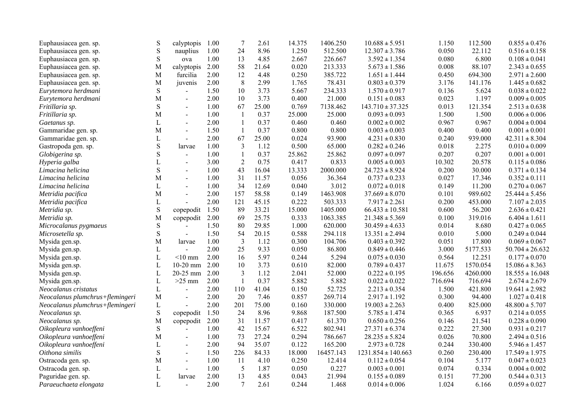| Euphausiacea gen. sp.           | $\mathbf S$  | calyptopis     | 1.00 | $\boldsymbol{7}$        | 2.61  | 14.375 | 1406.250  | $10.688 \pm 5.951$     | 1.150   | 112.500  | $0.855 \pm 0.476$   |
|---------------------------------|--------------|----------------|------|-------------------------|-------|--------|-----------|------------------------|---------|----------|---------------------|
| Euphausiacea gen. sp.           | ${\bf S}$    | nauplius       | 1.00 | 24                      | 8.96  | 1.250  | 512.500   | $12.307 \pm 3.786$     | 0.050   | 22.112   | $0.516 \pm 0.158$   |
| Euphausiacea gen. sp.           | $\mathbf S$  | ova            | 1.00 | 13                      | 4.85  | 2.667  | 226.667   | $3.592 \pm 1.354$      | 0.080   | 6.800    | $0.108 \pm 0.041$   |
| Euphausiacea gen. sp.           | M            | calyptopis     | 2.00 | 58                      | 21.64 | 0.020  | 213.333   | $5.673 \pm 1.586$      | 0.008   | 88.107   | $2.343 \pm 0.655$   |
| Euphausiacea gen. sp.           | M            | furcilia       | 2.00 | 12                      | 4.48  | 0.250  | 385.722   | $1.651 \pm 1.444$      | 0.450   | 694.300  | $2.971 \pm 2.600$   |
| Euphausiacea gen. sp.           | M            | juvenis        | 2.00 | 8                       | 2.99  | 1.765  | 78.431    | $0.803 \pm 0.379$      | 3.176   | 141.176  | $1.445 \pm 0.682$   |
| Eurytemora herdmani             | $\mathbf S$  | $\overline{a}$ | 1.50 | 10                      | 3.73  | 5.667  | 234.333   | $1.570 \pm 0.917$      | 0.136   | 5.624    | $0.038 \pm 0.022$   |
| Eurytemora herdmani             | M            | $\blacksquare$ | 2.00 | 10                      | 3.73  | 0.400  | 21.000    | $0.151 \pm 0.083$      | 0.023   | 1.197    | $0.009 \pm 0.005$   |
| Fritillaria sp.                 | $\mathbf S$  | $\overline{a}$ | 1.00 | 67                      | 25.00 | 0.769  | 7138.462  | $143.710 \pm 37.325$   | 0.013   | 121.354  | $2.513 \pm 0.638$   |
| Fritillaria sp.                 | M            | $\sim$         | 1.00 | $\overline{\mathbf{1}}$ | 0.37  | 25.000 | 25.000    | $0.093 \pm 0.093$      | 1.500   | 1.500    | $0.006 \pm 0.006$   |
| Gaetanus sp.                    | $\mathbf L$  |                | 2.00 | $\mathbf{1}$            | 0.37  | 0.460  | 0.460     | $0.002 \pm 0.002$      | 0.967   | 0.967    | $0.004 \pm 0.004$   |
| Gammaridae gen. sp.             | М            | $\sim$         | 1.50 | $\overline{1}$          | 0.37  | 0.800  | 0.800     | $0.003 \pm 0.003$      | 0.400   | 0.400    | $0.001 \pm 0.001$   |
| Gammaridae gen. sp.             | L            | $\blacksquare$ | 2.00 | 67                      | 25.00 | 0.024  | 93.900    | $4.231 \pm 0.830$      | 0.240   | 939.000  | $42.311 \pm 8.304$  |
| Gastropoda gen. sp.             | $\mathbf S$  | larvae         | 1.00 | $\overline{3}$          | 1.12  | 0.500  | 65.000    | $0.282 \pm 0.246$      | 0.018   | 2.275    | $0.010 \pm 0.009$   |
| Globigerina sp.                 | $\mathbf S$  | $\blacksquare$ | 1.00 | $\mathbf{1}$            | 0.37  | 25.862 | 25.862    | $0.097 \pm 0.097$      | 0.207   | 0.207    | $0.001 \pm 0.001$   |
| Hyperia galba                   | $\mathbf{L}$ | $\blacksquare$ | 3.00 | $\sqrt{2}$              | 0.75  | 0.417  | 0.833     | $0.005\pm0.003$        | 10.302  | 20.578   | $0.115 \pm 0.086$   |
| Limacina helicina               | $\mathbf S$  | $\overline{a}$ | 1.00 | 43                      | 16.04 | 13.333 | 2000.000  | $24.723 \pm 8.924$     | 0.200   | 30.000   | $0.371 \pm 0.134$   |
| Limacina helicina               | М            | $\blacksquare$ | 1.00 | 31                      | 11.57 | 0.056  | 36.364    | $0.737 \pm 0.233$      | 0.027   | 17.346   | $0.352 \pm 0.111$   |
| Limacina helicina               | $\mathbf L$  | $\overline{a}$ | 1.00 | 34                      | 12.69 | 0.040  | 3.012     | $0.072 \pm 0.018$      | 0.149   | 11.200   | $0.270 \pm 0.067$   |
| Metridia pacifica               | M            | $\overline{a}$ | 2.00 | 157                     | 58.58 | 0.149  | 1463.908  | $37.669 \pm 8.070$     | 0.101   | 989.602  | $25.444 \pm 5.456$  |
| Metridia pacifica               | $\mathbf L$  |                | 2.00 | 121                     | 45.15 | 0.222  | 503.333   | $7.917 \pm 2.261$      | 0.200   | 453.000  | $7.107 \pm 2.035$   |
| Metridia sp.                    | ${\bf S}$    | copepodit      | 1.50 | 89                      | 33.21 | 15.000 | 1405.000  | $66.433 \pm 10.581$    | 0.600   | 56.200   | $2.636 \pm 0.421$   |
| Metridia sp.                    | М            | copepodit      | 2.00 | 69                      | 25.75 | 0.333  | 1063.385  | $21.348 \pm 5.369$     | 0.100   | 319.016  | $6.404 \pm 1.611$   |
| Microcalanus pygmaeus           | ${\bf S}$    |                | 1.50 | 80                      | 29.85 | 1.000  | 620.000   | $30.459 \pm 4.633$     | 0.014   | 8.680    | $0.427 \pm 0.065$   |
| Microsetella sp.                | $\mathbf S$  | $\mathbf{r}$   | 1.50 | 54                      | 20.15 | 0.588  | 294.118   | $13.351 \pm 2.494$     | 0.010   | 5.000    | $0.249 \pm 0.044$   |
| Mysida gen.sp.                  | M            | larvae         | 1.00 | $\mathfrak{Z}$          | 1.12  | 0.300  | 104.706   | $0.403 \pm 0.392$      | 0.051   | 17.800   | $0.069 \pm 0.067$   |
| Mysida gen.sp.                  | L            |                | 2.00 | 25                      | 9.33  | 0.050  | 86.800    | $0.849 \pm 0.446$      | 3.000   | 5177.533 | $50.704 \pm 26.632$ |
| Mysida gen.sp.                  | $\mathbf L$  | $<$ 10 mm      | 2.00 | 16                      | 5.97  | 0.244  | 5.294     | $0.075 \pm 0.030$      | 0.564   | 12.251   | $0.177 \pm 0.070$   |
| Mysida gen.sp.                  | $\mathbf L$  | $10-20$ mm     | 2.00 | 10                      | 3.73  | 0.610  | 82.000    | $0.789 \pm 0.437$      | 11.675  | 1570.054 | $15.086 \pm 8.363$  |
| Mysida gen.sp.                  | $\mathbf L$  | 20-25 mm       | 2.00 | $\mathfrak{Z}$          | 1.12  | 2.041  | 52.000    | $0.222 \pm 0.195$      | 196.656 | 4260.000 | $18.555 \pm 16.048$ |
| Mysida gen.sp.                  | $\mathbf L$  | $>25$ mm       | 2.00 | $\mathbf{1}$            | 0.37  | 5.882  | 5.882     | $0.022 \pm 0.022$      | 716.694 | 716.694  | $2.674 \pm 2.679$   |
| Neocalanus cristatus            | $\mathbf L$  | $\blacksquare$ | 2.00 | 110                     | 41.04 | 0.150  | 52.725    | $2.213 \pm 0.354$      | 1.500   | 421.800  | $19.641 \pm 2.982$  |
| Neocalanus plumchrus+flemingeri | M            | $\blacksquare$ | 2.00 | 20                      | 7.46  | 0.857  | 269.714   | $2.917 \pm 1.192$      | 0.300   | 94.400   | $1.027 \pm 0.418$   |
| Neocalanus plumchrus+flemingeri | $\mathbf L$  |                | 2.00 | 201                     | 75.00 | 0.160  | 330.000   | $19.003 \pm 2.263$     | 0.400   | 825.000  | $48.800 \pm 5.707$  |
| Neocalanus sp.                  | ${\bf S}$    | copepodit      | 1.50 | 24                      | 8.96  | 9.868  | 187.500   | $5.785 \pm 1.474$      | 0.365   | 6.937    | $0.214 \pm 0.055$   |
| Neocalanus sp.                  | M            | copepodit      | 2.00 | 31                      | 11.57 | 0.417  | 61.370    | $0.650 \pm 0.256$      | 0.146   | 21.541   | $0.228 \pm 0.090$   |
| Oikopleura vanhoeffeni          | $\mathbf S$  |                | 1.00 | 42                      | 15.67 | 6.522  | 802.941   | $27.371 \pm 6.374$     | 0.222   | 27.300   | $0.931 \pm 0.217$   |
| Oikopleura vanhoeffeni          | M            | $\sim$         | 1.00 | 73                      | 27.24 | 0.294  | 786.667   | $28.235 \pm 5.824$     | 0.026   | 70.800   | $2.494 \pm 0.516$   |
| Oikopleura vanhoeffeni          | $\mathbf L$  | $\blacksquare$ | 2.00 | 94                      | 35.07 | 0.122  | 165.200   | $2.973 \pm 0.728$      | 0.244   | 330.400  | $5.946 \pm 1.457$   |
| Oithona similis                 | $\mathbf S$  | $\overline{a}$ | 1.50 | 226                     | 84.33 | 18.000 | 16457.143 | $1231.854 \pm 140.663$ | 0.260   | 230.400  | $17.549 \pm 1.975$  |
| Ostracoda gen. sp.              | М            | $\sim$         | 1.00 | 11                      | 4.10  | 0.250  | 12.414    | $0.112 \pm 0.054$      | 0.104   | 5.177    | $0.047 \pm 0.023$   |
| Ostracoda gen. sp.              | L            | $\sim$         | 1.00 | 5                       | 1.87  | 0.050  | 0.227     | $0.003 \pm 0.001$      | 0.074   | 0.334    | $0.004 \pm 0.002$   |
| Paguridae gen. sp.              | $\mathbf L$  | larvae         | 2.00 | 13                      | 4.85  | 0.043  | 21.994    | $0.155 \pm 0.089$      | 0.151   | 77.200   | $0.544 \pm 0.313$   |
| Paraeuchaeta elongata           | $\mathbf{L}$ | $\sim$         | 2.00 | $\tau$                  | 2.61  | 0.244  | 1.468     | $0.014 \pm 0.006$      | 1.024   | 6.166    | $0.059 \pm 0.027$   |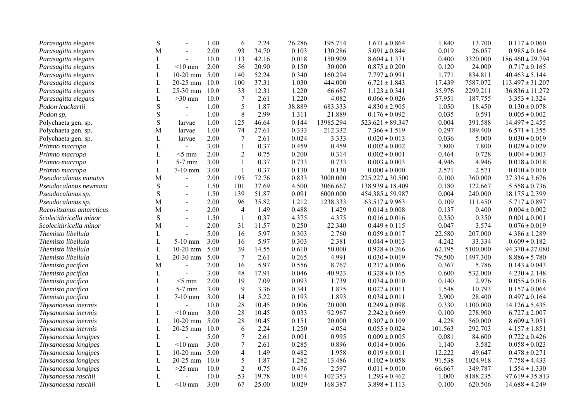| Parasagitta elegans      | S            |                | 1.00 | 6                        | 2.24  | 26.286 | 195.714   | $1.671 \pm 0.864$    | 1.840   | 13.700   | $0.117 \pm 0.060$    |
|--------------------------|--------------|----------------|------|--------------------------|-------|--------|-----------|----------------------|---------|----------|----------------------|
| Parasagitta elegans      | М            | $\sim$         | 2.00 | 93                       | 34.70 | 0.103  | 130.286   | $5.091 \pm 0.844$    | 0.019   | 26.057   | $0.985 \pm 0.164$    |
| Parasagitta elegans      | L            | $\overline{a}$ | 10.0 | 113                      | 42.16 | 0.018  | 150.909   | $8.604 \pm 1.371$    | 0.400   | 3320.000 | $186.460 \pm 29.794$ |
| Parasagitta elegans      | L            | $<$ 10 mm      | 2.00 | 56                       | 20.90 | 0.150  | 30.000    | $0.875 \pm 0.200$    | 0.120   | 24.000   | $0.717 \pm 0.165$    |
| Parasagitta elegans      | $\mathbf L$  | $10-20$ mm     | 5.00 | 140                      | 52.24 | 0.340  | 160.294   | $7.797 \pm 0.991$    | 1.771   | 834.811  | $40.463 \pm 5.144$   |
| Parasagitta elegans      | L            | 20-25 mm       | 10.0 | 100                      | 37.31 | 1.030  | 444.000   | $6.721 \pm 1.843$    | 17.439  | 7587.072 | $113.497 \pm 31.207$ |
| Parasagitta elegans      | L            | 25-30 mm       | 10.0 | 33                       | 12.31 | 1.220  | 66.667    | $1.123 \pm 0.341$    | 35.976  | 2299.211 | $36.836 \pm 11.272$  |
| Parasagitta elegans      | $\mathbf L$  | $>30$ mm       | 10.0 | $\overline{7}$           | 2.61  | 1.220  | 4.082     | $0.066 \pm 0.026$    | 57.951  | 187.755  | $3.353 \pm 1.324$    |
| Podon leuckartii         | ${\bf S}$    | $\overline{a}$ | 1.00 | 5                        | 1.87  | 38.889 | 683.333   | $4.830 \pm 2.905$    | 1.050   | 18.450   | $0.130 \pm 0.078$    |
| Podon sp.                | ${\bf S}$    | $\omega$       | 1.00 | $\,8\,$                  | 2.99  | 1.311  | 21.889    | $0.176 \pm 0.092$    | 0.035   | 0.591    | $0.005 \pm 0.002$    |
| Polychaeta gen. sp.      | $\mathbf S$  | larvae         | 1.00 | 125                      | 46.64 | 0.144  | 13985.294 | $523.621 \pm 89.347$ | 0.004   | 391.588  | $14.497 \pm 2.455$   |
| Polychaeta gen. sp.      | М            | larvae         | 1.00 | 74                       | 27.61 | 0.333  | 212.332   | $7.366 \pm 1.519$    | 0.297   | 189.400  | $6.571 \pm 1.355$    |
| Polychaeta gen. sp.      | L            | larvae         | 2.00 | $\overline{7}$           | 2.61  | 0.024  | 3.333     | $0.020 \pm 0.013$    | 0.036   | 5.000    | $0.030 \pm 0.019$    |
| Primno macropa           | $\mathbf L$  | $\overline{a}$ | 3.00 | $\mathbf{1}$             | 0.37  | 0.459  | 0.459     | $0.002 \pm 0.002$    | 7.800   | 7.800    | $0.029 \pm 0.029$    |
| Primno macropa           | $\mathbf L$  | $<$ 5 mm       | 2.00 | $\mathbf{2}$             | 0.75  | 0.200  | 0.314     | $0.002 \pm 0.001$    | 0.464   | 0.728    | $0.004 \pm 0.003$    |
| Primno macropa           | $\mathbf L$  | $5-7$ mm       | 3.00 | $\mathbf{1}$             | 0.37  | 0.733  | 0.733     | $0.003 \pm 0.003$    | 4.946   | 4.946    | $0.018 \pm 0.018$    |
| Primno macropa           | L            | $7-10$ mm      | 3.00 | $\mathbf{1}$             | 0.37  | 0.130  | 0.130     | $0.000\pm0.000$      | 2.571   | 2.571    | $0.010 \pm 0.010$    |
| Pseudocalanus minutus    | M            | $\blacksquare$ | 2.00 | 195                      | 72.76 | 0.833  | 3000.000  | $225.227 \pm 30.500$ | 0.100   | 360.000  | $27.334 \pm 3.676$   |
| Pseudocalanus newmani    | ${\bf S}$    | $\blacksquare$ | 1.50 | 101                      | 37.69 | 4.500  | 3066.667  | $138.939 \pm 18.409$ | 0.180   | 122.667  | $5.558 \pm 0.736$    |
| Pseudocalanus sp.        | ${\bf S}$    | $\sim$         | 1.50 | 139                      | 51.87 | 0.091  | 6000.000  | $454.385 \pm 59.987$ | 0.004   | 240.000  | $18.175 \pm 2.399$   |
| Pseudocalanus sp.        | M            |                | 2.00 | 96                       | 35.82 | 1.212  | 1238.333  | $63.517 \pm 9.963$   | 0.109   | 111.450  | $5.717 \pm 0.897$    |
| Racovitzanus antarcticus | M            | $\sim$         | 2.00 | $\overline{4}$           | 1.49  | 0.488  | 1.429     | $0.014 \pm 0.008$    | 0.137   | 0.400    | $0.004 \pm 0.002$    |
| Scolecithricella minor   | S            | $\blacksquare$ | 1.50 | $\mathbf{1}$             | 0.37  | 4.375  | 4.375     | $0.016 \pm 0.016$    | 0.350   | 0.350    | $0.001 \pm 0.001$    |
| Scolecithricella minor   | M            | $\overline{a}$ | 2.00 | 31                       | 11.57 | 0.250  | 22.340    | $0.449 \pm 0.115$    | 0.047   | 3.574    | $0.076 \pm 0.019$    |
| Themisto libellula       | L            |                | 5.00 | 16                       | 5.97  | 0.303  | 2.760     | $0.059 \pm 0.017$    | 22.580  | 207.000  | $4.386 \pm 1.289$    |
| Themisto libellula       | $\mathbf L$  | $5-10$ mm      | 3.00 | 16                       | 5.97  | 0.303  | 2.381     | $0.044 \pm 0.013$    | 4.242   | 33.334   | $0.609 \pm 0.182$    |
| Themisto libellula       | L            | $10-20$ mm     | 5.00 | 39                       | 14.55 | 0.610  | 50.000    | $0.928 \pm 0.266$    | 62.195  | 5100.000 | $94.370 \pm 27.080$  |
| Themisto libellula       | $\mathbf L$  | 20-30 mm       | 5.00 | $\overline{7}$           | 2.61  | 0.265  | 4.991     | $0.030 \pm 0.019$    | 79.500  | 1497.300 | $8.886 \pm 5.780$    |
| Themisto pacifica        | M            | $\blacksquare$ | 2.00 | 16                       | 5.97  | 0.556  | 8.767     | $0.217 \pm 0.066$    | 0.367   | 5.786    | $0.143 \pm 0.043$    |
| Themisto pacifica        | L            | $\overline{a}$ | 3.00 | 48                       | 17.91 | 0.046  | 40.923    | $0.328 \pm 0.165$    | 0.600   | 532.000  | $4.230 \pm 2.148$    |
| Themisto pacifica        | $\mathbf L$  | $<$ 5 mm       | 2.00 | 19                       | 7.09  | 0.093  | 1.739     | $0.034 \pm 0.010$    | 0.140   | 2.976    | $0.055 \pm 0.016$    |
| Themisto pacifica        | L            | $5-7$ mm       | 3.00 | 9                        | 3.36  | 0.341  | 1.875     | $0.027 \pm 0.011$    | 1.548   | 10.793   | $0.157 \pm 0.064$    |
| Themisto pacifica        | $\mathbf L$  | $7-10$ mm      | 3.00 | 14                       | 5.22  | 0.193  | 1.893     | $0.034 \pm 0.011$    | 2.900   | 28.400   | $0.497 \pm 0.164$    |
| Thysanoessa inermis      | $\mathbf L$  |                | 10.0 | 28                       | 10.45 | 0.006  | 20.000    | $0.249 \pm 0.098$    | 0.330   | 1100.000 | $14.126 \pm 5.435$   |
| Thysanoessa inermis      | L            | $<$ 10 mm      | 3.00 | 28                       | 10.45 | 0.033  | 92.967    | $2.242 \pm 0.669$    | 0.100   | 278.900  | $6.727 \pm 2.007$    |
| Thysanoessa inermis      | $\mathbf{L}$ | $10-20$ mm     | 5.00 | 28                       | 10.45 | 0.151  | 20.000    | $0.307 \pm 0.109$    | 4.228   | 560.000  | $8.609 \pm 3.051$    |
| Thysanoessa inermis      | $\mathbf L$  | 20-25 mm       | 10.0 | 6                        | 2.24  | 1.250  | 4.054     | $0.055\pm0.024$      | 101.563 | 292.703  | $4.157 \pm 1.851$    |
| Thysanoessa longipes     | L            | $\blacksquare$ | 5.00 | $\overline{7}$           | 2.61  | 0.001  | 0.995     | $0.009 \pm 0.005$    | 0.081   | 84.600   | $0.722 \pm 0.426$    |
| Thysanoessa longipes     | $\mathbf L$  | $<$ 10 mm      | 3.00 | $\overline{7}$           | 2.61  | 0.285  | 0.896     | $0.014 \pm 0.006$    | 1.140   | 3.582    | $0.058 \pm 0.023$    |
| Thysanoessa longipes     | L            | $10-20$ mm     | 5.00 | $\overline{\mathcal{A}}$ | 1.49  | 0.482  | 1.958     | $0.019 \pm 0.011$    | 12.222  | 49.647   | $0.478 \pm 0.271$    |
| Thysanoessa longipes     | L            | 20-25 mm       | 10.0 | 5                        | 1.87  | 1.282  | 13.486    | $0.102 \pm 0.058$    | 91.538  | 1024.918 | $7.758 \pm 4.433$    |
| Thysanoessa longipes     | L            | $>25$ mm       | 10.0 | $\sqrt{2}$               | 0.75  | 0.476  | 2.597     | $0.011 \pm 0.010$    | 66.667  | 349.787  | $1.554 \pm 1.330$    |
| Thysanoessa raschii      | L            |                | 10.0 | 53                       | 19.78 | 0.014  | 102.353   | $1.293 \pm 0.462$    | 1.000   | 8188.235 | $97.619 \pm 35.813$  |
| Thysanoessa raschii      | $\mathbf{L}$ | $<$ 10 mm      | 3.00 | 67                       | 25.00 | 0.029  | 168.387   | $3.898 \pm 1.113$    | 0.100   | 620.506  | $14.688 \pm 4.249$   |
|                          |              |                |      |                          |       |        |           |                      |         |          |                      |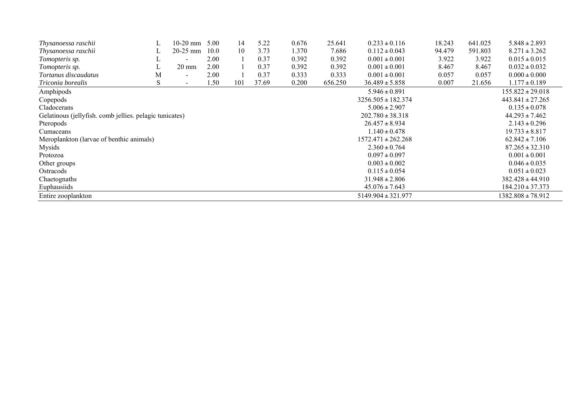| Thysanoessa raschii                                     |   | $10-20$ mm      | 5.00 | 14  | 5.22  | 0.676 | 25.641  | $0.233 \pm 0.116$      | 18.243 | 641.025 | $5.848 \pm 2.893$     |
|---------------------------------------------------------|---|-----------------|------|-----|-------|-------|---------|------------------------|--------|---------|-----------------------|
| Thysanoessa raschii                                     |   | $20-25$ mm      | 10.0 | 10  | 3.73  | 1.370 | 7.686   | $0.112 \pm 0.043$      | 94.479 | 591.803 | $8.271 \pm 3.262$     |
| Tomopteris sp.                                          |   |                 | 2.00 |     | 0.37  | 0.392 | 0.392   | $0.001 \pm 0.001$      | 3.922  | 3.922   | $0.015 \pm 0.015$     |
| Tomopteris sp.                                          |   | $20 \text{ mm}$ | 2.00 |     | 0.37  | 0.392 | 0.392   | $0.001 \pm 0.001$      | 8.467  | 8.467   | $0.032 \pm 0.032$     |
| Tortanus discaudatus                                    | Μ |                 | 2.00 |     | 0.37  | 0.333 | 0.333   | $0.001 \pm 0.001$      | 0.057  | 0.057   | $0.000 \pm 0.000$     |
| Triconia borealis                                       | S |                 | 1.50 | 101 | 37.69 | 0.200 | 656.250 | $36.489 \pm 5.858$     | 0.007  | 21.656  | $1.177 \pm 0.189$     |
| Amphipods                                               |   |                 |      |     |       |       |         | $5.946 \pm 0.891$      |        |         | $155.822 \pm 29.018$  |
| Copepods                                                |   |                 |      |     |       |       |         | $3256.505 \pm 182.374$ |        |         | $443.841 \pm 27.265$  |
| Cladocerans                                             |   |                 |      |     |       |       |         | $5.006 \pm 2.907$      |        |         | $0.135 \pm 0.078$     |
| Gelatinous (jellyfish. comb jellies. pelagic tunicates) |   |                 |      |     |       |       |         | $202.780 \pm 38.318$   |        |         | $44.293 \pm 7.462$    |
| Pteropods                                               |   |                 |      |     |       |       |         | $26.457 \pm 8.934$     |        |         | $2.143 \pm 0.296$     |
| Cumaceans                                               |   |                 |      |     |       |       |         | $1.140 \pm 0.478$      |        |         | $19.733 \pm 8.817$    |
| Meroplankton (larvae of benthic animals)                |   |                 |      |     |       |       |         | $1572.471 \pm 262.268$ |        |         | $62.842 \pm 7.106$    |
| Mysids                                                  |   |                 |      |     |       |       |         | $2.360 \pm 0.764$      |        |         | $87.265 \pm 32.310$   |
| Protozoa                                                |   |                 |      |     |       |       |         | $0.097 \pm 0.097$      |        |         | $0.001 \pm 0.001$     |
| Other groups                                            |   |                 |      |     |       |       |         | $0.003 \pm 0.002$      |        |         | $0.046 \pm 0.035$     |
| Ostracods                                               |   |                 |      |     |       |       |         | $0.115 \pm 0.054$      |        |         | $0.051 \pm 0.023$     |
| Chaetognaths                                            |   |                 |      |     |       |       |         | $31.948 \pm 2.806$     |        |         | $382.428 \pm 44.910$  |
| Euphausiids                                             |   |                 |      |     |       |       |         | $45.076 \pm 7.643$     |        |         | $184.210 \pm 37.373$  |
| Entire zooplankton                                      |   |                 |      |     |       |       |         | $5149.904 \pm 321.977$ |        |         | $1382.808 \pm 78.912$ |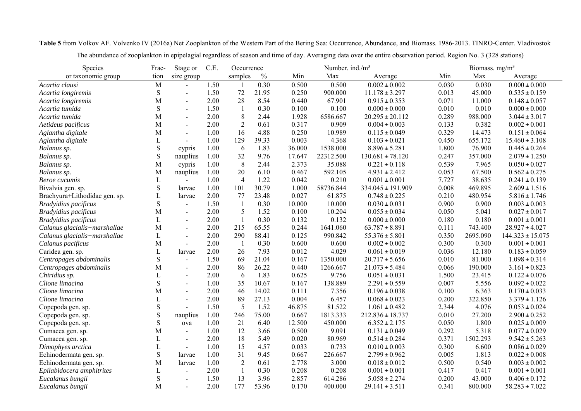| Species                       | Frac-        | Stage or       | C.E. | Occurrence     |               |        | Number. ind./m <sup>3</sup> |                       |       | Biomass. mg/m <sup>3</sup> |                      |  |
|-------------------------------|--------------|----------------|------|----------------|---------------|--------|-----------------------------|-----------------------|-------|----------------------------|----------------------|--|
| or taxonomic group            | tion         | size group     |      | samples        | $\frac{0}{0}$ | Min    | Max                         | Average               | Min   | Max                        | Average              |  |
| Acartia clausi                | M            | $\blacksquare$ | 1.50 |                | 0.30          | 0.500  | 0.500                       | $0.002 \pm 0.002$     | 0.030 | 0.030                      | $0.000 \pm 0.000$    |  |
| Acartia longiremis            | $\mathbf S$  | $\overline{a}$ | 1.50 | 72             | 21.95         | 0.250  | 900.000                     | $11.178 \pm 3.297$    | 0.013 | 45.000                     | $0.535 \pm 0.159$    |  |
| Acartia longiremis            | М            | $\blacksquare$ | 2.00 | 28             | 8.54          | 0.440  | 67.901                      | $0.915 \pm 0.353$     | 0.071 | 11.000                     | $0.148 \pm 0.057$    |  |
| Acartia tumida                | ${\bf S}$    | $\overline{a}$ | 1.50 | -1             | 0.30          | 0.100  | 0.100                       | $0.000 \pm 0.000$     | 0.010 | 0.010                      | $0.000 \pm 0.000$    |  |
| Acartia tumida                | М            | $\blacksquare$ | 2.00 | 8              | 2.44          | 1.928  | 6586.667                    | $20.295 \pm 20.112$   | 0.289 | 988.000                    | $3.044 \pm 3.017$    |  |
| Aetideus pacificus            | М            | $\overline{a}$ | 2.00 | $\overline{2}$ | 0.61          | 0.317  | 0.909                       | $0.004 \pm 0.003$     | 0.133 | 0.382                      | $0.002 \pm 0.001$    |  |
| Aglantha digitale             | М            | $\overline{a}$ | 1.00 | 16             | 4.88          | 0.250  | 10.989                      | $0.115 \pm 0.049$     | 0.329 | 14.473                     | $0.151 \pm 0.064$    |  |
| Aglantha digitale             | L            | $\overline{a}$ | 1.00 | 129            | 39.33         | 0.003  | 4.368                       | $0.103 \pm 0.021$     | 0.450 | 655.172                    | $15.460 \pm 3.108$   |  |
| Balanus sp.                   | $\mathbf S$  | cypris         | 1.00 | 6              | 1.83          | 36.000 | 1538.000                    | $8.896 \pm 5.281$     | 1.800 | 76.900                     | $0.445 \pm 0.264$    |  |
| Balanus sp.                   | $\mathbf S$  | nauplius       | 1.00 | 32             | 9.76          | 17.647 | 22312.500                   | $130.681 \pm 78.120$  | 0.247 | 357.000                    | $2.079 \pm 1.250$    |  |
| Balanus sp.                   | M            | cypris         | 1.00 | 8              | 2.44          | 2.373  | 35.088                      | $0.221 \pm 0.118$     | 0.539 | 7.965                      | $0.050 \pm 0.027$    |  |
| Balanus sp.                   | M            | nauplius       | 1.00 | 20             | 6.10          | 0.467  | 592.105                     | $4.931 \pm 2.412$     | 0.053 | 67.500                     | $0.562 \pm 0.275$    |  |
| Beroe cucumis                 | L            |                | 1.00 | $\overline{4}$ | 1.22          | 0.042  | 0.210                       | $0.001 \pm 0.001$     | 7.727 | 38.635                     | $0.241 \pm 0.139$    |  |
| Bivalvia gen. sp.             | ${\bf S}$    | larvae         | 1.00 | 101            | 30.79         | 1.000  | 58736.844                   | $334.045 \pm 191.909$ | 0.008 | 469.895                    | $2.609 \pm 1.516$    |  |
| Brachyura+Lithodidae gen. sp. | L            | larvae         | 2.00 | 77             | 23.48         | 0.027  | 61.875                      | $0.748 \pm 0.225$     | 0.210 | 480.954                    | $5.816 \pm 1.746$    |  |
| Bradyidius pacificus          | $\mathbf S$  | $\overline{a}$ | 1.50 | $\mathbf{1}$   | 0.30          | 10.000 | 10.000                      | $0.030 \pm 0.031$     | 0.900 | 0.900                      | $0.003 \pm 0.003$    |  |
| Bradyidius pacificus          | M            | $\blacksquare$ | 2.00 | 5              | 1.52          | 0.100  | 10.204                      | $0.055 \pm 0.034$     | 0.050 | 5.041                      | $0.027 \pm 0.017$    |  |
| Bradyidius pacificus          | L            | $\blacksquare$ | 2.00 | $\mathbf{1}$   | 0.30          | 0.132  | 0.132                       | $0.000 \pm 0.000$     | 0.180 | 0.180                      | $0.001 \pm 0.001$    |  |
| Calanus glacialis+marshallae  | М            | $\blacksquare$ | 2.00 | 215            | 65.55         | 0.244  | 1641.060                    | $63.787 \pm 8.891$    | 0.111 | 743.400                    | $28.927 \pm 4.027$   |  |
| Calanus glacialis+marshallae  | L            | $\overline{a}$ | 2.00 | 290            | 88.41         | 0.125  | 990.842                     | $55.376 \pm 5.801$    | 0.350 | 2695.090                   | $144.323 \pm 15.075$ |  |
| Calanus pacificus             | M            | $\overline{a}$ | 2.00 | $\overline{1}$ | 0.30          | 0.600  | 0.600                       | $0.002 \pm 0.002$     | 0.300 | 0.300                      | $0.001 \pm 0.001$    |  |
| Caridea gen. sp.              | L            | larvae         | 2.00 | 26             | 7.93          | 0.012  | 4.029                       | $0.061 \pm 0.019$     | 0.036 | 12.180                     | $0.183 \pm 0.059$    |  |
| Centropages abdominalis       | S            |                | 1.50 | 69             | 21.04         | 0.167  | 1350.000                    | $20.717 \pm 5.656$    | 0.010 | 81.000                     | $1.098 \pm 0.314$    |  |
| Centropages abdominalis       | М            | $\overline{a}$ | 2.00 | 86             | 26.22         | 0.440  | 1266.667                    | $21.073 \pm 5.484$    | 0.066 | 190.000                    | $3.161 \pm 0.823$    |  |
| Chiridius sp.                 | L            | $\blacksquare$ | 2.00 | 6              | 1.83          | 0.625  | 9.756                       | $0.051 \pm 0.031$     | 1.500 | 23.415                     | $0.122 \pm 0.076$    |  |
| Clione limacina               | S            |                | 1.00 | 35             | 10.67         | 0.167  | 138.889                     | $2.291 \pm 0.559$     | 0.007 | 5.556                      | $0.092 \pm 0.022$    |  |
| Clione limacina               | М            | $\overline{a}$ | 2.00 | 46             | 14.02         | 0.111  | 7.356                       | $0.196 \pm 0.038$     | 0.100 | 6.363                      | $0.170 \pm 0.033$    |  |
| Clione limacina               | L            | $\overline{a}$ | 2.00 | 89             | 27.13         | 0.004  | 6.457                       | $0.068 \pm 0.023$     | 0.200 | 322.850                    | $3.379 \pm 1.126$    |  |
| Copepoda gen. sp.             | ${\bf S}$    |                | 1.50 | 5              | 1.52          | 46.875 | 81.522                      | $1.061 \pm 0.482$     | 2.344 | 4.076                      | $0.053 \pm 0.024$    |  |
| Copepoda gen. sp.             | $\mathbf S$  | nauplius       | 1.00 | 246            | 75.00         | 0.667  | 1813.333                    | $212.836 \pm 18.737$  | 0.010 | 27.200                     | $2.900 \pm 0.252$    |  |
| Copepoda gen. sp.             | S            | ova            | 1.00 | 21             | 6.40          | 12.500 | 450.000                     | $6.352 \pm 2.175$     | 0.050 | 1.800                      | $0.025 \pm 0.009$    |  |
| Cumacea gen. sp.              | М            | $\blacksquare$ | 1.00 | 12             | 3.66          | 0.500  | 9.091                       | $0.131 \pm 0.049$     | 0.292 | 5.318                      | $0.077 \pm 0.029$    |  |
| Cumacea gen. sp.              | L            |                | 2.00 | 18             | 5.49          | 0.020  | 80.969                      | $0.514 \pm 0.284$     | 0.371 | 1502.293                   | $9.542 \pm 5.263$    |  |
| Dimophyes arctica             | $\mathbf{L}$ | $\overline{a}$ | 1.00 | 15             | 4.57          | 0.033  | 0.733                       | $0.010 \pm 0.003$     | 0.300 | 6.600                      | $0.086 \pm 0.029$    |  |
| Echinodermata gen. sp.        | $\mathbf S$  | larvae         | 1.00 | 31             | 9.45          | 0.667  | 226.667                     | $2.799 \pm 0.962$     | 0.005 | 1.813                      | $0.022 \pm 0.008$    |  |
| Echinodermata gen. sp.        | M            | larvae         | 1.00 | $\overline{2}$ | 0.61          | 2.778  | 3.000                       | $0.018 \pm 0.012$     | 0.500 | 0.540                      | $0.003 \pm 0.002$    |  |
| Epilabidocera amphitrites     | L            | $\blacksquare$ | 2.00 | $\mathbf{1}$   | 0.30          | 0.208  | 0.208                       | $0.001 \pm 0.001$     | 0.417 | 0.417                      | $0.001 \pm 0.001$    |  |
| Eucalanus bungii              | S            |                | 1.50 | 13             | 3.96          | 2.857  | 614.286                     | $5.058 \pm 2.274$     | 0.200 | 43.000                     | $0.406 \pm 0.172$    |  |
| Eucalanus bungii              | M            |                | 2.00 | 177            | 53.96         | 0.170  | 400.000                     | $29.141 \pm 3.511$    | 0.341 | 800.000                    | $58.283 \pm 7.022$   |  |
|                               |              |                |      |                |               |        |                             |                       |       |                            |                      |  |

**Table 5** from Volkov AF. Volvenko IV (2016a) Net Zooplankton of the Western Part of the Bering Sea: Occurrence, Abundance, and Biomass. 1986-2013. TINRO-Center. Vladivostok

The abundance of zooplankton in epipelagial regardless of season and time of day. Averaging data over the entire observation period. Region No. 3 (328 stations)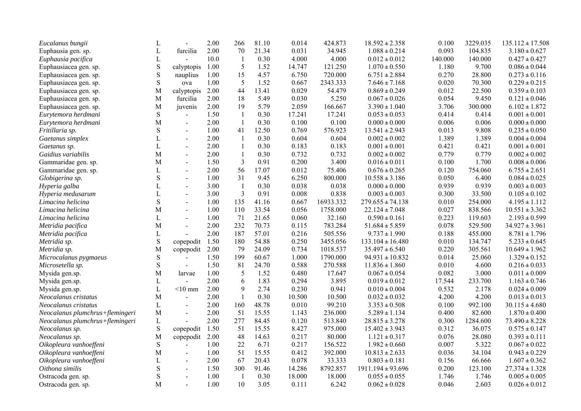| Eucalanus bungii                | L            |                | 2.00 | 266            | 81.10 | 0.014  | 424.873   | $18.592 \pm 2.358$    | 0.100   | 3229.035 | $135.112 \pm 17.508$ |
|---------------------------------|--------------|----------------|------|----------------|-------|--------|-----------|-----------------------|---------|----------|----------------------|
| Euphausia gen. sp.              | L            | furcilia       | 2.00 | 70             | 21.34 | 0.031  | 34.945    | $1.088 \pm 0.214$     | 0.093   | 104.835  | $3.180 \pm 0.627$    |
| Euphausia pacifica              | $\mathbf L$  |                | 10.0 | $\mathbf{1}$   | 0.30  | 4.000  | 4.000     | $0.012 \pm 0.012$     | 140.000 | 140.000  | $0.427 \pm 0.427$    |
| Euphausiacea gen. sp.           | ${\bf S}$    | calyptopis     | 1.00 | $\mathfrak{S}$ | 1.52  | 14.747 | 121.250   | $1.070 \pm 0.550$     | 1.180   | 9.700    | $0.086 \pm 0.044$    |
| Euphausiacea gen. sp.           | $\mathbf S$  | nauplius       | 1.00 | 15             | 4.57  | 6.750  | 720.000   | $6.751 \pm 2.884$     | 0.270   | 28.800   | $0.273 \pm 0.116$    |
| Euphausiacea gen. sp.           | ${\bf S}$    | ova            | 1.00 | 5              | 1.52  | 0.667  | 2343.333  | $7.646 \pm 7.168$     | 0.020   | 70.300   | $0.229 \pm 0.215$    |
| Euphausiacea gen. sp.           | M            | calyptopis     | 2.00 | 44             | 13.41 | 0.029  | 54.479    | $0.869 \pm 0.249$     | 0.012   | 22.500   | $0.359 \pm 0.103$    |
| Euphausiacea gen. sp.           | $\mathbf M$  | furcilia       | 2.00 | 18             | 5.49  | 0.030  | 5.250     | $0.067 \pm 0.026$     | 0.054   | 9.450    | $0.121 \pm 0.046$    |
| Euphausiacea gen. sp.           | M            | juvenis        | 2.00 | 19             | 5.79  | 2.059  | 166.667   | $3.390 \pm 1.040$     | 3.706   | 300.000  | $6.102 \pm 1.872$    |
| Eurytemora herdmani             | $\mathbf S$  |                | 1.50 | $\mathbf{1}$   | 0.30  | 17.241 | 17.241    | $0.053\pm0.053$       | 0.414   | 0.414    | $0.001 \pm 0.001$    |
| Eurytemora herdmani             | M            | $\blacksquare$ | 2.00 | $\mathbf{1}$   | 0.30  | 0.100  | 0.100     | $0.000 \pm 0.000$     | 0.006   | 0.006    | $0.000 \pm 0.000$    |
| Fritillaria sp.                 | ${\bf S}$    | $\blacksquare$ | 1.00 | 41             | 12.50 | 0.769  | 576.923   | $13.541 \pm 2.943$    | 0.013   | 9.808    | $0.235 \pm 0.050$    |
| Gaetanus simplex                | L            | $\blacksquare$ | 2.00 | $\mathbf{1}$   | 0.30  | 0.604  | 0.604     | $0.002 \pm 0.002$     | 1.389   | 1.389    | $0.004 \pm 0.004$    |
| Gaetanus sp.                    | L            |                | 2.00 | $\mathbf{1}$   | 0.30  | 0.183  | 0.183     | $0.001 \pm 0.001$     | 0.421   | 0.421    | $0.001 \pm 0.001$    |
| Gaidius variabilis              | M            | $\overline{a}$ | 2.00 | $\mathbf{1}$   | 0.30  | 0.732  | 0.732     | $0.002 \pm 0.002$     | 0.779   | 0.779    | $0.002 \pm 0.002$    |
| Gammaridae gen. sp.             | M            | $\blacksquare$ | 1.50 | $\mathfrak{Z}$ | 0.91  | 0.200  | 3.400     | $0.016 \pm 0.011$     | 0.100   | 1.700    | $0.008 \pm 0.006$    |
| Gammaridae gen. sp.             | $\mathbf L$  | $\overline{a}$ | 2.00 | 56             | 17.07 | 0.012  | 75.406    | $0.676 \pm 0.265$     | 0.120   | 754.060  | $6.755 \pm 2.651$    |
| Globigerina sp.                 | $\mathbf S$  | $\blacksquare$ | 1.00 | 31             | 9.45  | 6.250  | 800.000   | $10.558 \pm 3.186$    | 0.050   | 6.400    | $0.084 \pm 0.025$    |
| Hyperia galba                   | L            | $\blacksquare$ | 3.00 | -1             | 0.30  | 0.038  | 0.038     | $0.000 \pm 0.000$     | 0.939   | 0.939    | $0.003 \pm 0.003$    |
| Hyperia medusarum               | $\Gamma$     | $\overline{a}$ | 3.00 | $\mathfrak{Z}$ | 0.91  | 0.008  | 0.838     | $0.003 \pm 0.003$     | 0.300   | 33.500   | $0.105 \pm 0.102$    |
| Limacina helicina               | $\mathbf S$  |                | 1.00 | 135            | 41.16 | 0.667  | 16933.332 | $279.655 \pm 74.138$  | 0.010   | 254.000  | $4.195 \pm 1.112$    |
| Limacina helicina               | М            | $\blacksquare$ | 1.00 | 110            | 33.54 | 0.056  | 1758.000  | $22.124 \pm 7.048$    | 0.027   | 838.566  | $10.551 \pm 3.362$   |
| Limacina helicina               | L            | $\sim$         | 1.00 | 71             | 21.65 | 0.060  | 32.160    | $0.590 \pm 0.161$     | 0.223   | 119.603  | $2.193 \pm 0.599$    |
| Metridia pacifica               | M            | $\sim$         | 2.00 | 232            | 70.73 | 0.115  | 783.284   | $51.684 \pm 5.859$    | 0.078   | 529.500  | $34.927 \pm 3.961$   |
| Metridia pacifica               | L            |                | 2.00 | 187            | 57.01 | 0.216  | 505.556   | $9.737 \pm 1.990$     | 0.188   | 455.000  | $8.781 \pm 1.796$    |
| Metridia sp.                    | $\mathbf S$  | copepodit      | 1.50 | 180            | 54.88 | 0.250  | 3455.056  | $133.104 \pm 16.480$  | 0.010   | 134.747  | $5.233 \pm 0.645$    |
| Metridia sp.                    | M            | copepodit      | 2.00 | 79             | 24.09 | 0.734  | 1018.537  | $35.497 \pm 6.540$    | 0.220   | 305.561  | $10.649 \pm 1.962$   |
| Microcalanus pygmaeus           | ${\bf S}$    |                | 1.50 | 199            | 60.67 | 1.000  | 1790.000  | $94.931 \pm 10.832$   | 0.014   | 25.060   | $1.329 \pm 0.152$    |
| Microsetella sp.                | ${\bf S}$    | $\blacksquare$ | 1.50 | 81             | 24.70 | 0.588  | 270.588   | $11.836 \pm 1.860$    | 0.010   | 4.600    | $0.216 \pm 0.033$    |
| Mysida gen.sp.                  | M            | larvae         | 1.00 | 5              | 1.52  | 0.480  | 17.647    | $0.067 \pm 0.054$     | 0.082   | 3.000    | $0.011 \pm 0.009$    |
| Mysida gen.sp.                  | $\mathbf L$  | $\overline{a}$ | 2.00 | 6              | 1.83  | 0.294  | 3.895     | $0.019 \pm 0.012$     | 17.544  | 233.700  | $1.163 \pm 0.746$    |
| Mysida gen.sp.                  | $\mathbf L$  | $<$ 10 mm      | 2.00 | 9              | 2.74  | 0.230  | 0.941     | $0.010 \pm 0.004$     | 0.532   | 2.178    | $0.024 \pm 0.009$    |
| Neocalanus cristatus            | $\mathbf{M}$ |                | 2.00 | $\mathbf{1}$   | 0.30  | 10.500 | 10.500    | $0.032 \pm 0.032$     | 4.200   | 4.200    | $0.013 \pm 0.013$    |
| Neocalanus cristatus            | $\mathbf L$  |                | 2.00 | 160            | 48.78 | 0.010  | 99.210    | $3.353 \pm 0.508$     | 0.100   | 992.100  | $30.115 \pm 4.680$   |
| Neocalanus plumchrus+flemingeri | M            | $\sim$         | 2.00 | 51             | 15.55 | 1.143  | 236.000   | $5.289 \pm 1.134$     | 0.400   | 82.600   | $1.870 \pm 0.400$    |
| Neocalanus plumchrus+flemingeri | L            |                | 2.00 | 277            | 84.45 | 0.120  | 513.840   | $28.815 \pm 3.278$    | 0.300   | 1284.600 | $73.490 \pm 8.228$   |
| Neocalanus sp.                  | $\mathbf S$  | copepodit      | 1.50 | 51             | 15.55 | 8.427  | 975.000   | $15.402 \pm 3.943$    | 0.312   | 36.075   | $0.575 \pm 0.147$    |
| Neocalanus sp.                  | M            | copepodit      | 2.00 | 48             | 14.63 | 0.217  | 80.000    | $1.121 \pm 0.317$     | 0.076   | 28.080   | $0.393 \pm 0.111$    |
| Oikopleura vanhoeffeni          | $\mathbf S$  |                | 1.00 | 22             | 6.71  | 0.217  | 156.522   | $1.982 \pm 0.660$     | 0.007   | 5.322    | $0.067 \pm 0.022$    |
| Oikopleura vanhoeffeni          | M            | $\blacksquare$ | 1.00 | 51             | 15.55 | 0.412  | 392.000   | $10.813 \pm 2.633$    | 0.036   | 34.104   | $0.943 \pm 0.229$    |
| Oikopleura vanhoeffeni          | L            | $\blacksquare$ | 2.00 | 67             | 20.43 | 0.078  | 33.333    | $0.803 \pm 0.181$     | 0.156   | 66.666   | $1.607 \pm 0.362$    |
| Oithona similis                 | ${\bf S}$    | $\sim$         | 1.50 | 300            | 91.46 | 14.286 | 8792.857  | $1911.194 \pm 93.696$ | 0.200   | 123.100  | $27.374 \pm 1.328$   |
| Ostracoda gen. sp.              | $\mathbf S$  | $\overline{a}$ | 1.00 | - 1            | 0.30  | 18.000 | 18.000    | $0.055 \pm 0.055$     | 1.746   | 1.746    | $0.005 \pm 0.005$    |
| Ostracoda gen. sp.              | M            |                | 1.00 | 10             | 3.05  | 0.111  | 6.242     |                       |         | 2.603    |                      |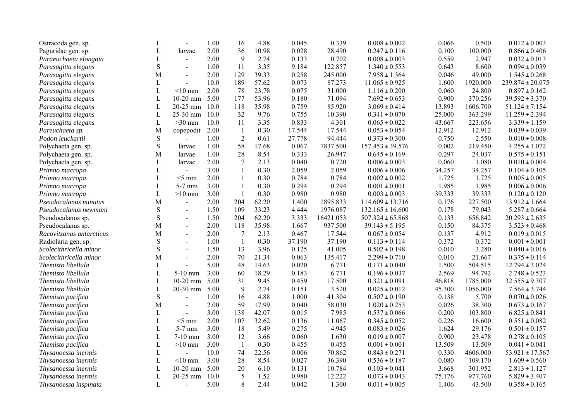| Ostracoda gen. sp.       | L            |                | 1.00 | 16             | 4.88  | 0.045  | 0.339     | $0.008 \pm 0.002$    | 0.066  | 0.500    | $0.012 \pm 0.003$    |
|--------------------------|--------------|----------------|------|----------------|-------|--------|-----------|----------------------|--------|----------|----------------------|
| Paguridae gen. sp.       | L            | larvae         | 2.00 | 36             | 10.98 | 0.028  | 28.490    | $0.247 \pm 0.116$    | 0.100  | 100.000  | $0.866 \pm 0.406$    |
| Paraeuchaeta elongata    | $\mathbf L$  | $\blacksquare$ | 2.00 | 9              | 2.74  | 0.133  | 0.702     | $0.008 \pm 0.003$    | 0.559  | 2.947    | $0.032 \pm 0.013$    |
| Parasagitta elegans      | ${\bf S}$    | $\blacksquare$ | 1.00 | 11             | 3.35  | 9.184  | 122.857   | $1.340 \pm 0.553$    | 0.643  | 8.600    | $0.094 \pm 0.039$    |
| Parasagitta elegans      | M            | $\blacksquare$ | 2.00 | 129            | 39.33 | 0.258  | 245.000   | $7.958\pm1.364$      | 0.046  | 49.000   | $1.545 \pm 0.268$    |
| Parasagitta elegans      | L            | $\overline{a}$ | 10.0 | 189            | 57.62 | 0.073  | 87.273    | $11.065 \pm 0.925$   | 1.600  | 1920.000 | $239.874 \pm 20.075$ |
| Parasagitta elegans      | L            | $<$ 10 mm      | 2.00 | 78             | 23.78 | 0.075  | 31.000    | $1.116 \pm 0.200$    | 0.060  | 24.800   | $0.897 \pm 0.162$    |
| Parasagitta elegans      | $\mathbf{L}$ | $10-20$ mm     | 5.00 | 177            | 53.96 | 0.180  | 71.094    | $7.692 \pm 0.653$    | 0.900  | 370.256  | $39.592 \pm 3.370$   |
| Parasagitta elegans      | $\mathbf{L}$ | 20-25 mm       | 10.0 | 118            | 35.98 | 0.759  | 85.920    | $3.069 \pm 0.414$    | 13.893 | 1606.700 | $51.124 \pm 7.154$   |
| Parasagitta elegans      | $\mathbf{L}$ | 25-30 mm       | 10.0 | 32             | 9.76  | 0.755  | 10.390    | $0.341 \pm 0.070$    | 25.000 | 363.299  | $11.259 \pm 2.394$   |
| Parasagitta elegans      | $\mathbf L$  | $>30$ mm       | 10.0 | 11             | 3.35  | 0.833  | 4.301     | $0.065 \pm 0.022$    | 43.667 | 223.656  | $3.339 \pm 1.159$    |
| Pareuchaeta sp.          | M            | copepodit      | 2.00 | $\mathbf{1}$   | 0.30  | 17.544 | 17.544    | $0.053 \pm 0.054$    | 12.912 | 12.912   | $0.039 \pm 0.039$    |
| Podon leuckartii         | ${\bf S}$    |                | 1.00 | $\overline{2}$ | 0.61  | 27.778 | 94.444    | $0.373 \pm 0.300$    | 0.750  | 2.550    | $0.010 \pm 0.008$    |
| Polychaeta gen. sp.      | $\mathbf S$  | larvae         | 1.00 | 58             | 17.68 | 0.067  | 7837.500  | $157.453 \pm 39.576$ | 0.002  | 219.450  | $4.255 \pm 1.072$    |
| Polychaeta gen. sp.      | M            | larvae         | 1.00 | 28             | 8.54  | 0.333  | 26.947    | $0.645 \pm 0.169$    | 0.297  | 24.037   | $0.575 \pm 0.151$    |
| Polychaeta gen. sp.      | L            | larvae         | 2.00 | $\overline{7}$ | 2.13  | 0.040  | 0.720     | $0.006 \pm 0.003$    | 0.060  | 1.080    | $0.010 \pm 0.004$    |
| Primno macropa           | $\mathbf L$  | $\overline{a}$ | 3.00 | $\mathbf{1}$   | 0.30  | 2.059  | 2.059     | $0.006 \pm 0.006$    | 34.257 | 34.257   | $0.104 \pm 0.105$    |
| Primno macropa           | $\mathbf L$  | $<$ 5 mm       | 2.00 | $\mathbf{1}$   | 0.30  | 0.784  | 0.784     | $0.002 \pm 0.002$    | 1.725  | 1.725    | $0.005 \pm 0.005$    |
| Primno macropa           | $\mathbf L$  | 5-7 mm         | 3.00 | $\mathbf{1}$   | 0.30  | 0.294  | 0.294     | $0.001 \pm 0.001$    | 1.985  | 1.985    | $0.006 \pm 0.006$    |
| Primno macropa           | L            | $>10$ mm       | 3.00 | $\mathbf{1}$   | 0.30  | 0.980  | 0.980     | $0.003 \pm 0.003$    | 39.333 | 39.333   | $0.120 \pm 0.120$    |
| Pseudocalanus minutus    | M            | $\blacksquare$ | 2.00 | 204            | 62.20 | 1.400  | 1895.833  | $114.609 \pm 13.716$ | 0.176  | 227.500  | $13.912 \pm 1.664$   |
| Pseudocalanus newmani    | ${\bf S}$    | $\mathbf{r}$   | 1.50 | 109            | 33.23 | 4.444  | 1976.087  | $132.165 \pm 16.600$ | 0.178  | 79.043   | $5.287 \pm 0.664$    |
| Pseudocalanus sp.        | $\mathbf S$  | $\sim$         | 1.50 | 204            | 62.20 | 3.333  | 16421.053 | $507.324 \pm 65.868$ | 0.133  | 656.842  | $20.293 \pm 2.635$   |
| Pseudocalanus sp.        | M            | $\overline{a}$ | 2.00 | 118            | 35.98 | 1.667  | 937.500   | $39.143 \pm 5.195$   | 0.150  | 84.375   | $3.523 \pm 0.468$    |
| Racovitzanus antarcticus | M            | $\overline{a}$ | 2.00 | $\overline{7}$ | 2.13  | 0.467  | 17.544    | $0.067 \pm 0.054$    | 0.137  | 4.912    | $0.019 \pm 0.015$    |
| Radiolaria gen. sp.      | $\mathbf S$  | $\blacksquare$ | 1.00 | $\mathbf{1}$   | 0.30  | 37.190 | 37.190    | $0.113 \pm 0.114$    | 0.372  | 0.372    | $0.001 \pm 0.001$    |
| Scolecithricella minor   | ${\bf S}$    | $\overline{a}$ | 1.50 | 13             | 3.96  | 0.125  | 41.005    | $0.502 \pm 0.198$    | 0.010  | 3.280    | $0.040 \pm 0.016$    |
| Scolecithricella minor   | M            | $\overline{a}$ | 2.00 | 70             | 21.34 | 0.063  | 135.417   | $2.299 \pm 0.710$    | 0.010  | 21.667   | $0.375 \pm 0.114$    |
| Themisto libellula       | L            |                | 5.00 | 48             | 14.63 | 0.020  | 6.771     | $0.171\pm0.040$      | 1.500  | 504.515  | $12.794 \pm 3.024$   |
| Themisto libellula       | L            | 5-10 mm        | 3.00 | 60             | 18.29 | 0.183  | 6.771     | $0.196 \pm 0.037$    | 2.569  | 94.792   | $2.748 \pm 0.523$    |
| Themisto libellula       | L            | $10-20$ mm     | 5.00 | 31             | 9.45  | 0.459  | 17.500    | $0.321 \pm 0.091$    | 46.818 | 1785.000 | $32.555 \pm 9.307$   |
| Themisto libellula       | $\mathbf{L}$ | 20-30 mm       | 5.00 | 9              | 2.74  | 0.151  | 3.520     | $0.025 \pm 0.012$    | 45.300 | 1056.000 | $7.564 \pm 3.744$    |
| Themisto pacifica        | S            |                | 1.00 | 16             | 4.88  | 1.000  | 41.304    | $0.507 \pm 0.190$    | 0.138  | 5.700    | $0.070 \pm 0.026$    |
| Themisto pacifica        | M            | $\overline{a}$ | 2.00 | 59             | 17.99 | 0.040  | 58.030    | $1.020 \pm 0.253$    | 0.026  | 38.300   | $0.673 \pm 0.167$    |
| Themisto pacifica        | L            | $\blacksquare$ | 3.00 | 138            | 42.07 | 0.015  | 7.985     | $0.537 \pm 0.066$    | 0.200  | 103.800  | $6.825 \pm 0.841$    |
| Themisto pacifica        | $\mathbf{L}$ | $<$ 5 mm       | 2.00 | 107            | 32.62 | 0.136  | 11.067    | $0.345 \pm 0.052$    | 0.226  | 16.600   | $0.551 \pm 0.082$    |
| Themisto pacifica        | $\mathbf L$  | 5-7 mm         | 3.00 | 18             | 5.49  | 0.275  | 4.945     | $0.083\pm0.026$      | 1.624  | 29.176   | $0.501 \pm 0.157$    |
| Themisto pacifica        | L            | $7-10$ mm      | 3.00 | 12             | 3.66  | 0.060  | 1.630     | $0.019 \pm 0.007$    | 0.900  | 23.478   | $0.278 \pm 0.105$    |
| Themisto pacifica        | $\mathbf L$  | $>10$ mm       | 3.00 | $\mathbf{1}$   | 0.30  | 0.455  | 0.455     | $0.001 \pm 0.001$    | 13.509 | 13.509   | $0.041 \pm 0.041$    |
| Thysanoessa inermis      | $\mathbf L$  |                | 10.0 | 74             | 22.56 | 0.006  | 70.862    | $0.843 \pm 0.271$    | 0.330  | 4606.000 | $53.921 \pm 17.567$  |
| Thysanoessa inermis      | $\mathbf L$  | $<$ 10 mm      | 3.00 | 28             | 8.54  | 0.027  | 36.390    | $0.536 \pm 0.187$    | 0.080  | 109.170  | $1.609 \pm 0.560$    |
| Thysanoessa inermis      | $\mathbf L$  | $10-20$ mm     | 5.00 | 20             | 6.10  | 0.131  | 10.784    | $0.103 \pm 0.041$    | 3.668  | 301.952  | $2.813 \pm 1.127$    |
| Thysanoessa inermis      | L            | 20-25 mm       | 10.0 | 5              | 1.52  | 0.980  | 12.222    | $0.073 \pm 0.043$    | 75.176 | 977.760  | $5.829 \pm 3.407$    |
| Thysanoessa inspinata    | $\mathbf{L}$ | $\overline{a}$ | 5.00 | 8              | 2.44  | 0.042  | 1.300     | $0.011 \pm 0.005$    | 1.406  | 43.500   | $0.358 \pm 0.165$    |
|                          |              |                |      |                |       |        |           |                      |        |          |                      |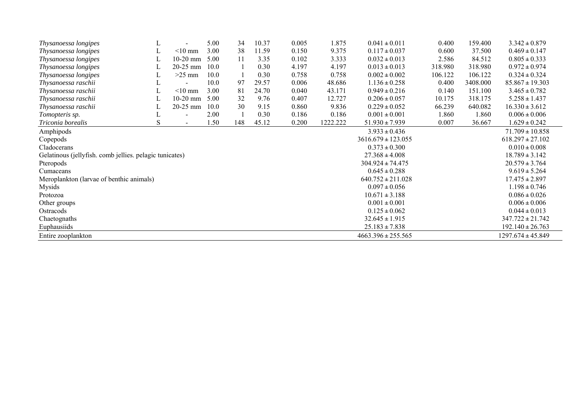| Thysanoessa longipes                                    | L |            | 5.00 | 34  | 10.37 | 0.005 | 1.875    | $0.041 \pm 0.011$      | 0.400   | 159.400  | $3.342 \pm 0.879$     |
|---------------------------------------------------------|---|------------|------|-----|-------|-------|----------|------------------------|---------|----------|-----------------------|
| Thysanoessa longipes                                    | L | $<$ 10 mm  | 3.00 | 38  | 11.59 | 0.150 | 9.375    | $0.117 \pm 0.037$      | 0.600   | 37.500   | $0.469 \pm 0.147$     |
| Thysanoessa longipes                                    | L | $10-20$ mm | 5.00 | 11  | 3.35  | 0.102 | 3.333    | $0.032 \pm 0.013$      | 2.586   | 84.512   | $0.805 \pm 0.333$     |
| Thysanoessa longipes                                    | L | 20-25 mm   | 10.0 |     | 0.30  | 4.197 | 4.197    | $0.013 \pm 0.013$      | 318.980 | 318.980  | $0.972 \pm 0.974$     |
| Thysanoessa longipes                                    |   | $>25$ mm   | 10.0 |     | 0.30  | 0.758 | 0.758    | $0.002 \pm 0.002$      | 106.122 | 106.122  | $0.324 \pm 0.324$     |
| Thysanoessa raschii                                     | ┺ |            | 10.0 | 97  | 29.57 | 0.006 | 48.686   | $1.136 \pm 0.258$      | 0.400   | 3408.000 | $85.867 \pm 19.303$   |
| Thysanoessa raschii                                     |   | $<$ 10 mm  | 3.00 | 81  | 24.70 | 0.040 | 43.171   | $0.949 \pm 0.216$      | 0.140   | 151.100  | $3.465 \pm 0.782$     |
| Thysanoessa raschii                                     |   | $10-20$ mm | 5.00 | 32  | 9.76  | 0.407 | 12.727   | $0.206 \pm 0.057$      | 10.175  | 318.175  | $5.258 \pm 1.437$     |
| Thysanoessa raschii                                     |   | $20-25$ mm | 10.0 | 30  | 9.15  | 0.860 | 9.836    | $0.229 \pm 0.052$      | 66.239  | 640.082  | $16.330 \pm 3.612$    |
| Tomopteris sp.                                          | ┶ |            | 2.00 |     | 0.30  | 0.186 | 0.186    | $0.001 \pm 0.001$      | 1.860   | 1.860    | $0.006 \pm 0.006$     |
| Triconia borealis                                       | S |            | 1.50 | 148 | 45.12 | 0.200 | 1222.222 | $51.930 \pm 7.939$     | 0.007   | 36.667   | $1.629 \pm 0.242$     |
| Amphipods                                               |   |            |      |     |       |       |          | $3.933 \pm 0.436$      |         |          | $71.709 \pm 10.858$   |
| Copepods                                                |   |            |      |     |       |       |          | $3616.679 \pm 123.055$ |         |          | $618.297 \pm 27.102$  |
| Cladocerans                                             |   |            |      |     |       |       |          | $0.373 \pm 0.300$      |         |          | $0.010 \pm 0.008$     |
| Gelatinous (jellyfish. comb jellies. pelagic tunicates) |   |            |      |     |       |       |          | $27.368 \pm 4.008$     |         |          | $18.789 \pm 3.142$    |
| Pteropods                                               |   |            |      |     |       |       |          | $304.924 \pm 74.475$   |         |          | $20.579 \pm 3.764$    |
| Cumaceans                                               |   |            |      |     |       |       |          | $0.645 \pm 0.288$      |         |          | $9.619 \pm 5.264$     |
| Meroplankton (larvae of benthic animals)                |   |            |      |     |       |       |          | $640.752 \pm 211.028$  |         |          | $17.475 \pm 2.897$    |
| Mysids                                                  |   |            |      |     |       |       |          | $0.097 \pm 0.056$      |         |          | $1.198 \pm 0.746$     |
| Protozoa                                                |   |            |      |     |       |       |          | $10.671 \pm 3.188$     |         |          | $0.086 \pm 0.026$     |
| Other groups                                            |   |            |      |     |       |       |          | $0.001 \pm 0.001$      |         |          | $0.006 \pm 0.006$     |
| Ostracods                                               |   |            |      |     |       |       |          | $0.125 \pm 0.062$      |         |          | $0.044 \pm 0.013$     |
| Chaetognaths                                            |   |            |      |     |       |       |          | $32.645 \pm 1.915$     |         |          | $347.722 \pm 21.742$  |
| Euphausiids                                             |   |            |      |     |       |       |          | $25.183 \pm 7.838$     |         |          | $192.140 \pm 26.763$  |
| Entire zooplankton                                      |   |            |      |     |       |       |          | $4663.396 \pm 255.565$ |         |          | $1297.674 \pm 45.849$ |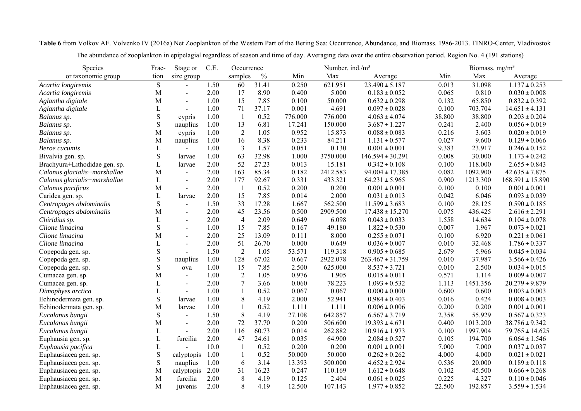Species Frac- Stage or C.E. Occurrence Number. ind./m<sup>3</sup> Biomass. mg/m<sup>3</sup> or taxonomic group tion size group samples % Min Max Average Min Max Average *Acartia longiremis* S - 1.50 60 31.41 0.250 621.951 23.490 **<sup>±</sup>** 5.187 0.013 31.098 1.137 **<sup>±</sup>** 0.253 *Acartia longiremis* M - 2.00 17 8.90 0.400 5.000 0.183 **<sup>±</sup>** 0.052 0.065 0.810 0.030 **<sup>±</sup>** 0.008 *Aglantha digitale* M - 1.00 15 7.85 0.100 50.000 0.632 **<sup>±</sup>** 0.298 0.132 65.850 0.832 **<sup>±</sup>** 0.392 *Aglantha digitale* L - 1.00 71 37.17 0.001 4.691 0.097 **<sup>±</sup>** 0.028 0.100 703.704 14.651 **<sup>±</sup>** 4.131 *Balanus sp.* S cypris 1.00 1 0.52 776.000 776.000 4.063 **<sup>±</sup>** 4.074 38.800 38.800 0.203 **<sup>±</sup>** 0.204 *Balanus sp.* S nauplius 1.00 13 6.81 17.241 150.000 3.687 **<sup>±</sup>** 1.227 0.241 2.400 0.056 **<sup>±</sup>** 0.019 *Balanus sp.* M cypris 1.00 2 1.05 0.952 15.873 0.088 **<sup>±</sup>** 0.083 0.216 3.603 0.020 **<sup>±</sup>** 0.019 *Balanus sp.* M nauplius 1.00 16 8.38 0.233 84.211 1.131 **<sup>±</sup>** 0.577 0.027 9.600 0.129 **<sup>±</sup>** 0.066 *Beroe cucumis* $\mathcal{S}$  and  $\mathcal{L}$  - 1.00 3 1.57 0.051 0.130 0.001 **<sup>±</sup>** 0.001 9.383 23.917 0.246 **<sup>±</sup>** 0.152 Bivalvia gen. sp. S larvae 1.00 63 32.98 1.000 3750.000 146.594 **<sup>±</sup>** 30.291 0.008 30.000 1.173 **<sup>±</sup>** 0.242 Brachyura+Lithodidae gen. sp. L larvae 2.00 52 27.23 0.013 15.181 0.342 **<sup>±</sup>** 0.108 0.100 118.000 2.655 **<sup>±</sup>** 0.843 *Calanus glacialis+marshallae* M - 2.00 163 85.34 0.182 2412.583 94.004 **<sup>±</sup>** 17.385 0.082 1092.900 42.635 **<sup>±</sup>** 7.875 *Calanus glacialis+marshallae* L - 2.00 177 92.67 0.331 433.321 64.231 **<sup>±</sup>** 5.965 0.900 1213.300 168.591 **<sup>±</sup>** 15.890 *Calanus pacificus* M - 2.00 1 0.52 0.200 0.200 0.001 **<sup>±</sup>** 0.001 0.100 0.100 0.001 **<sup>±</sup>** 0.001 Caridea gen. sp. L larvae 2.00 15 7.85 0.014 2.000 0.031 **<sup>±</sup>** 0.013 0.042 6.046 0.093 **<sup>±</sup>** 0.039 *Centropages abdominalis* S - 1.50 33 17.28 1.667 562.500 11.599 **<sup>±</sup>** 3.683 0.100 28.125 0.590 **<sup>±</sup>** 0.185 *Centropages abdominalis* M - 2.00 45 23.56 0.500 2909.500 17.438 **<sup>±</sup>** 15.270 0.075 436.425 2.616 **<sup>±</sup>** 2.291 *Chiridius sp.* L - 2.00 4 2.09 0.649 6.098 0.043 **<sup>±</sup>** 0.033 1.558 14.634 0.104 **<sup>±</sup>** 0.078 *Clione limacina*a S - 1.00 15 7.85 0.167 49.180 1.822 **<sup>±</sup>** 0.530 0.007 1.967 0.073 **<sup>±</sup>** 0.021 *Clione limacina*a M - 2.00 25 13.09 0.111 8.000 0.255 **<sup>±</sup>** 0.071 0.100 6.920 0.221 **<sup>±</sup>** 0.061 *Clione limacina* $\alpha$  is a set of  $\alpha$  is a set of  $\alpha$  is a set of  $\alpha$  is a set of  $\alpha$  is a set of  $\alpha$  is a set of  $\alpha$  is a set of  $\alpha$  is a set of  $\alpha$  is a set of  $\alpha$  is a set of  $\alpha$  is a set of  $\alpha$  is a set of  $\alpha$  is a set of - 2.00 51 26.70 0.000 0.649 0.036 **<sup>±</sup>** 0.007 0.010 32.468 1.786 **<sup>±</sup>** 0.337 Copepoda gen. sp. S - 1.50 2 1.05 53.571 119.318 0.905 **<sup>±</sup>** 0.685 2.679 5.966 0.045 **<sup>±</sup>** 0.034 Copepoda gen. sp. S nauplius 1.00 128 67.02 0.667 2922.078 263.467 **<sup>±</sup>** 31.759 0.010 37.987 3.566 **<sup>±</sup>** 0.426 Copepoda gen. sp. S ova 1.00 15 7.85 2.500 625.000 8.537 **<sup>±</sup>** 3.721 0.010 2.500 0.034 **<sup>±</sup>** 0.015 Cumacea gen. sp. M - 1.00 2 1.05 0.976 1.905 0.015 **<sup>±</sup>** 0.011 0.571 1.114 0.009 **<sup>±</sup>** 0.007 Cumacea gen. sp. L - 2.00 7 3.66 0.060 78.223 1.093 **<sup>±</sup>** 0.532 1.113 1451.356 20.279 **<sup>±</sup>** 9.879 *Dimophyes arctica* L - 1.00 1 0.52 0.067 0.067 0.000 **<sup>±</sup>** 0.000 0.600 0.600 0.003 **<sup>±</sup>** 0.003 Echinodermata gen. sp. S larvae 1.00 8 4.19 2.000 52.941 0.984 **<sup>±</sup>** 0.403 0.016 0.424 0.008 **<sup>±</sup>** 0.003 Echinodermata gen. sp. M larvae 1.00 1 0.52 1.111 1.111 0.006 ± 0.006 0.200 0.200 0.001 ± 0.001 *Eucalanus bungii* S - 1.50 8 4.19 27.108 642.857 6.567 **<sup>±</sup>** 3.719 2.358 55.929 0.567 **<sup>±</sup>** 0.323 *Eucalanus bungii* M - 2.00 72 37.70 0.200 506.600 19.393 **<sup>±</sup>** 4.671 0.400 1013.200 38.786 **<sup>±</sup>** 9.342 *Eucalanus bungii* L - 2.00 116 60.73 0.014 262.882 10.916 **<sup>±</sup>** 1.973 0.100 1997.904 79.765 **<sup>±</sup>** 14.625 Euphausia gen. sp. L furcilia 2.00 47 24.61 0.035 64.900 2.084 **<sup>±</sup>** 0.527 0.105 194.700 6.064 **<sup>±</sup>** 1.546 *Euphausia pacifica* L - 10.0 1 0.52 0.200 0.200 0.001 **<sup>±</sup>** 0.001 7.000 7.000 0.037 **<sup>±</sup>** 0.037 Euphausiacea gen. sp. S calyptopis 1.00 1 0.52 50.000 50.000 0.262 **<sup>±</sup>** 0.262 4.000 4.000 0.021 **<sup>±</sup>** 0.021 Euphausiacea gen. sp. S nauplius 1.00 6 3.14 13.393 500.000 4.652 **<sup>±</sup>** 2.924 0.536 20.000 0.189 **<sup>±</sup>** 0.118 Euphausiacea gen. sp. M calyptopis 2.00 31 16.23 0.247 110.169 1.612 **<sup>±</sup>** 0.648 0.102 45.500 0.666 **<sup>±</sup>** 0.268 Euphausiacea gen. sp. M furcilia 2.00 8 4.19 0.125 2.404 0.061 **<sup>±</sup>** 0.025 0.225 4.327 0.110 **<sup>±</sup>** 0.046 Euphausiacea gen. sp. M juvenis 2.00 8 4.19 12.500 107.143 1.977 **<sup>±</sup>** 0.852 22.500 192.857 3.559 **<sup>±</sup>** 1.534

**Table 6** from Volkov AF. Volvenko IV (2016a) Net Zooplankton of the Western Part of the Bering Sea: Occurrence, Abundance, and Biomass. 1986-2013. TINRO-Center, Vladivostok

The abundance of zooplankton in epipelagial regardless of season and time of day. Averaging data over the entire observation period. Region No. 4 (191 stations)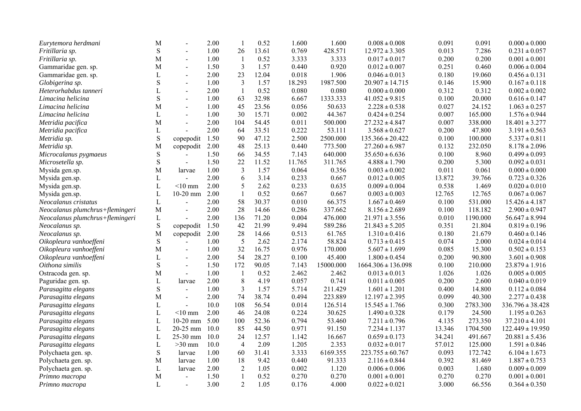| Eurytemora herdmani             | M            |                | 2.00 | $\overline{1}$ | 0.52  | 1.600  | 1.600     | $0.008 \pm 0.008$      | 0.091  | 0.091    | $0.000 \pm 0.000$    |
|---------------------------------|--------------|----------------|------|----------------|-------|--------|-----------|------------------------|--------|----------|----------------------|
| Fritillaria sp.                 | ${\bf S}$    | $\sim$         | 1.00 | 26             | 13.61 | 0.769  | 428.571   | $12.972 \pm 3.305$     | 0.013  | 7.286    | $0.231 \pm 0.057$    |
| Fritillaria sp.                 | М            | $\blacksquare$ | 1.00 | $\mathbf{1}$   | 0.52  | 3.333  | 3.333     | $0.017 \pm 0.017$      | 0.200  | 0.200    | $0.001 \pm 0.001$    |
| Gammaridae gen. sp.             | M            |                | 1.50 | $\mathfrak{Z}$ | 1.57  | 0.440  | 0.920     | $0.012 \pm 0.007$      | 0.251  | 0.460    | $0.006 \pm 0.004$    |
| Gammaridae gen. sp.             | L            | $\blacksquare$ | 2.00 | 23             | 12.04 | 0.018  | 1.906     | $0.046 \pm 0.013$      | 0.180  | 19.060   | $0.456 \pm 0.131$    |
| Globigerina sp.                 | ${\bf S}$    | $\blacksquare$ | 1.00 | 3              | 1.57  | 18.293 | 1987.500  | $20.907 \pm 14.715$    | 0.146  | 15.900   | $0.167 \pm 0.118$    |
| Heterorhabdus tanneri           | $\mathbf{L}$ |                | 2.00 | $\mathbf{1}$   | 0.52  | 0.080  | 0.080     | $0.000 \pm 0.000$      | 0.312  | 0.312    | $0.002 \pm 0.002$    |
| Limacina helicina               | $\mathbf S$  | $\sim$         | 1.00 | 63             | 32.98 | 6.667  | 1333.333  | $41.052 \pm 9.815$     | 0.100  | 20.000   | $0.616 \pm 0.147$    |
| Limacina helicina               | М            | $\blacksquare$ | 1.00 | 45             | 23.56 | 0.056  | 50.633    | $2.228\pm0.538$        | 0.027  | 24.152   | $1.063 \pm 0.257$    |
| Limacina helicina               | L            | $\overline{a}$ | 1.00 | 30             | 15.71 | 0.002  | 44.367    | $0.424 \pm 0.254$      | 0.007  | 165.000  | $1.576 \pm 0.944$    |
| Metridia pacifica               | M            |                | 2.00 | 104            | 54.45 | 0.011  | 500.000   | $27.232 \pm 4.847$     | 0.007  | 338.000  | $18.401 \pm 3.277$   |
| Metridia pacifica               | L            | $\blacksquare$ | 2.00 | 64             | 33.51 | 0.222  | 53.111    | $3.568 \pm 0.627$      | 0.200  | 47.800   | $3.191 \pm 0.563$    |
| Metridia sp.                    | ${\bf S}$    | copepodit      | 1.50 | 90             | 47.12 | 2.500  | 2500.000  | $135.366 \pm 20.422$   | 0.100  | 100.000  | $5.337 \pm 0.811$    |
| Metridia sp.                    | M            | copepodit      | 2.00 | 48             | 25.13 | 0.440  | 773.500   | $27.260 \pm 6.987$     | 0.132  | 232.050  | $8.178 \pm 2.096$    |
| Microcalanus pygmaeus           | ${\bf S}$    |                | 1.50 | 66             | 34.55 | 7.143  | 640.000   | $35.650 \pm 6.636$     | 0.100  | 8.960    | $0.499 \pm 0.093$    |
| Microsetella sp.                | ${\bf S}$    | $\blacksquare$ | 1.50 | 22             | 11.52 | 11.765 | 311.765   | $4.888 \pm 1.790$      | 0.200  | 5.300    | $0.092 \pm 0.031$    |
| Mysida gen.sp.                  | M            | larvae         | 1.00 | 3              | 1.57  | 0.064  | 0.356     | $0.003 \pm 0.002$      | 0.011  | 0.061    | $0.000 \pm 0.000$    |
| Mysida gen.sp.                  | L            | $\overline{a}$ | 2.00 | 6              | 3.14  | 0.233  | 0.667     | $0.012 \pm 0.005$      | 13.872 | 39.766   | $0.723 \pm 0.326$    |
| Mysida gen.sp.                  | $\mathbf L$  | $<$ 10 mm      | 2.00 | 5              | 2.62  | 0.233  | 0.635     | $0.009 \pm 0.004$      | 0.538  | 1.469    | $0.020 \pm 0.010$    |
| Mysida gen.sp.                  | $\mathbf L$  | $10-20$ mm     | 2.00 | $\mathbf{1}$   | 0.52  | 0.667  | 0.667     | $0.003 \pm 0.003$      | 12.765 | 12.765   | $0.067 \pm 0.067$    |
| Neocalanus cristatus            | $\mathbf L$  | $\overline{a}$ | 2.00 | 58             | 30.37 | 0.010  | 66.375    | $1.667 \pm 0.469$      | 0.100  | 531.000  | $15.426 \pm 4.187$   |
| Neocalanus plumchrus+flemingeri | $\mathbf M$  | $\blacksquare$ | 2.00 | 28             | 14.66 | 0.286  | 337.662   | $8.156 \pm 2.689$      | 0.100  | 118.182  | $2.900 \pm 0.947$    |
| Neocalanus plumchrus+flemingeri | L            |                | 2.00 | 136            | 71.20 | 0.004  | 476.000   | $21.971 \pm 3.556$     | 0.010  | 1190.000 | $56.647 \pm 8.994$   |
| Neocalanus sp.                  | ${\bf S}$    | copepodit      | 1.50 | 42             | 21.99 | 9.494  | 589.286   | $21.843 \pm 5.205$     | 0.351  | 21.804   | $0.819 \pm 0.196$    |
| Neocalanus sp.                  | M            | copepodit      | 2.00 | 28             | 14.66 | 0.513  | 61.765    | $1.310 \pm 0.416$      | 0.180  | 21.679   | $0.460 \pm 0.146$    |
| Oikopleura vanhoeffeni          | ${\bf S}$    |                | 1.00 | 5              | 2.62  | 2.174  | 58.824    | $0.713 \pm 0.415$      | 0.074  | 2.000    | $0.024 \pm 0.014$    |
| Oikopleura vanhoeffeni          | M            |                | 1.00 | 32             | 16.75 | 0.976  | 170.000   | $5.607 \pm 1.699$      | 0.085  | 15.300   | $0.502 \pm 0.153$    |
| Oikopleura vanhoeffeni          | L            | $\blacksquare$ | 2.00 | 54             | 28.27 | 0.100  | 45.400    | $1.800 \pm 0.454$      | 0.200  | 90.800   | $3.601 \pm 0.908$    |
| Oithona similis                 | $\mathbf S$  | $\blacksquare$ | 1.50 | 172            | 90.05 | 7.143  | 15000.000 | $1664.306 \pm 136.098$ | 0.100  | 210.000  | $23.879 \pm 1.916$   |
| Ostracoda gen. sp.              | M            | $\blacksquare$ | 1.00 | $\mathbf{1}$   | 0.52  | 2.462  | 2.462     | $0.013 \pm 0.013$      | 1.026  | 1.026    | $0.005 \pm 0.005$    |
| Paguridae gen. sp.              | $\mathbf L$  | larvae         | 2.00 | $\,8\,$        | 4.19  | 0.057  | 0.741     | $0.011 \pm 0.005$      | 0.200  | 2.600    | $0.040 \pm 0.019$    |
| Parasagitta elegans             | ${\bf S}$    | $\blacksquare$ | 1.00 | $\mathfrak{Z}$ | 1.57  | 5.714  | 211.429   | $1.601 \pm 1.201$      | 0.400  | 14.800   | $0.112 \pm 0.084$    |
| Parasagitta elegans             | M            | $\blacksquare$ | 2.00 | 74             | 38.74 | 0.494  | 223.889   | $12.197 \pm 2.395$     | 0.099  | 40.300   | $2.277 \pm 0.438$    |
| Parasagitta elegans             | L            | $\overline{a}$ | 10.0 | 108            | 56.54 | 0.014  | 126.514   | $15.545 \pm 1.766$     | 0.300  | 2783.300 | $336.796 \pm 38.428$ |
| Parasagitta elegans             | $\mathbf L$  | $<$ 10 mm      | 2.00 | 46             | 24.08 | 0.224  | 30.625    | $1.490 \pm 0.328$      | 0.179  | 24.500   | $1.195 \pm 0.263$    |
| Parasagitta elegans             | $\mathbf L$  | $10-20$ mm     | 5.00 | 100            | 52.36 | 0.794  | 53.460    | $7.211 \pm 0.796$      | 4.135  | 273.350  | $37.210 \pm 4.101$   |
| Parasagitta elegans             | $\mathbf L$  | 20-25 mm       | 10.0 | 85             | 44.50 | 0.971  | 91.150    | $7.234 \pm 1.137$      | 13.346 | 1704.500 | $122.449 \pm 19.950$ |
| Parasagitta elegans             | $\mathbf L$  | 25-30 mm       | 10.0 | 24             | 12.57 | 1.142  | 16.667    | $0.659 \pm 0.173$      | 34.241 | 491.667  | $20.881 \pm 5.436$   |
| Parasagitta elegans             | $\mathbf L$  | $>30$ mm       | 10.0 | $\overline{4}$ | 2.09  | 1.205  | 2.353     | $0.032 \pm 0.017$      | 57.012 | 125.000  | $1.591 \pm 0.846$    |
| Polychaeta gen. sp.             | ${\bf S}$    | larvae         | 1.00 | 60             | 31.41 | 3.333  | 6169.355  | $223.755 \pm 60.767$   | 0.093  | 172.742  | $6.104 \pm 1.673$    |
| Polychaeta gen. sp.             | M            | larvae         | 1.00 | 18             | 9.42  | 0.440  | 91.333    | $2.116 \pm 0.844$      | 0.392  | 81.469   | $1.887 \pm 0.753$    |
| Polychaeta gen. sp.             | L            | larvae         | 2.00 | $\overline{2}$ | 1.05  | 0.002  | 1.120     | $0.006 \pm 0.006$      | 0.003  | 1.680    | $0.009 \pm 0.009$    |
| Primno macropa                  | M            | $\blacksquare$ | 1.50 | 1              | 0.52  | 0.270  | 0.270     | $0.001 \pm 0.001$      | 0.270  | 0.270    | $0.001 \pm 0.001$    |
| Primno macropa                  | $\mathbf{L}$ | $\blacksquare$ | 3.00 | $\overline{2}$ | 1.05  | 0.176  | 4.000     | $0.022 \pm 0.021$      | 3.000  | 66.556   | $0.364 \pm 0.350$    |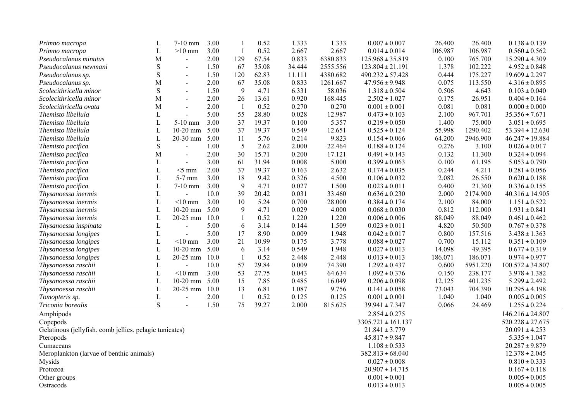| 0.52<br>2.667<br>L<br>$>10~\mathrm{mm}$<br>3.00<br>2.667<br>$0.014 \pm 0.014$<br>106.987<br>106.987<br>$0.560 \pm 0.562$<br>Primno macropa<br>$\overline{1}$<br>0.833<br>M<br>2.00<br>129<br>67.54<br>6380.833<br>0.100<br>765.700<br>$15.290 \pm 4.309$<br>Pseudocalanus minutus<br>$125.968 \pm 35.819$<br>$\overline{\phantom{a}}$<br>${\bf S}$<br>1.50<br>67<br>35.08<br>34.444<br>2555.556<br>1.378<br>102.222<br>Pseudocalanus newmani<br>$123.804 \pm 21.191$<br>$4.952 \pm 0.848$<br>$\overline{a}$<br>S<br>62.83<br>11.111<br>4380.682<br>175.227<br>1.50<br>120<br>$490.232 \pm 57.428$<br>0.444<br>$19.609 \pm 2.297$<br>Pseudocalanus sp.<br>$\blacksquare$<br>M<br>35.08<br>2.00<br>67<br>0.833<br>1261.667<br>$47.956 \pm 9.948$<br>0.075<br>113.550<br>$4.316 \pm 0.895$<br>Pseudocalanus sp.<br>$\blacksquare$<br>${\bf S}$<br>Scolecithricella minor<br>1.50<br>9<br>4.71<br>6.331<br>58.036<br>$1.318 \pm 0.504$<br>0.506<br>4.643<br>$0.103 \pm 0.040$<br>$\sim$<br>M<br>2.00<br>26<br>13.61<br>0.920<br>168.445<br>$2.502 \pm 1.027$<br>26.951<br>Scolecithricella minor<br>0.175<br>$0.404 \pm 0.164$<br>$\blacksquare$<br>M<br>2.00<br>0.52<br>0.270<br>0.270<br>$0.001 \pm 0.001$<br>0.081<br>0.081<br>Scolecithricella ovata<br>$0.000 \pm 0.000$<br>$\overline{\phantom{0}}$<br>$\sim$<br>55<br>28.80<br>0.028<br>12.987<br>Themisto libellula<br>L<br>5.00<br>$0.473 \pm 0.103$<br>2.100<br>967.701<br>$35.356 \pm 7.671$<br>$\mathbf{L}$<br>37<br>0.100<br>Themisto libellula<br>$5-10$ mm<br>3.00<br>19.37<br>5.357<br>$0.219 \pm 0.050$<br>1.400<br>75.000<br>$3.051 \pm 0.695$<br>L<br>$10-20$ mm<br>5.00<br>37<br>19.37<br>0.549<br>12.651<br>55.998<br>1290.402<br>Themisto libellula<br>$0.525 \pm 0.124$<br>$53.394 \pm 12.630$<br>5.00<br>5.76<br>0.214<br>9.823<br>2946.900<br>Themisto libellula<br>L<br>$20-30$ mm<br>11<br>$0.154 \pm 0.066$<br>64.200<br>$46.247 \pm 19.884$<br>${\bf S}$<br>5<br>2.62<br>2.000<br>22.464<br>0.276<br>1.00<br>$0.188 \pm 0.124$<br>3.100<br>$0.026 \pm 0.017$<br>Themisto pacifica<br>$\overline{a}$<br>30<br>M<br>2.00<br>15.71<br>0.200<br>17.121<br>$0.491 \pm 0.143$<br>0.132<br>11.300<br>$0.324 \pm 0.094$<br>Themisto pacifica<br>$\sim$<br>3.00<br>61<br>31.94<br>0.008<br>5.000<br>Themisto pacifica<br>L<br>$0.399 \pm 0.063$<br>0.100<br>61.195<br>$5.053 \pm 0.790$<br>$\overline{a}$<br>$\mathbf{L}$<br>2.00<br>37<br>19.37<br>0.163<br>2.632<br>0.244<br>4.211<br>Themisto pacifica<br>$<$ 5 mm<br>$0.174 \pm 0.035$<br>$0.281 \pm 0.056$<br>L<br>5-7 mm<br>3.00<br>18<br>9.42<br>0.326<br>4.500<br>$0.106 \pm 0.032$<br>2.082<br>26.550<br>$0.620 \pm 0.188$<br>Themisto pacifica<br>$\mathbf L$<br>9<br>3.00<br>4.71<br>0.027<br>0.400<br>21.360<br>Themisto pacifica<br>$7-10$ mm<br>1.500<br>$0.023 \pm 0.011$<br>$0.336 \pm 0.155$<br>39<br>0.031<br>$\mathbf L$<br>10.0<br>20.42<br>$0.636 \pm 0.230$<br>2.000<br>2174.900<br>33.460<br>$40.316 \pm 14.905$<br>Thysanoessa inermis<br>$<$ 10 mm<br>3.00<br>5.24<br>0.700<br>L<br>10<br>28.000<br>$0.384 \pm 0.174$<br>2.100<br>84.000<br>$1.151 \pm 0.522$<br>Thysanoessa inermis<br>$\mathbf L$<br>9<br>0.029<br>$10-20$ mm<br>5.00<br>4.71<br>4.000<br>$0.068 \pm 0.030$<br>0.812<br>112.000<br>Thysanoessa inermis<br>$1.931 \pm 0.841$<br>1.220<br>L<br>20-25 mm<br>10.0<br>0.52<br>1.220<br>88.049<br>88.049<br>Thysanoessa inermis<br>$0.006 \pm 0.006$<br>$0.461 \pm 0.462$<br>1<br>$\mathbf L$<br>6<br>3.14<br>0.144<br>1.509<br>5.00<br>$0.023 \pm 0.011$<br>4.820<br>50.500<br>$0.767 \pm 0.378$<br>Thysanoessa inspinata<br>$\overline{a}$<br>$\mathbf L$<br>17<br>8.90<br>0.009<br>5.00<br>1.948<br>$0.042 \pm 0.017$<br>0.800<br>157.516<br>$3.438 \pm 1.363$<br>Thysanoessa longipes<br>$\overline{a}$<br>21<br>L<br>3.00<br>10.99<br>0.175<br>3.778<br>$0.088 \pm 0.027$<br>0.700<br>15.112<br>Thysanoessa longipes<br>$<$ 10 mm<br>$0.351 \pm 0.109$<br>$\mathbf L$<br>5.00<br>6<br>3.14<br>0.549<br>1.948<br>49.395<br>$10-20$ mm<br>$0.027 \pm 0.013$<br>14.098<br>$0.677 \pm 0.319$<br>Thysanoessa longipes<br>$\mathbf L$<br>20-25 mm<br>10.0<br>0.52<br>2.448<br>2.448<br>186.071<br>$0.013 \pm 0.013$<br>186.071<br>$0.974 \pm 0.977$<br>Thysanoessa longipes<br>29.84<br>0.009<br>74.390<br>10.0<br>57<br>0.600<br>5951.220<br>$100.572 \pm 34.807$<br>Thysanoessa raschii<br>L<br>$1.292 \pm 0.437$<br>$\mathbf{L}$<br>$<$ 10 mm<br>3.00<br>53<br>27.75<br>0.043<br>64.634<br>238.177<br>Thysanoessa raschii<br>$1.092 \pm 0.376$<br>0.150<br>$3.978 \pm 1.382$<br>$\mathbf L$<br>$10-20$ mm<br>5.00<br>15<br>7.85<br>0.485<br>16.049<br>401.235<br>Thysanoessa raschii<br>$0.206 \pm 0.098$<br>12.125<br>$5.299 \pm 2.492$<br>$\mathbf L$<br>10.0<br>6.81<br>1.087<br>20-25 mm<br>13<br>9.756<br>73.043<br>704.390<br>$10.295 \pm 4.198$<br>Thysanoessa raschii<br>$0.141 \pm 0.058$<br>$\mathbf L$<br>2.00<br>$\overline{1}$<br>0.52<br>0.125<br>0.125<br>$0.001 \pm 0.001$<br>1.040<br>1.040<br>$0.005 \pm 0.005$<br>Tomopteris sp.<br>$\overline{a}$<br>S<br>75<br>39.27<br>2.000<br>815.625<br>1.50<br>$39.941 \pm 7.347$<br>0.066<br>24.469<br>$1.255 \pm 0.224$<br>Triconia borealis<br>$\blacksquare$<br>Amphipods<br>$2.854 \pm 0.275$<br>$146.216 \pm 24.807$<br>Copepods<br>$3305.721 \pm 161.137$<br>$520.228 \pm 27.675$<br>Gelatinous (jellyfish. comb jellies. pelagic tunicates)<br>$21.841 \pm 3.779$<br>$20.091 \pm 4.253$<br>Pteropods<br>$45.817 \pm 9.847$<br>$5.335 \pm 1.047$<br>Cumaceans<br>$1.108 \pm 0.533$<br>$20.287 \pm 9.879$<br>$12.378 \pm 2.045$<br>Meroplankton (larvae of benthic animals)<br>$382.813 \pm 68.040$<br>Mysids<br>$0.027 \pm 0.008$<br>$0.810 \pm 0.333$<br>Protozoa<br>$20.907 \pm 14.715$<br>$0.167 \pm 0.118$ | Primno macropa                    | L | $7-10$ mm | 3.00 |  | 0.52 | 1.333 | 1.333 | $0.007 \pm 0.007$ | 26.400 | 26.400 | $0.138 \pm 0.139$ |
|----------------------------------------------------------------------------------------------------------------------------------------------------------------------------------------------------------------------------------------------------------------------------------------------------------------------------------------------------------------------------------------------------------------------------------------------------------------------------------------------------------------------------------------------------------------------------------------------------------------------------------------------------------------------------------------------------------------------------------------------------------------------------------------------------------------------------------------------------------------------------------------------------------------------------------------------------------------------------------------------------------------------------------------------------------------------------------------------------------------------------------------------------------------------------------------------------------------------------------------------------------------------------------------------------------------------------------------------------------------------------------------------------------------------------------------------------------------------------------------------------------------------------------------------------------------------------------------------------------------------------------------------------------------------------------------------------------------------------------------------------------------------------------------------------------------------------------------------------------------------------------------------------------------------------------------------------------------------------------------------------------------------------------------------------------------------------------------------------------------------------------------------------------------------------------------------------------------------------------------------------------------------------------------------------------------------------------------------------------------------------------------------------------------------------------------------------------------------------------------------------------------------------------------------------------------------------------------------------------------------------------------------------------------------------------------------------------------------------------------------------------------------------------------------------------------------------------------------------------------------------------------------------------------------------------------------------------------------------------------------------------------------------------------------------------------------------------------------------------------------------------------------------------------------------------------------------------------------------------------------------------------------------------------------------------------------------------------------------------------------------------------------------------------------------------------------------------------------------------------------------------------------------------------------------------------------------------------------------------------------------------------------------------------------------------------------------------------------------------------------------------------------------------------------------------------------------------------------------------------------------------------------------------------------------------------------------------------------------------------------------------------------------------------------------------------------------------------------------------------------------------------------------------------------------------------------------------------------------------------------------------------------------------------------------------------------------------------------------------------------------------------------------------------------------------------------------------------------------------------------------------------------------------------------------------------------------------------------------------------------------------------------------------------------------------------------------------------------------------------------------------------------------------------------------------------------------------------------------------------------------------------------------------------------------------------------------------------------------------------------------------------------------------------------------------------------------------------------------------------------------------------------------------------------------------------------------------------------------------------------------------------------------------------------------------------------------------------------------------------------------------------------------------------------------------------------------------------------------------------------------------------------------------------------------------------------------------------------------------------------------------------------------------------------------------------------------------------------------------------|-----------------------------------|---|-----------|------|--|------|-------|-------|-------------------|--------|--------|-------------------|
|                                                                                                                                                                                                                                                                                                                                                                                                                                                                                                                                                                                                                                                                                                                                                                                                                                                                                                                                                                                                                                                                                                                                                                                                                                                                                                                                                                                                                                                                                                                                                                                                                                                                                                                                                                                                                                                                                                                                                                                                                                                                                                                                                                                                                                                                                                                                                                                                                                                                                                                                                                                                                                                                                                                                                                                                                                                                                                                                                                                                                                                                                                                                                                                                                                                                                                                                                                                                                                                                                                                                                                                                                                                                                                                                                                                                                                                                                                                                                                                                                                                                                                                                                                                                                                                                                                                                                                                                                                                                                                                                                                                                                                                                                                                                                                                                                                                                                                                                                                                                                                                                                                                                                                                                                                                                                                                                                                                                                                                                                                                                                                                                                                                                                                                                        |                                   |   |           |      |  |      |       |       |                   |        |        |                   |
|                                                                                                                                                                                                                                                                                                                                                                                                                                                                                                                                                                                                                                                                                                                                                                                                                                                                                                                                                                                                                                                                                                                                                                                                                                                                                                                                                                                                                                                                                                                                                                                                                                                                                                                                                                                                                                                                                                                                                                                                                                                                                                                                                                                                                                                                                                                                                                                                                                                                                                                                                                                                                                                                                                                                                                                                                                                                                                                                                                                                                                                                                                                                                                                                                                                                                                                                                                                                                                                                                                                                                                                                                                                                                                                                                                                                                                                                                                                                                                                                                                                                                                                                                                                                                                                                                                                                                                                                                                                                                                                                                                                                                                                                                                                                                                                                                                                                                                                                                                                                                                                                                                                                                                                                                                                                                                                                                                                                                                                                                                                                                                                                                                                                                                                                        |                                   |   |           |      |  |      |       |       |                   |        |        |                   |
|                                                                                                                                                                                                                                                                                                                                                                                                                                                                                                                                                                                                                                                                                                                                                                                                                                                                                                                                                                                                                                                                                                                                                                                                                                                                                                                                                                                                                                                                                                                                                                                                                                                                                                                                                                                                                                                                                                                                                                                                                                                                                                                                                                                                                                                                                                                                                                                                                                                                                                                                                                                                                                                                                                                                                                                                                                                                                                                                                                                                                                                                                                                                                                                                                                                                                                                                                                                                                                                                                                                                                                                                                                                                                                                                                                                                                                                                                                                                                                                                                                                                                                                                                                                                                                                                                                                                                                                                                                                                                                                                                                                                                                                                                                                                                                                                                                                                                                                                                                                                                                                                                                                                                                                                                                                                                                                                                                                                                                                                                                                                                                                                                                                                                                                                        |                                   |   |           |      |  |      |       |       |                   |        |        |                   |
|                                                                                                                                                                                                                                                                                                                                                                                                                                                                                                                                                                                                                                                                                                                                                                                                                                                                                                                                                                                                                                                                                                                                                                                                                                                                                                                                                                                                                                                                                                                                                                                                                                                                                                                                                                                                                                                                                                                                                                                                                                                                                                                                                                                                                                                                                                                                                                                                                                                                                                                                                                                                                                                                                                                                                                                                                                                                                                                                                                                                                                                                                                                                                                                                                                                                                                                                                                                                                                                                                                                                                                                                                                                                                                                                                                                                                                                                                                                                                                                                                                                                                                                                                                                                                                                                                                                                                                                                                                                                                                                                                                                                                                                                                                                                                                                                                                                                                                                                                                                                                                                                                                                                                                                                                                                                                                                                                                                                                                                                                                                                                                                                                                                                                                                                        |                                   |   |           |      |  |      |       |       |                   |        |        |                   |
|                                                                                                                                                                                                                                                                                                                                                                                                                                                                                                                                                                                                                                                                                                                                                                                                                                                                                                                                                                                                                                                                                                                                                                                                                                                                                                                                                                                                                                                                                                                                                                                                                                                                                                                                                                                                                                                                                                                                                                                                                                                                                                                                                                                                                                                                                                                                                                                                                                                                                                                                                                                                                                                                                                                                                                                                                                                                                                                                                                                                                                                                                                                                                                                                                                                                                                                                                                                                                                                                                                                                                                                                                                                                                                                                                                                                                                                                                                                                                                                                                                                                                                                                                                                                                                                                                                                                                                                                                                                                                                                                                                                                                                                                                                                                                                                                                                                                                                                                                                                                                                                                                                                                                                                                                                                                                                                                                                                                                                                                                                                                                                                                                                                                                                                                        |                                   |   |           |      |  |      |       |       |                   |        |        |                   |
|                                                                                                                                                                                                                                                                                                                                                                                                                                                                                                                                                                                                                                                                                                                                                                                                                                                                                                                                                                                                                                                                                                                                                                                                                                                                                                                                                                                                                                                                                                                                                                                                                                                                                                                                                                                                                                                                                                                                                                                                                                                                                                                                                                                                                                                                                                                                                                                                                                                                                                                                                                                                                                                                                                                                                                                                                                                                                                                                                                                                                                                                                                                                                                                                                                                                                                                                                                                                                                                                                                                                                                                                                                                                                                                                                                                                                                                                                                                                                                                                                                                                                                                                                                                                                                                                                                                                                                                                                                                                                                                                                                                                                                                                                                                                                                                                                                                                                                                                                                                                                                                                                                                                                                                                                                                                                                                                                                                                                                                                                                                                                                                                                                                                                                                                        |                                   |   |           |      |  |      |       |       |                   |        |        |                   |
|                                                                                                                                                                                                                                                                                                                                                                                                                                                                                                                                                                                                                                                                                                                                                                                                                                                                                                                                                                                                                                                                                                                                                                                                                                                                                                                                                                                                                                                                                                                                                                                                                                                                                                                                                                                                                                                                                                                                                                                                                                                                                                                                                                                                                                                                                                                                                                                                                                                                                                                                                                                                                                                                                                                                                                                                                                                                                                                                                                                                                                                                                                                                                                                                                                                                                                                                                                                                                                                                                                                                                                                                                                                                                                                                                                                                                                                                                                                                                                                                                                                                                                                                                                                                                                                                                                                                                                                                                                                                                                                                                                                                                                                                                                                                                                                                                                                                                                                                                                                                                                                                                                                                                                                                                                                                                                                                                                                                                                                                                                                                                                                                                                                                                                                                        |                                   |   |           |      |  |      |       |       |                   |        |        |                   |
|                                                                                                                                                                                                                                                                                                                                                                                                                                                                                                                                                                                                                                                                                                                                                                                                                                                                                                                                                                                                                                                                                                                                                                                                                                                                                                                                                                                                                                                                                                                                                                                                                                                                                                                                                                                                                                                                                                                                                                                                                                                                                                                                                                                                                                                                                                                                                                                                                                                                                                                                                                                                                                                                                                                                                                                                                                                                                                                                                                                                                                                                                                                                                                                                                                                                                                                                                                                                                                                                                                                                                                                                                                                                                                                                                                                                                                                                                                                                                                                                                                                                                                                                                                                                                                                                                                                                                                                                                                                                                                                                                                                                                                                                                                                                                                                                                                                                                                                                                                                                                                                                                                                                                                                                                                                                                                                                                                                                                                                                                                                                                                                                                                                                                                                                        |                                   |   |           |      |  |      |       |       |                   |        |        |                   |
|                                                                                                                                                                                                                                                                                                                                                                                                                                                                                                                                                                                                                                                                                                                                                                                                                                                                                                                                                                                                                                                                                                                                                                                                                                                                                                                                                                                                                                                                                                                                                                                                                                                                                                                                                                                                                                                                                                                                                                                                                                                                                                                                                                                                                                                                                                                                                                                                                                                                                                                                                                                                                                                                                                                                                                                                                                                                                                                                                                                                                                                                                                                                                                                                                                                                                                                                                                                                                                                                                                                                                                                                                                                                                                                                                                                                                                                                                                                                                                                                                                                                                                                                                                                                                                                                                                                                                                                                                                                                                                                                                                                                                                                                                                                                                                                                                                                                                                                                                                                                                                                                                                                                                                                                                                                                                                                                                                                                                                                                                                                                                                                                                                                                                                                                        |                                   |   |           |      |  |      |       |       |                   |        |        |                   |
|                                                                                                                                                                                                                                                                                                                                                                                                                                                                                                                                                                                                                                                                                                                                                                                                                                                                                                                                                                                                                                                                                                                                                                                                                                                                                                                                                                                                                                                                                                                                                                                                                                                                                                                                                                                                                                                                                                                                                                                                                                                                                                                                                                                                                                                                                                                                                                                                                                                                                                                                                                                                                                                                                                                                                                                                                                                                                                                                                                                                                                                                                                                                                                                                                                                                                                                                                                                                                                                                                                                                                                                                                                                                                                                                                                                                                                                                                                                                                                                                                                                                                                                                                                                                                                                                                                                                                                                                                                                                                                                                                                                                                                                                                                                                                                                                                                                                                                                                                                                                                                                                                                                                                                                                                                                                                                                                                                                                                                                                                                                                                                                                                                                                                                                                        |                                   |   |           |      |  |      |       |       |                   |        |        |                   |
|                                                                                                                                                                                                                                                                                                                                                                                                                                                                                                                                                                                                                                                                                                                                                                                                                                                                                                                                                                                                                                                                                                                                                                                                                                                                                                                                                                                                                                                                                                                                                                                                                                                                                                                                                                                                                                                                                                                                                                                                                                                                                                                                                                                                                                                                                                                                                                                                                                                                                                                                                                                                                                                                                                                                                                                                                                                                                                                                                                                                                                                                                                                                                                                                                                                                                                                                                                                                                                                                                                                                                                                                                                                                                                                                                                                                                                                                                                                                                                                                                                                                                                                                                                                                                                                                                                                                                                                                                                                                                                                                                                                                                                                                                                                                                                                                                                                                                                                                                                                                                                                                                                                                                                                                                                                                                                                                                                                                                                                                                                                                                                                                                                                                                                                                        |                                   |   |           |      |  |      |       |       |                   |        |        |                   |
|                                                                                                                                                                                                                                                                                                                                                                                                                                                                                                                                                                                                                                                                                                                                                                                                                                                                                                                                                                                                                                                                                                                                                                                                                                                                                                                                                                                                                                                                                                                                                                                                                                                                                                                                                                                                                                                                                                                                                                                                                                                                                                                                                                                                                                                                                                                                                                                                                                                                                                                                                                                                                                                                                                                                                                                                                                                                                                                                                                                                                                                                                                                                                                                                                                                                                                                                                                                                                                                                                                                                                                                                                                                                                                                                                                                                                                                                                                                                                                                                                                                                                                                                                                                                                                                                                                                                                                                                                                                                                                                                                                                                                                                                                                                                                                                                                                                                                                                                                                                                                                                                                                                                                                                                                                                                                                                                                                                                                                                                                                                                                                                                                                                                                                                                        |                                   |   |           |      |  |      |       |       |                   |        |        |                   |
|                                                                                                                                                                                                                                                                                                                                                                                                                                                                                                                                                                                                                                                                                                                                                                                                                                                                                                                                                                                                                                                                                                                                                                                                                                                                                                                                                                                                                                                                                                                                                                                                                                                                                                                                                                                                                                                                                                                                                                                                                                                                                                                                                                                                                                                                                                                                                                                                                                                                                                                                                                                                                                                                                                                                                                                                                                                                                                                                                                                                                                                                                                                                                                                                                                                                                                                                                                                                                                                                                                                                                                                                                                                                                                                                                                                                                                                                                                                                                                                                                                                                                                                                                                                                                                                                                                                                                                                                                                                                                                                                                                                                                                                                                                                                                                                                                                                                                                                                                                                                                                                                                                                                                                                                                                                                                                                                                                                                                                                                                                                                                                                                                                                                                                                                        |                                   |   |           |      |  |      |       |       |                   |        |        |                   |
|                                                                                                                                                                                                                                                                                                                                                                                                                                                                                                                                                                                                                                                                                                                                                                                                                                                                                                                                                                                                                                                                                                                                                                                                                                                                                                                                                                                                                                                                                                                                                                                                                                                                                                                                                                                                                                                                                                                                                                                                                                                                                                                                                                                                                                                                                                                                                                                                                                                                                                                                                                                                                                                                                                                                                                                                                                                                                                                                                                                                                                                                                                                                                                                                                                                                                                                                                                                                                                                                                                                                                                                                                                                                                                                                                                                                                                                                                                                                                                                                                                                                                                                                                                                                                                                                                                                                                                                                                                                                                                                                                                                                                                                                                                                                                                                                                                                                                                                                                                                                                                                                                                                                                                                                                                                                                                                                                                                                                                                                                                                                                                                                                                                                                                                                        |                                   |   |           |      |  |      |       |       |                   |        |        |                   |
|                                                                                                                                                                                                                                                                                                                                                                                                                                                                                                                                                                                                                                                                                                                                                                                                                                                                                                                                                                                                                                                                                                                                                                                                                                                                                                                                                                                                                                                                                                                                                                                                                                                                                                                                                                                                                                                                                                                                                                                                                                                                                                                                                                                                                                                                                                                                                                                                                                                                                                                                                                                                                                                                                                                                                                                                                                                                                                                                                                                                                                                                                                                                                                                                                                                                                                                                                                                                                                                                                                                                                                                                                                                                                                                                                                                                                                                                                                                                                                                                                                                                                                                                                                                                                                                                                                                                                                                                                                                                                                                                                                                                                                                                                                                                                                                                                                                                                                                                                                                                                                                                                                                                                                                                                                                                                                                                                                                                                                                                                                                                                                                                                                                                                                                                        |                                   |   |           |      |  |      |       |       |                   |        |        |                   |
|                                                                                                                                                                                                                                                                                                                                                                                                                                                                                                                                                                                                                                                                                                                                                                                                                                                                                                                                                                                                                                                                                                                                                                                                                                                                                                                                                                                                                                                                                                                                                                                                                                                                                                                                                                                                                                                                                                                                                                                                                                                                                                                                                                                                                                                                                                                                                                                                                                                                                                                                                                                                                                                                                                                                                                                                                                                                                                                                                                                                                                                                                                                                                                                                                                                                                                                                                                                                                                                                                                                                                                                                                                                                                                                                                                                                                                                                                                                                                                                                                                                                                                                                                                                                                                                                                                                                                                                                                                                                                                                                                                                                                                                                                                                                                                                                                                                                                                                                                                                                                                                                                                                                                                                                                                                                                                                                                                                                                                                                                                                                                                                                                                                                                                                                        |                                   |   |           |      |  |      |       |       |                   |        |        |                   |
|                                                                                                                                                                                                                                                                                                                                                                                                                                                                                                                                                                                                                                                                                                                                                                                                                                                                                                                                                                                                                                                                                                                                                                                                                                                                                                                                                                                                                                                                                                                                                                                                                                                                                                                                                                                                                                                                                                                                                                                                                                                                                                                                                                                                                                                                                                                                                                                                                                                                                                                                                                                                                                                                                                                                                                                                                                                                                                                                                                                                                                                                                                                                                                                                                                                                                                                                                                                                                                                                                                                                                                                                                                                                                                                                                                                                                                                                                                                                                                                                                                                                                                                                                                                                                                                                                                                                                                                                                                                                                                                                                                                                                                                                                                                                                                                                                                                                                                                                                                                                                                                                                                                                                                                                                                                                                                                                                                                                                                                                                                                                                                                                                                                                                                                                        |                                   |   |           |      |  |      |       |       |                   |        |        |                   |
|                                                                                                                                                                                                                                                                                                                                                                                                                                                                                                                                                                                                                                                                                                                                                                                                                                                                                                                                                                                                                                                                                                                                                                                                                                                                                                                                                                                                                                                                                                                                                                                                                                                                                                                                                                                                                                                                                                                                                                                                                                                                                                                                                                                                                                                                                                                                                                                                                                                                                                                                                                                                                                                                                                                                                                                                                                                                                                                                                                                                                                                                                                                                                                                                                                                                                                                                                                                                                                                                                                                                                                                                                                                                                                                                                                                                                                                                                                                                                                                                                                                                                                                                                                                                                                                                                                                                                                                                                                                                                                                                                                                                                                                                                                                                                                                                                                                                                                                                                                                                                                                                                                                                                                                                                                                                                                                                                                                                                                                                                                                                                                                                                                                                                                                                        |                                   |   |           |      |  |      |       |       |                   |        |        |                   |
|                                                                                                                                                                                                                                                                                                                                                                                                                                                                                                                                                                                                                                                                                                                                                                                                                                                                                                                                                                                                                                                                                                                                                                                                                                                                                                                                                                                                                                                                                                                                                                                                                                                                                                                                                                                                                                                                                                                                                                                                                                                                                                                                                                                                                                                                                                                                                                                                                                                                                                                                                                                                                                                                                                                                                                                                                                                                                                                                                                                                                                                                                                                                                                                                                                                                                                                                                                                                                                                                                                                                                                                                                                                                                                                                                                                                                                                                                                                                                                                                                                                                                                                                                                                                                                                                                                                                                                                                                                                                                                                                                                                                                                                                                                                                                                                                                                                                                                                                                                                                                                                                                                                                                                                                                                                                                                                                                                                                                                                                                                                                                                                                                                                                                                                                        |                                   |   |           |      |  |      |       |       |                   |        |        |                   |
|                                                                                                                                                                                                                                                                                                                                                                                                                                                                                                                                                                                                                                                                                                                                                                                                                                                                                                                                                                                                                                                                                                                                                                                                                                                                                                                                                                                                                                                                                                                                                                                                                                                                                                                                                                                                                                                                                                                                                                                                                                                                                                                                                                                                                                                                                                                                                                                                                                                                                                                                                                                                                                                                                                                                                                                                                                                                                                                                                                                                                                                                                                                                                                                                                                                                                                                                                                                                                                                                                                                                                                                                                                                                                                                                                                                                                                                                                                                                                                                                                                                                                                                                                                                                                                                                                                                                                                                                                                                                                                                                                                                                                                                                                                                                                                                                                                                                                                                                                                                                                                                                                                                                                                                                                                                                                                                                                                                                                                                                                                                                                                                                                                                                                                                                        |                                   |   |           |      |  |      |       |       |                   |        |        |                   |
|                                                                                                                                                                                                                                                                                                                                                                                                                                                                                                                                                                                                                                                                                                                                                                                                                                                                                                                                                                                                                                                                                                                                                                                                                                                                                                                                                                                                                                                                                                                                                                                                                                                                                                                                                                                                                                                                                                                                                                                                                                                                                                                                                                                                                                                                                                                                                                                                                                                                                                                                                                                                                                                                                                                                                                                                                                                                                                                                                                                                                                                                                                                                                                                                                                                                                                                                                                                                                                                                                                                                                                                                                                                                                                                                                                                                                                                                                                                                                                                                                                                                                                                                                                                                                                                                                                                                                                                                                                                                                                                                                                                                                                                                                                                                                                                                                                                                                                                                                                                                                                                                                                                                                                                                                                                                                                                                                                                                                                                                                                                                                                                                                                                                                                                                        |                                   |   |           |      |  |      |       |       |                   |        |        |                   |
|                                                                                                                                                                                                                                                                                                                                                                                                                                                                                                                                                                                                                                                                                                                                                                                                                                                                                                                                                                                                                                                                                                                                                                                                                                                                                                                                                                                                                                                                                                                                                                                                                                                                                                                                                                                                                                                                                                                                                                                                                                                                                                                                                                                                                                                                                                                                                                                                                                                                                                                                                                                                                                                                                                                                                                                                                                                                                                                                                                                                                                                                                                                                                                                                                                                                                                                                                                                                                                                                                                                                                                                                                                                                                                                                                                                                                                                                                                                                                                                                                                                                                                                                                                                                                                                                                                                                                                                                                                                                                                                                                                                                                                                                                                                                                                                                                                                                                                                                                                                                                                                                                                                                                                                                                                                                                                                                                                                                                                                                                                                                                                                                                                                                                                                                        |                                   |   |           |      |  |      |       |       |                   |        |        |                   |
|                                                                                                                                                                                                                                                                                                                                                                                                                                                                                                                                                                                                                                                                                                                                                                                                                                                                                                                                                                                                                                                                                                                                                                                                                                                                                                                                                                                                                                                                                                                                                                                                                                                                                                                                                                                                                                                                                                                                                                                                                                                                                                                                                                                                                                                                                                                                                                                                                                                                                                                                                                                                                                                                                                                                                                                                                                                                                                                                                                                                                                                                                                                                                                                                                                                                                                                                                                                                                                                                                                                                                                                                                                                                                                                                                                                                                                                                                                                                                                                                                                                                                                                                                                                                                                                                                                                                                                                                                                                                                                                                                                                                                                                                                                                                                                                                                                                                                                                                                                                                                                                                                                                                                                                                                                                                                                                                                                                                                                                                                                                                                                                                                                                                                                                                        |                                   |   |           |      |  |      |       |       |                   |        |        |                   |
|                                                                                                                                                                                                                                                                                                                                                                                                                                                                                                                                                                                                                                                                                                                                                                                                                                                                                                                                                                                                                                                                                                                                                                                                                                                                                                                                                                                                                                                                                                                                                                                                                                                                                                                                                                                                                                                                                                                                                                                                                                                                                                                                                                                                                                                                                                                                                                                                                                                                                                                                                                                                                                                                                                                                                                                                                                                                                                                                                                                                                                                                                                                                                                                                                                                                                                                                                                                                                                                                                                                                                                                                                                                                                                                                                                                                                                                                                                                                                                                                                                                                                                                                                                                                                                                                                                                                                                                                                                                                                                                                                                                                                                                                                                                                                                                                                                                                                                                                                                                                                                                                                                                                                                                                                                                                                                                                                                                                                                                                                                                                                                                                                                                                                                                                        |                                   |   |           |      |  |      |       |       |                   |        |        |                   |
|                                                                                                                                                                                                                                                                                                                                                                                                                                                                                                                                                                                                                                                                                                                                                                                                                                                                                                                                                                                                                                                                                                                                                                                                                                                                                                                                                                                                                                                                                                                                                                                                                                                                                                                                                                                                                                                                                                                                                                                                                                                                                                                                                                                                                                                                                                                                                                                                                                                                                                                                                                                                                                                                                                                                                                                                                                                                                                                                                                                                                                                                                                                                                                                                                                                                                                                                                                                                                                                                                                                                                                                                                                                                                                                                                                                                                                                                                                                                                                                                                                                                                                                                                                                                                                                                                                                                                                                                                                                                                                                                                                                                                                                                                                                                                                                                                                                                                                                                                                                                                                                                                                                                                                                                                                                                                                                                                                                                                                                                                                                                                                                                                                                                                                                                        |                                   |   |           |      |  |      |       |       |                   |        |        |                   |
|                                                                                                                                                                                                                                                                                                                                                                                                                                                                                                                                                                                                                                                                                                                                                                                                                                                                                                                                                                                                                                                                                                                                                                                                                                                                                                                                                                                                                                                                                                                                                                                                                                                                                                                                                                                                                                                                                                                                                                                                                                                                                                                                                                                                                                                                                                                                                                                                                                                                                                                                                                                                                                                                                                                                                                                                                                                                                                                                                                                                                                                                                                                                                                                                                                                                                                                                                                                                                                                                                                                                                                                                                                                                                                                                                                                                                                                                                                                                                                                                                                                                                                                                                                                                                                                                                                                                                                                                                                                                                                                                                                                                                                                                                                                                                                                                                                                                                                                                                                                                                                                                                                                                                                                                                                                                                                                                                                                                                                                                                                                                                                                                                                                                                                                                        |                                   |   |           |      |  |      |       |       |                   |        |        |                   |
|                                                                                                                                                                                                                                                                                                                                                                                                                                                                                                                                                                                                                                                                                                                                                                                                                                                                                                                                                                                                                                                                                                                                                                                                                                                                                                                                                                                                                                                                                                                                                                                                                                                                                                                                                                                                                                                                                                                                                                                                                                                                                                                                                                                                                                                                                                                                                                                                                                                                                                                                                                                                                                                                                                                                                                                                                                                                                                                                                                                                                                                                                                                                                                                                                                                                                                                                                                                                                                                                                                                                                                                                                                                                                                                                                                                                                                                                                                                                                                                                                                                                                                                                                                                                                                                                                                                                                                                                                                                                                                                                                                                                                                                                                                                                                                                                                                                                                                                                                                                                                                                                                                                                                                                                                                                                                                                                                                                                                                                                                                                                                                                                                                                                                                                                        |                                   |   |           |      |  |      |       |       |                   |        |        |                   |
|                                                                                                                                                                                                                                                                                                                                                                                                                                                                                                                                                                                                                                                                                                                                                                                                                                                                                                                                                                                                                                                                                                                                                                                                                                                                                                                                                                                                                                                                                                                                                                                                                                                                                                                                                                                                                                                                                                                                                                                                                                                                                                                                                                                                                                                                                                                                                                                                                                                                                                                                                                                                                                                                                                                                                                                                                                                                                                                                                                                                                                                                                                                                                                                                                                                                                                                                                                                                                                                                                                                                                                                                                                                                                                                                                                                                                                                                                                                                                                                                                                                                                                                                                                                                                                                                                                                                                                                                                                                                                                                                                                                                                                                                                                                                                                                                                                                                                                                                                                                                                                                                                                                                                                                                                                                                                                                                                                                                                                                                                                                                                                                                                                                                                                                                        |                                   |   |           |      |  |      |       |       |                   |        |        |                   |
|                                                                                                                                                                                                                                                                                                                                                                                                                                                                                                                                                                                                                                                                                                                                                                                                                                                                                                                                                                                                                                                                                                                                                                                                                                                                                                                                                                                                                                                                                                                                                                                                                                                                                                                                                                                                                                                                                                                                                                                                                                                                                                                                                                                                                                                                                                                                                                                                                                                                                                                                                                                                                                                                                                                                                                                                                                                                                                                                                                                                                                                                                                                                                                                                                                                                                                                                                                                                                                                                                                                                                                                                                                                                                                                                                                                                                                                                                                                                                                                                                                                                                                                                                                                                                                                                                                                                                                                                                                                                                                                                                                                                                                                                                                                                                                                                                                                                                                                                                                                                                                                                                                                                                                                                                                                                                                                                                                                                                                                                                                                                                                                                                                                                                                                                        |                                   |   |           |      |  |      |       |       |                   |        |        |                   |
|                                                                                                                                                                                                                                                                                                                                                                                                                                                                                                                                                                                                                                                                                                                                                                                                                                                                                                                                                                                                                                                                                                                                                                                                                                                                                                                                                                                                                                                                                                                                                                                                                                                                                                                                                                                                                                                                                                                                                                                                                                                                                                                                                                                                                                                                                                                                                                                                                                                                                                                                                                                                                                                                                                                                                                                                                                                                                                                                                                                                                                                                                                                                                                                                                                                                                                                                                                                                                                                                                                                                                                                                                                                                                                                                                                                                                                                                                                                                                                                                                                                                                                                                                                                                                                                                                                                                                                                                                                                                                                                                                                                                                                                                                                                                                                                                                                                                                                                                                                                                                                                                                                                                                                                                                                                                                                                                                                                                                                                                                                                                                                                                                                                                                                                                        |                                   |   |           |      |  |      |       |       |                   |        |        |                   |
|                                                                                                                                                                                                                                                                                                                                                                                                                                                                                                                                                                                                                                                                                                                                                                                                                                                                                                                                                                                                                                                                                                                                                                                                                                                                                                                                                                                                                                                                                                                                                                                                                                                                                                                                                                                                                                                                                                                                                                                                                                                                                                                                                                                                                                                                                                                                                                                                                                                                                                                                                                                                                                                                                                                                                                                                                                                                                                                                                                                                                                                                                                                                                                                                                                                                                                                                                                                                                                                                                                                                                                                                                                                                                                                                                                                                                                                                                                                                                                                                                                                                                                                                                                                                                                                                                                                                                                                                                                                                                                                                                                                                                                                                                                                                                                                                                                                                                                                                                                                                                                                                                                                                                                                                                                                                                                                                                                                                                                                                                                                                                                                                                                                                                                                                        |                                   |   |           |      |  |      |       |       |                   |        |        |                   |
|                                                                                                                                                                                                                                                                                                                                                                                                                                                                                                                                                                                                                                                                                                                                                                                                                                                                                                                                                                                                                                                                                                                                                                                                                                                                                                                                                                                                                                                                                                                                                                                                                                                                                                                                                                                                                                                                                                                                                                                                                                                                                                                                                                                                                                                                                                                                                                                                                                                                                                                                                                                                                                                                                                                                                                                                                                                                                                                                                                                                                                                                                                                                                                                                                                                                                                                                                                                                                                                                                                                                                                                                                                                                                                                                                                                                                                                                                                                                                                                                                                                                                                                                                                                                                                                                                                                                                                                                                                                                                                                                                                                                                                                                                                                                                                                                                                                                                                                                                                                                                                                                                                                                                                                                                                                                                                                                                                                                                                                                                                                                                                                                                                                                                                                                        |                                   |   |           |      |  |      |       |       |                   |        |        |                   |
|                                                                                                                                                                                                                                                                                                                                                                                                                                                                                                                                                                                                                                                                                                                                                                                                                                                                                                                                                                                                                                                                                                                                                                                                                                                                                                                                                                                                                                                                                                                                                                                                                                                                                                                                                                                                                                                                                                                                                                                                                                                                                                                                                                                                                                                                                                                                                                                                                                                                                                                                                                                                                                                                                                                                                                                                                                                                                                                                                                                                                                                                                                                                                                                                                                                                                                                                                                                                                                                                                                                                                                                                                                                                                                                                                                                                                                                                                                                                                                                                                                                                                                                                                                                                                                                                                                                                                                                                                                                                                                                                                                                                                                                                                                                                                                                                                                                                                                                                                                                                                                                                                                                                                                                                                                                                                                                                                                                                                                                                                                                                                                                                                                                                                                                                        |                                   |   |           |      |  |      |       |       |                   |        |        |                   |
|                                                                                                                                                                                                                                                                                                                                                                                                                                                                                                                                                                                                                                                                                                                                                                                                                                                                                                                                                                                                                                                                                                                                                                                                                                                                                                                                                                                                                                                                                                                                                                                                                                                                                                                                                                                                                                                                                                                                                                                                                                                                                                                                                                                                                                                                                                                                                                                                                                                                                                                                                                                                                                                                                                                                                                                                                                                                                                                                                                                                                                                                                                                                                                                                                                                                                                                                                                                                                                                                                                                                                                                                                                                                                                                                                                                                                                                                                                                                                                                                                                                                                                                                                                                                                                                                                                                                                                                                                                                                                                                                                                                                                                                                                                                                                                                                                                                                                                                                                                                                                                                                                                                                                                                                                                                                                                                                                                                                                                                                                                                                                                                                                                                                                                                                        |                                   |   |           |      |  |      |       |       |                   |        |        |                   |
|                                                                                                                                                                                                                                                                                                                                                                                                                                                                                                                                                                                                                                                                                                                                                                                                                                                                                                                                                                                                                                                                                                                                                                                                                                                                                                                                                                                                                                                                                                                                                                                                                                                                                                                                                                                                                                                                                                                                                                                                                                                                                                                                                                                                                                                                                                                                                                                                                                                                                                                                                                                                                                                                                                                                                                                                                                                                                                                                                                                                                                                                                                                                                                                                                                                                                                                                                                                                                                                                                                                                                                                                                                                                                                                                                                                                                                                                                                                                                                                                                                                                                                                                                                                                                                                                                                                                                                                                                                                                                                                                                                                                                                                                                                                                                                                                                                                                                                                                                                                                                                                                                                                                                                                                                                                                                                                                                                                                                                                                                                                                                                                                                                                                                                                                        |                                   |   |           |      |  |      |       |       |                   |        |        |                   |
|                                                                                                                                                                                                                                                                                                                                                                                                                                                                                                                                                                                                                                                                                                                                                                                                                                                                                                                                                                                                                                                                                                                                                                                                                                                                                                                                                                                                                                                                                                                                                                                                                                                                                                                                                                                                                                                                                                                                                                                                                                                                                                                                                                                                                                                                                                                                                                                                                                                                                                                                                                                                                                                                                                                                                                                                                                                                                                                                                                                                                                                                                                                                                                                                                                                                                                                                                                                                                                                                                                                                                                                                                                                                                                                                                                                                                                                                                                                                                                                                                                                                                                                                                                                                                                                                                                                                                                                                                                                                                                                                                                                                                                                                                                                                                                                                                                                                                                                                                                                                                                                                                                                                                                                                                                                                                                                                                                                                                                                                                                                                                                                                                                                                                                                                        |                                   |   |           |      |  |      |       |       |                   |        |        |                   |
|                                                                                                                                                                                                                                                                                                                                                                                                                                                                                                                                                                                                                                                                                                                                                                                                                                                                                                                                                                                                                                                                                                                                                                                                                                                                                                                                                                                                                                                                                                                                                                                                                                                                                                                                                                                                                                                                                                                                                                                                                                                                                                                                                                                                                                                                                                                                                                                                                                                                                                                                                                                                                                                                                                                                                                                                                                                                                                                                                                                                                                                                                                                                                                                                                                                                                                                                                                                                                                                                                                                                                                                                                                                                                                                                                                                                                                                                                                                                                                                                                                                                                                                                                                                                                                                                                                                                                                                                                                                                                                                                                                                                                                                                                                                                                                                                                                                                                                                                                                                                                                                                                                                                                                                                                                                                                                                                                                                                                                                                                                                                                                                                                                                                                                                                        |                                   |   |           |      |  |      |       |       |                   |        |        |                   |
|                                                                                                                                                                                                                                                                                                                                                                                                                                                                                                                                                                                                                                                                                                                                                                                                                                                                                                                                                                                                                                                                                                                                                                                                                                                                                                                                                                                                                                                                                                                                                                                                                                                                                                                                                                                                                                                                                                                                                                                                                                                                                                                                                                                                                                                                                                                                                                                                                                                                                                                                                                                                                                                                                                                                                                                                                                                                                                                                                                                                                                                                                                                                                                                                                                                                                                                                                                                                                                                                                                                                                                                                                                                                                                                                                                                                                                                                                                                                                                                                                                                                                                                                                                                                                                                                                                                                                                                                                                                                                                                                                                                                                                                                                                                                                                                                                                                                                                                                                                                                                                                                                                                                                                                                                                                                                                                                                                                                                                                                                                                                                                                                                                                                                                                                        |                                   |   |           |      |  |      |       |       |                   |        |        |                   |
|                                                                                                                                                                                                                                                                                                                                                                                                                                                                                                                                                                                                                                                                                                                                                                                                                                                                                                                                                                                                                                                                                                                                                                                                                                                                                                                                                                                                                                                                                                                                                                                                                                                                                                                                                                                                                                                                                                                                                                                                                                                                                                                                                                                                                                                                                                                                                                                                                                                                                                                                                                                                                                                                                                                                                                                                                                                                                                                                                                                                                                                                                                                                                                                                                                                                                                                                                                                                                                                                                                                                                                                                                                                                                                                                                                                                                                                                                                                                                                                                                                                                                                                                                                                                                                                                                                                                                                                                                                                                                                                                                                                                                                                                                                                                                                                                                                                                                                                                                                                                                                                                                                                                                                                                                                                                                                                                                                                                                                                                                                                                                                                                                                                                                                                                        |                                   |   |           |      |  |      |       |       |                   |        |        |                   |
|                                                                                                                                                                                                                                                                                                                                                                                                                                                                                                                                                                                                                                                                                                                                                                                                                                                                                                                                                                                                                                                                                                                                                                                                                                                                                                                                                                                                                                                                                                                                                                                                                                                                                                                                                                                                                                                                                                                                                                                                                                                                                                                                                                                                                                                                                                                                                                                                                                                                                                                                                                                                                                                                                                                                                                                                                                                                                                                                                                                                                                                                                                                                                                                                                                                                                                                                                                                                                                                                                                                                                                                                                                                                                                                                                                                                                                                                                                                                                                                                                                                                                                                                                                                                                                                                                                                                                                                                                                                                                                                                                                                                                                                                                                                                                                                                                                                                                                                                                                                                                                                                                                                                                                                                                                                                                                                                                                                                                                                                                                                                                                                                                                                                                                                                        |                                   |   |           |      |  |      |       |       |                   |        |        |                   |
|                                                                                                                                                                                                                                                                                                                                                                                                                                                                                                                                                                                                                                                                                                                                                                                                                                                                                                                                                                                                                                                                                                                                                                                                                                                                                                                                                                                                                                                                                                                                                                                                                                                                                                                                                                                                                                                                                                                                                                                                                                                                                                                                                                                                                                                                                                                                                                                                                                                                                                                                                                                                                                                                                                                                                                                                                                                                                                                                                                                                                                                                                                                                                                                                                                                                                                                                                                                                                                                                                                                                                                                                                                                                                                                                                                                                                                                                                                                                                                                                                                                                                                                                                                                                                                                                                                                                                                                                                                                                                                                                                                                                                                                                                                                                                                                                                                                                                                                                                                                                                                                                                                                                                                                                                                                                                                                                                                                                                                                                                                                                                                                                                                                                                                                                        |                                   |   |           |      |  |      |       |       |                   |        |        |                   |
|                                                                                                                                                                                                                                                                                                                                                                                                                                                                                                                                                                                                                                                                                                                                                                                                                                                                                                                                                                                                                                                                                                                                                                                                                                                                                                                                                                                                                                                                                                                                                                                                                                                                                                                                                                                                                                                                                                                                                                                                                                                                                                                                                                                                                                                                                                                                                                                                                                                                                                                                                                                                                                                                                                                                                                                                                                                                                                                                                                                                                                                                                                                                                                                                                                                                                                                                                                                                                                                                                                                                                                                                                                                                                                                                                                                                                                                                                                                                                                                                                                                                                                                                                                                                                                                                                                                                                                                                                                                                                                                                                                                                                                                                                                                                                                                                                                                                                                                                                                                                                                                                                                                                                                                                                                                                                                                                                                                                                                                                                                                                                                                                                                                                                                                                        | $0.001 \pm 0.001$<br>Other groups |   |           |      |  |      |       |       |                   |        |        | $0.005 \pm 0.005$ |
| $0.013 \pm 0.013$<br>$0.005 \pm 0.005$<br>Ostracods                                                                                                                                                                                                                                                                                                                                                                                                                                                                                                                                                                                                                                                                                                                                                                                                                                                                                                                                                                                                                                                                                                                                                                                                                                                                                                                                                                                                                                                                                                                                                                                                                                                                                                                                                                                                                                                                                                                                                                                                                                                                                                                                                                                                                                                                                                                                                                                                                                                                                                                                                                                                                                                                                                                                                                                                                                                                                                                                                                                                                                                                                                                                                                                                                                                                                                                                                                                                                                                                                                                                                                                                                                                                                                                                                                                                                                                                                                                                                                                                                                                                                                                                                                                                                                                                                                                                                                                                                                                                                                                                                                                                                                                                                                                                                                                                                                                                                                                                                                                                                                                                                                                                                                                                                                                                                                                                                                                                                                                                                                                                                                                                                                                                                    |                                   |   |           |      |  |      |       |       |                   |        |        |                   |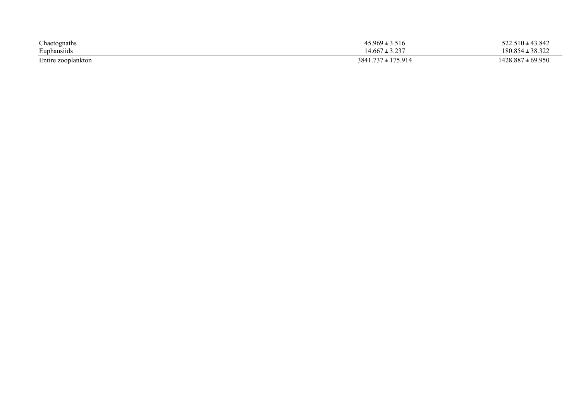| Chaetognaths                       | $45.969 \pm 3.516$           | $522.510 \pm 43.842$  |
|------------------------------------|------------------------------|-----------------------|
| Euphausiids                        | . 2.22<br>$+667$<br>ر ہے . ۔ | $180.854 \pm 38.322$  |
| $\mathbf{r}$<br>Entire zooplankton | ± 175.914<br>3841.737        | $1428.887 \pm 69.950$ |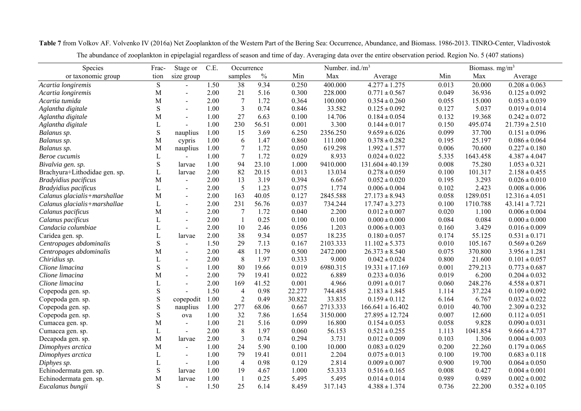Species Frac- Stage or C.E. Occurrence Number. ind./m<sup>3</sup> Biomass. mg/m<sup>3</sup> or taxonomic group tion size group samples % Min Max Average Min Max Average *Acartia longiremis* S - 1.50 38 9.34 0.250 400.000 4.277 **<sup>±</sup>** 1.275 0.013 20.000 0.208 **<sup>±</sup>** 0.063 *Acartia longiremis* M - 2.00 21 5.16 0.300 228.000 0.771 **<sup>±</sup>** 0.567 0.049 36.936 0.125 **<sup>±</sup>** 0.092 *Acartia tumida* $\alpha$  M - 2.00 7 1.72 0.364 100.000 0.354 **<sup>±</sup>** 0.260 0.055 15.000 0.053 **<sup>±</sup>** 0.039 *Aglantha digitale* S - 1.00 3 0.74 0.846 33.582 0.125 **<sup>±</sup>** 0.092 0.127 5.037 0.019 **<sup>±</sup>** 0.014 *Aglantha digitale* M - 1.00 27 6.63 0.100 14.706 0.184 **<sup>±</sup>** 0.054 0.132 19.368 0.242 **<sup>±</sup>** 0.072 *Aglantha digitale* L - 1.00 230 56.51 0.001 3.300 0.144 **<sup>±</sup>** 0.017 0.150 495.074 21.739 **<sup>±</sup>** 2.510 *Balanus sp.* S nauplius 1.00 15 3.69 6.250 2356.250 9.659 **<sup>±</sup>** 6.026 0.099 37.700 0.151 **<sup>±</sup>** 0.096 *Balanus sp.* M cypris 1.00 6 1.47 0.860 111.000 0.378 **<sup>±</sup>** 0.282 0.195 25.197 0.086 **<sup>±</sup>** 0.064 *Balanus sp.* M nauplius 1.00 7 1.72 0.050 619.298 1.992 **<sup>±</sup>** 1.577 0.006 70.600 0.227 **<sup>±</sup>** 0.180 *Beroe cucumis* $\mathbf{s}$  is the set of  $\mathbf{L}$  - 1.00 7 1.72 0.029 8.933 0.024 **<sup>±</sup>** 0.022 5.335 1643.458 4.387 **<sup>±</sup>** 4.047 *Bivalvia gen. sp.* S larvae 1.00 94 23.10 1.000 9410.000 131.604 **<sup>±</sup>** 40.139 0.008 75.280 1.053 **<sup>±</sup>** 0.321 Brachyura+Lithodidae gen. sp. L larvae 2.00 82 20.15 0.013 13.034 0.278 **<sup>±</sup>** 0.059 0.100 101.317 2.158 **<sup>±</sup>** 0.455 *Bradyidius pacificus* M - 2.00 13 3.19 0.394 6.667 0.052 **<sup>±</sup>** 0.020 0.195 3.293 0.026 **<sup>±</sup>** 0.010 *Bradyidius pacificus* L - 2.00 5 1.23 0.075 1.774 0.006 **<sup>±</sup>** 0.004 0.102 2.423 0.008 **<sup>±</sup>** 0.006 *Calanus glacialis+marshallae* M - 2.00 163 40.05 0.127 2845.588 27.173 **<sup>±</sup>** 8.943 0.058 1289.051 12.316 **<sup>±</sup>** 4.051 *Calanus glacialis+marshallae* L - 2.00 231 56.76 0.037 734.244 17.747 **<sup>±</sup>** 3.273 0.100 1710.788 43.141 **<sup>±</sup>** 7.721 *Calanus pacificus* M - 2.00 7 1.72 0.040 2.200 0.012 **<sup>±</sup>** 0.007 0.020 1.100 0.006 **<sup>±</sup>** 0.004 *Calanus pacificus* L - 2.00 1 0.25 0.100 0.100 0.000 **<sup>±</sup>** 0.000 0.084 0.084 0.000 **<sup>±</sup>** 0.000 *Candacia columbiae*e L - 2.00 10 2.46 0.056 1.203 0.006 **<sup>±</sup>** 0.003 0.160 3.429 0.016 **<sup>±</sup>** 0.009 Caridea gen. sp. L larvae 2.00 38 9.34 0.057 18.235 0.180 **<sup>±</sup>** 0.057 0.174 55.125 0.531 **<sup>±</sup>** 0.171 *Centropages abdominalis* S - 1.50 29 7.13 0.167 2103.333 11.102 **<sup>±</sup>** 5.373 0.010 105.167 0.569 **<sup>±</sup>** 0.269 *Centropages abdominalis* M - 2.00 48 11.79 0.500 2472.000 26.373 **<sup>±</sup>** 8.540 0.075 370.800 3.956 **<sup>±</sup>** 1.281 *Chiridius sp.* L - 2.00 8 1.97 0.333 9.000 0.042 **<sup>±</sup>** 0.024 0.800 21.600 0.101 **<sup>±</sup>** 0.057 *Clione limacina*a S - 1.00 80 19.66 0.019 6980.315 19.331 **<sup>±</sup>** 17.169 0.001 279.213 0.773 **<sup>±</sup>** 0.687 *Clione limacina* $\alpha$  M - 2.00 79 19.41 0.022 6.889 0.233 **<sup>±</sup>** 0.036 0.019 6.200 0.204 **<sup>±</sup>** 0.032 *Clione limacina*a L - 2.00 169 41.52 0.001 4.966 0.091 **<sup>±</sup>** 0.017 0.060 248.276 4.558 **<sup>±</sup>** 0.871 Copepoda gen. sp. S - 1.50 4 0.98 22.277 744.485 2.183 **<sup>±</sup>** 1.845 1.114 37.224 0.109 **<sup>±</sup>** 0.092 Copepoda gen. sp. S copepodit 1.00 2 0.49 30.822 33.835 0.159 **<sup>±</sup>** 0.112 6.164 6.767 0.032 **<sup>±</sup>** 0.022 Copepoda gen. sp. S nauplius 1.00 277 68.06 0.667 2713.333 166.641 **<sup>±</sup>** 16.402 0.010 40.700 2.309 **<sup>±</sup>** 0.232 Copepoda gen. sp. S ova 1.00 32 7.86 1.654 3150.000 27.895 **<sup>±</sup>** 12.724 0.007 12.600 0.112 **<sup>±</sup>** 0.051 Cumacea gen. sp. M - 1.00 21 5.16 0.099 16.800 0.154 **<sup>±</sup>** 0.053 0.058 9.828 0.090 **<sup>±</sup>** 0.031 Cumacea gen. sp. L - 2.00 8 1.97 0.060 56.153 0.521 **<sup>±</sup>** 0.255 1.113 1041.854 9.666 **<sup>±</sup>** 4.737 Decapoda gen. sp. M larvae 2.00 3 0.74 0.294 3.731 0.012 **<sup>±</sup>** 0.009 0.103 1.306 0.004 **<sup>±</sup>** 0.003 *Dimophyes arctica* M - 1.00 24 5.90 0.100 10.000 0.083 **<sup>±</sup>** 0.029 0.200 22.260 0.179 **<sup>±</sup>** 0.065 *Dimophyes arctica* L - 1.00 79 19.41 0.011 2.204 0.075 **<sup>±</sup>** 0.013 0.100 19.700 0.683 **<sup>±</sup>** 0.118 *Diphyes sp.* L - 1.00 4 0.98 0.129 2.814 0.009 **<sup>±</sup>** 0.007 0.900 19.700 0.064 **<sup>±</sup>** 0.050 Echinodermata gen. sp. S larvae 1.00 19 4.67 1.000 53.333 0.516 **<sup>±</sup>** 0.165 0.008 0.427 0.004 **<sup>±</sup>** 0.001 Echinodermata gen. sp. M larvae 1.00 1 0.25 5.495 5.495 0.014 **<sup>±</sup>** 0.014 0.989 0.989 0.002 **<sup>±</sup>** 0.002 *Eucalanus bungii* S - 1.50 25 6.14 8.459 317.143 4.388 **<sup>±</sup>** 1.374 0.736 22.200 0.352 **<sup>±</sup>** 0.105

**Table 7** from Volkov AF. Volvenko IV (2016a) Net Zooplankton of the Western Part of the Bering Sea: Occurrence, Abundance, and Biomass. 1986-2013. TINRO-Center, Vladivostok

The abundance of zooplankton in epipelagial regardless of season and time of day. Averaging data over the entire observation period. Region No. 5 (407 stations)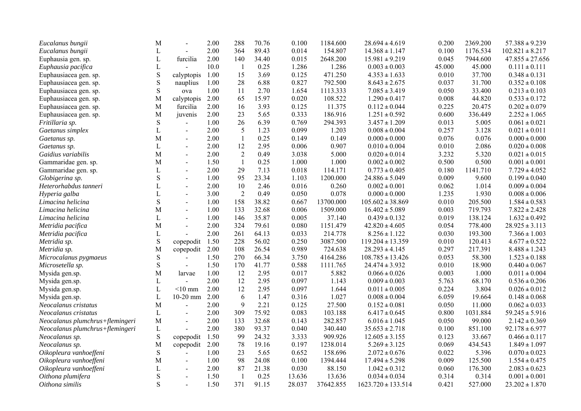| Eucalanus bungii                | M            |                | 2.00 | 288                      | 70.76 | 0.100  | 1184.600  | $28.694 \pm 4.619$     | 0.200  | 2369.200 | $57.388 \pm 9.239$  |
|---------------------------------|--------------|----------------|------|--------------------------|-------|--------|-----------|------------------------|--------|----------|---------------------|
| Eucalanus bungii                | L            |                | 2.00 | 364                      | 89.43 | 0.014  | 154.807   | $14.368 \pm 1.147$     | 0.100  | 1176.534 | $102.821 \pm 8.217$ |
| Euphausia gen. sp.              | $\mathbf L$  | furcilia       | 2.00 | 140                      | 34.40 | 0.015  | 2648.200  | $15.981 \pm 9.219$     | 0.045  | 7944.600 | $47.855 \pm 27.656$ |
| Euphausia pacifica              | L            |                | 10.0 | $\overline{1}$           | 0.25  | 1.286  | 1.286     | $0.003 \pm 0.003$      | 45.000 | 45.000   | $0.111 \pm 0.111$   |
| Euphausiacea gen. sp.           | $\mathbf S$  | calyptopis     | 1.00 | 15                       | 3.69  | 0.125  | 471.250   | $4.353 \pm 1.633$      | 0.010  | 37.700   | $0.348 \pm 0.131$   |
| Euphausiacea gen. sp.           | ${\bf S}$    | nauplius       | 1.00 | 28                       | 6.88  | 0.827  | 792.500   | $8.643 \pm 2.675$      | 0.037  | 31.700   | $0.352 \pm 0.108$   |
| Euphausiacea gen. sp.           | ${\bf S}$    | ova            | 1.00 | 11                       | 2.70  | 1.654  | 1113.333  | $7.085 \pm 3.419$      | 0.050  | 33.400   | $0.213 \pm 0.103$   |
| Euphausiacea gen. sp.           | M            | calyptopis     | 2.00 | 65                       | 15.97 | 0.020  | 108.522   | $1.290 \pm 0.417$      | 0.008  | 44.820   | $0.533 \pm 0.172$   |
| Euphausiacea gen. sp.           | M            | furcilia       | 2.00 | 16                       | 3.93  | 0.125  | 11.375    | $0.112 \pm 0.044$      | 0.225  | 20.475   | $0.202 \pm 0.079$   |
| Euphausiacea gen. sp.           | M            | juvenis        | 2.00 | 23                       | 5.65  | 0.333  | 186.916   | $1.251 \pm 0.592$      | 0.600  | 336.449  | $2.252 \pm 1.065$   |
| Fritillaria sp.                 | ${\bf S}$    |                | 1.00 | 26                       | 6.39  | 0.769  | 294.393   | $3.457 \pm 1.209$      | 0.013  | 5.005    | $0.061 \pm 0.021$   |
| Gaetanus simplex                | L            | $\blacksquare$ | 2.00 | 5                        | 1.23  | 0.099  | 1.203     | $0.008 \pm 0.004$      | 0.257  | 3.128    | $0.021 \pm 0.011$   |
| Gaetanus sp.                    | M            | $\blacksquare$ | 2.00 | $\mathbf{1}$             | 0.25  | 0.149  | 0.149     | $0.000 \pm 0.000$      | 0.076  | 0.076    | $0.000 \pm 0.000$   |
| Gaetanus sp.                    | $\mathbf L$  |                | 2.00 | 12                       | 2.95  | 0.006  | 0.907     | $0.010 \pm 0.004$      | 0.010  | 2.086    | $0.020 \pm 0.008$   |
| Gaidius variabilis              | M            | $\blacksquare$ | 2.00 | $\overline{2}$           | 0.49  | 3.038  | 5.000     | $0.020 \pm 0.014$      | 3.232  | 5.320    | $0.021 \pm 0.015$   |
| Gammaridae gen. sp.             | M            | $\blacksquare$ | 1.50 | $\mathbf{1}$             | 0.25  | 1.000  | 1.000     | $0.002 \pm 0.002$      | 0.500  | 0.500    | $0.001 \pm 0.001$   |
| Gammaridae gen. sp.             | L            | $\blacksquare$ | 2.00 | 29                       | 7.13  | 0.018  | 114.171   | $0.773 \pm 0.405$      | 0.180  | 1141.710 | $7.729 \pm 4.052$   |
| Globigerina sp.                 | $\mathbf S$  | $\blacksquare$ | 1.00 | 95                       | 23.34 | 1.103  | 1200.000  | $24.886 \pm 5.049$     | 0.009  | 9.600    | $0.199 \pm 0.040$   |
| Heterorhabdus tanneri           | L            | $\blacksquare$ | 2.00 | 10                       | 2.46  | 0.016  | 0.260     | $0.002 \pm 0.001$      | 0.062  | 1.014    | $0.009 \pm 0.004$   |
| Hyperia galba                   | $\mathbf{L}$ | $\blacksquare$ | 3.00 | $\overline{2}$           | 0.49  | 0.050  | 0.078     | $0.000 \pm 0.000$      | 1.235  | 1.930    | $0.008 \pm 0.006$   |
| Limacina helicina               | ${\bf S}$    |                | 1.00 | 158                      | 38.82 | 0.667  | 13700.000 | $105.602 \pm 38.869$   | 0.010  | 205.500  | $1.584 \pm 0.583$   |
| Limacina helicina               | М            | $\blacksquare$ | 1.00 | 133                      | 32.68 | 0.006  | 1509.000  | $16.402 \pm 5.089$     | 0.003  | 719.793  | $7.822 \pm 2.428$   |
| Limacina helicina               | L            | $\blacksquare$ | 1.00 | 146                      | 35.87 | 0.005  | 37.140    | $0.439 \pm 0.132$      | 0.019  | 138.124  | $1.632 \pm 0.492$   |
| Metridia pacifica               | M            | $\overline{a}$ | 2.00 | 324                      | 79.61 | 0.080  | 1151.479  | $42.820 \pm 4.605$     | 0.054  | 778.400  | $28.925 \pm 3.113$  |
| Metridia pacifica               | L            |                | 2.00 | 261                      | 64.13 | 0.033  | 214.778   | $8.256 \pm 1.122$      | 0.030  | 193.300  | $7.366 \pm 1.003$   |
| Metridia sp.                    | ${\bf S}$    | copepodit      | 1.50 | 228                      | 56.02 | 0.250  | 3087.500  | $119.204 \pm 13.359$   | 0.010  | 120.413  | $4.677 \pm 0.522$   |
| Metridia sp.                    | M            | copepodit      | 2.00 | 108                      | 26.54 | 0.989  | 724.638   | $28.293 \pm 4.145$     | 0.297  | 217.391  | $8.488 \pm 1.243$   |
| Microcalanus pygmaeus           | $\mathbf S$  |                | 1.50 | 270                      | 66.34 | 3.750  | 4164.286  | $108.785 \pm 13.426$   | 0.053  | 58.300   | $1.523 \pm 0.188$   |
| Microsetella sp.                | ${\bf S}$    | $\blacksquare$ | 1.50 | 170                      | 41.77 | 0.588  | 1111.765  | $24.474 \pm 3.932$     | 0.010  | 18.900   | $0.440 \pm 0.067$   |
| Mysida gen.sp.                  | М            | larvae         | 1.00 | 12                       | 2.95  | 0.017  | 5.882     | $0.066 \pm 0.026$      | 0.003  | 1.000    | $0.011 \pm 0.004$   |
| Mysida gen.sp.                  | $\mathbf L$  |                | 2.00 | 12                       | 2.95  | 0.097  | 1.143     | $0.009 \pm 0.003$      | 5.763  | 68.170   | $0.536 \pm 0.206$   |
| Mysida gen.sp.                  | $\mathbf L$  | $< 10$ mm      | 2.00 | 12                       | 2.95  | 0.097  | 1.644     | $0.011 \pm 0.005$      | 0.224  | 3.804    | $0.026 \pm 0.012$   |
| Mysida gen.sp.                  | $\mathbf{L}$ | $10-20$ mm     | 2.00 | 6                        | 1.47  | 0.316  | 1.027     | $0.008 \pm 0.004$      | 6.059  | 19.664   | $0.148 \pm 0.068$   |
| Neocalanus cristatus            | M            |                | 2.00 | 9                        | 2.21  | 0.125  | 27.500    | $0.152 \pm 0.081$      | 0.050  | 11.000   | $0.062 \pm 0.033$   |
| Neocalanus cristatus            | L            | $\sim$         | 2.00 | 309                      | 75.92 | 0.083  | 103.188   | $6.417 \pm 0.645$      | 0.800  | 1031.884 | $59.245 \pm 5.916$  |
| Neocalanus plumchrus+flemingeri | M            | $\overline{a}$ | 2.00 | 133                      | 32.68 | 0.143  | 282.857   | $6.016 \pm 1.045$      | 0.050  | 99.000   | $2.142 \pm 0.369$   |
| Neocalanus plumchrus+flemingeri | L            |                | 2.00 | 380                      | 93.37 | 0.040  | 340.440   | $35.653 \pm 2.718$     | 0.100  | 851.100  | $92.178 \pm 6.977$  |
| Neocalanus sp.                  | ${\bf S}$    | copepodit      | 1.50 | 99                       | 24.32 | 3.333  | 909.926   | $12.605 \pm 3.155$     | 0.123  | 33.667   | $0.466 \pm 0.117$   |
| Neocalanus sp.                  | M            | copepodit      | 2.00 | 78                       | 19.16 | 0.197  | 1238.014  | $5.269 \pm 3.125$      | 0.069  | 434.543  | $1.849 \pm 1.097$   |
| Oikopleura vanhoeffeni          | ${\bf S}$    |                | 1.00 | 23                       | 5.65  | 0.652  | 158.696   | $2.072 \pm 0.676$      | 0.022  | 5.396    | $0.070 \pm 0.023$   |
| Oikopleura vanhoeffeni          | М            | $\overline{a}$ | 1.00 | 98                       | 24.08 | 0.100  | 1394.444  | $17.494 \pm 5.298$     | 0.009  | 125.500  | $1.554 \pm 0.475$   |
| Oikopleura vanhoeffeni          | L            | $\sim$         | 2.00 | 87                       | 21.38 | 0.030  | 88.150    | $1.042 \pm 0.312$      | 0.060  | 176.300  | $2.083 \pm 0.623$   |
| Oithona plumifera               | S            | $\blacksquare$ | 1.50 | $\overline{\phantom{a}}$ | 0.25  | 13.636 | 13.636    | $0.034 \pm 0.034$      | 0.314  | 0.314    | $0.001 \pm 0.001$   |
| Oithona similis                 | S            |                | 1.50 | 371                      | 91.15 | 28.037 | 37642.855 | $1623.720 \pm 133.514$ | 0.421  | 527.000  | $23.202 \pm 1.870$  |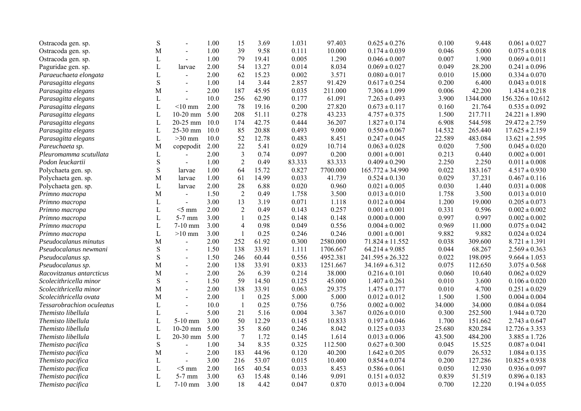| Ostracoda gen. sp.        | ${\bf S}$   |                | 1.00 | 15             | 3.69  | 1.031  | 97.403   | $0.625 \pm 0.276$    | 0.100  | 9.448    | $0.061 \pm 0.027$    |
|---------------------------|-------------|----------------|------|----------------|-------|--------|----------|----------------------|--------|----------|----------------------|
| Ostracoda gen. sp.        | M           | $\overline{a}$ | 1.00 | 39             | 9.58  | 0.111  | 10.000   | $0.174 \pm 0.039$    | 0.046  | 5.000    | $0.075 \pm 0.018$    |
| Ostracoda gen. sp.        | L           | $\blacksquare$ | 1.00 | 79             | 19.41 | 0.005  | 1.290    | $0.046 \pm 0.007$    | 0.007  | 1.900    | $0.069 \pm 0.011$    |
| Paguridae gen. sp.        | $\mathbf L$ | larvae         | 2.00 | 54             | 13.27 | 0.014  | 8.034    | $0.069 \pm 0.027$    | 0.049  | 28.200   | $0.241 \pm 0.096$    |
| Paraeuchaeta elongata     | $\mathbf L$ | $\blacksquare$ | 2.00 | 62             | 15.23 | 0.002  | 3.571    | $0.080 \pm 0.017$    | 0.010  | 15.000   | $0.334 \pm 0.070$    |
| Parasagitta elegans       | $\mathbf S$ | $\sim$         | 1.00 | 14             | 3.44  | 2.857  | 91.429   | $0.617 \pm 0.254$    | 0.200  | 6.400    | $0.043 \pm 0.018$    |
| Parasagitta elegans       | M           | $\blacksquare$ | 2.00 | 187            | 45.95 | 0.035  | 211.000  | $7.306 \pm 1.099$    | 0.006  | 42.200   | $1.434 \pm 0.218$    |
| Parasagitta elegans       | $\mathbf L$ | $\overline{a}$ | 10.0 | 256            | 62.90 | 0.177  | 61.091   | $7.263 \pm 0.493$    | 3.900  | 1344.000 | $156.326 \pm 10.612$ |
| Parasagitta elegans       | L           | $<$ 10 mm      | 2.00 | 78             | 19.16 | 0.200  | 27.820   | $0.673 \pm 0.117$    | 0.160  | 21.764   | $0.535 \pm 0.092$    |
| Parasagitta elegans       | L           | $10-20$ mm     | 5.00 | 208            | 51.11 | 0.278  | 43.233   | $4.757 \pm 0.375$    | 1.500  | 217.711  | $24.221 \pm 1.890$   |
| Parasagitta elegans       | $\mathbf L$ | 20-25 mm       | 10.0 | 174            | 42.75 | 0.444  | 36.207   | $1.827 \pm 0.174$    | 6.908  | 544.598  | $29.472 \pm 2.759$   |
| Parasagitta elegans       | L           | 25-30 mm       | 10.0 | 85             | 20.88 | 0.493  | 9.000    | $0.550 \pm 0.067$    | 14.532 | 265.440  | $17.625 \pm 2.159$   |
| Parasagitta elegans       | L           | $>30$ mm       | 10.0 | 52             | 12.78 | 0.483  | 8.451    | $0.247 \pm 0.045$    | 22.589 | 483.084  | $13.621 \pm 2.595$   |
| Pareuchaeta sp.           | M           | copepodit      | 2.00 | 22             | 5.41  | 0.029  | 10.714   | $0.063 \pm 0.028$    | 0.020  | 7.500    | $0.045 \pm 0.020$    |
| Pleuromamma scutullata    | L           |                | 2.00 | $\mathfrak{Z}$ | 0.74  | 0.097  | 0.200    | $0.001 \pm 0.001$    | 0.213  | 0.440    | $0.002 \pm 0.001$    |
| Podon leuckartii          | S           | $\blacksquare$ | 1.00 | $\overline{2}$ | 0.49  | 83.333 | 83.333   | $0.409 \pm 0.290$    | 2.250  | 2.250    | $0.011 \pm 0.008$    |
| Polychaeta gen. sp.       | ${\bf S}$   | larvae         | 1.00 | 64             | 15.72 | 0.827  | 7700.000 | $165.772 \pm 34.990$ | 0.022  | 183.167  | $4.517 \pm 0.930$    |
| Polychaeta gen. sp.       | M           | larvae         | 1.00 | 61             | 14.99 | 0.033  | 41.739   | $0.524 \pm 0.130$    | 0.029  | 37.231   | $0.467 \pm 0.116$    |
| Polychaeta gen. sp.       | $\mathbf L$ | larvae         | 2.00 | 28             | 6.88  | 0.020  | 0.960    | $0.021 \pm 0.005$    | 0.030  | 1.440    | $0.031 \pm 0.008$    |
| Primno macropa            | M           | $\blacksquare$ | 1.50 | $\overline{2}$ | 0.49  | 1.758  | 3.500    | $0.013 \pm 0.010$    | 1.758  | 3.500    | $0.013 \pm 0.010$    |
| Primno macropa            | $\mathbf L$ | $\sim$         | 3.00 | 13             | 3.19  | 0.071  | 1.118    | $0.012 \pm 0.004$    | 1.200  | 19.000   | $0.205 \pm 0.073$    |
| Primno macropa            | L           | $<$ 5 mm       | 2.00 | $\overline{2}$ | 0.49  | 0.143  | 0.257    | $0.001 \pm 0.001$    | 0.331  | 0.596    | $0.002 \pm 0.002$    |
| Primno macropa            | L           | $5-7$ mm       | 3.00 | $\mathbf{1}$   | 0.25  | 0.148  | 0.148    | $0.000 \pm 0.000$    | 0.997  | 0.997    | $0.002 \pm 0.002$    |
| Primno macropa            | $\mathbf L$ | 7-10 mm        | 3.00 | $\overline{4}$ | 0.98  | 0.049  | 0.556    | $0.004 \pm 0.002$    | 0.969  | 11.000   | $0.075 \pm 0.042$    |
| Primno macropa            | L           | $>10$ mm       | 3.00 | $\mathbf{1}$   | 0.25  | 0.246  | 0.246    | $0.001 \pm 0.001$    | 9.882  | 9.882    | $0.024 \pm 0.024$    |
| Pseudocalanus minutus     | M           | $\blacksquare$ | 2.00 | 252            | 61.92 | 0.300  | 2580.000 | $71.824 \pm 11.552$  | 0.038  | 309.600  | $8.721 \pm 1.391$    |
| Pseudocalanus newmani     | ${\bf S}$   | $\overline{a}$ | 1.50 | 138            | 33.91 | 1.111  | 1706.667 | $64.214 \pm 9.085$   | 0.044  | 68.267   | $2.569 \pm 0.363$    |
| Pseudocalanus sp.         | $\mathbf S$ | $\overline{a}$ | 1.50 | 246            | 60.44 | 0.556  | 4952.381 | $241.595 \pm 26.322$ | 0.022  | 198.095  | $9.664 \pm 1.053$    |
| Pseudocalanus sp.         | M           | $\overline{a}$ | 2.00 | 138            | 33.91 | 0.833  | 1251.667 | $34.169 \pm 6.312$   | 0.075  | 112.650  | $3.075 \pm 0.568$    |
| Racovitzanus antarcticus  | M           | $\overline{a}$ | 2.00 | 26             | 6.39  | 0.214  | 38.000   | $0.216 \pm 0.101$    | 0.060  | 10.640   | $0.062 \pm 0.029$    |
| Scolecithricella minor    | S           | $\overline{a}$ | 1.50 | 59             | 14.50 | 0.125  | 45.000   | $1.407 \pm 0.261$    | 0.010  | 3.600    | $0.106 \pm 0.020$    |
| Scolecithricella minor    | M           | $\blacksquare$ | 2.00 | 138            | 33.91 | 0.063  | 29.375   | $1.475 \pm 0.177$    | 0.010  | 4.700    | $0.251 \pm 0.029$    |
| Scolecithricella ovata    | M           | $\sim$         | 2.00 | $\mathbf{1}$   | 0.25  | 5.000  | 5.000    | $0.012 \pm 0.012$    | 1.500  | 1.500    | $0.004 \pm 0.004$    |
| Tessarobrachion oculeatus | L           |                | 10.0 | $\mathbf{1}$   | 0.25  | 0.756  | 0.756    | $0.002 \pm 0.002$    | 34.000 | 34.000   | $0.084 \pm 0.084$    |
| Themisto libellula        | L           | $\sim$         | 5.00 | 21             | 5.16  | 0.004  | 3.367    | $0.026 \pm 0.010$    | 0.300  | 252.500  | $1.944 \pm 0.720$    |
| Themisto libellula        | L           | $5-10$ mm      | 3.00 | 50             | 12.29 | 0.145  | 10.833   | $0.197 \pm 0.046$    | 1.700  | 151.662  | $2.743 \pm 0.647$    |
| Themisto libellula        | $\mathbf L$ | $10-20$ mm     | 5.00 | 35             | 8.60  | 0.246  | 8.042    | $0.125\pm0.033$      | 25.680 | 820.284  | $12.726 \pm 3.353$   |
| Themisto libellula        | L           | 20-30 mm       | 5.00 | $\overline{7}$ | 1.72  | 0.145  | 1.614    | $0.013 \pm 0.006$    | 43.500 | 484.200  | $3.885 \pm 1.726$    |
| Themisto pacifica         | ${\bf S}$   | $\overline{a}$ | 1.00 | 34             | 8.35  | 0.325  | 112.500  | $0.627\pm0.300$      | 0.045  | 15.525   | $0.087 \pm 0.041$    |
| Themisto pacifica         | M           | $\sim$         | 2.00 | 183            | 44.96 | 0.120  | 40.200   | $1.642 \pm 0.205$    | 0.079  | 26.532   | $1.084 \pm 0.135$    |
| Themisto pacifica         | $\mathbf L$ | $\overline{a}$ | 3.00 | 216            | 53.07 | 0.015  | 10.400   | $0.854 \pm 0.074$    | 0.200  | 127.286  | $10.825 \pm 0.938$   |
| Themisto pacifica         | $\mathbf L$ | $<$ 5 mm       | 2.00 | 165            | 40.54 | 0.033  | 8.453    | $0.586 \pm 0.061$    | 0.050  | 12.930   | $0.936 \pm 0.097$    |
| Themisto pacifica         | L           | 5-7 mm         | 3.00 | 63             | 15.48 | 0.146  | 9.091    | $0.151 \pm 0.032$    | 0.839  | 51.519   | $0.896 \pm 0.183$    |
| Themisto pacifica         | $\mathbf L$ | $7-10$ mm      | 3.00 | 18             | 4.42  | 0.047  | 0.870    | $0.013 \pm 0.004$    | 0.700  | 12.220   | $0.194 \pm 0.055$    |